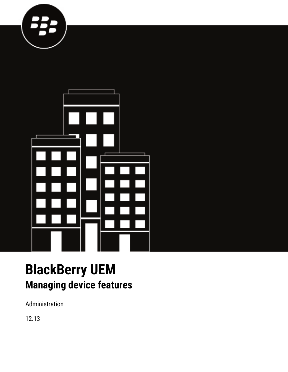



# **BlackBerry UEM Managing device features**

Administration

12.13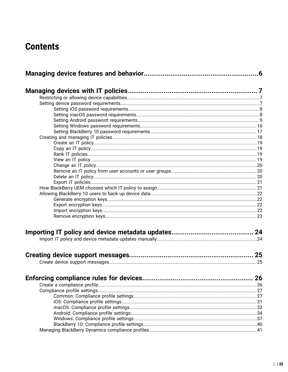# **Contents**

| <b>Enforcing compliance rules for devices</b> | 26 |
|-----------------------------------------------|----|
|                                               |    |
|                                               |    |
|                                               |    |
|                                               |    |
|                                               |    |
|                                               |    |
|                                               |    |
|                                               |    |
|                                               |    |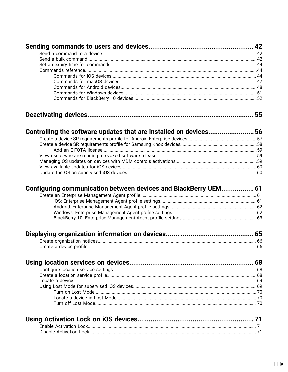|--|--|--|--|

| Controlling the software updates that are installed on devices 56 |  |
|-------------------------------------------------------------------|--|
|                                                                   |  |
|                                                                   |  |
|                                                                   |  |
|                                                                   |  |
|                                                                   |  |
|                                                                   |  |
|                                                                   |  |
|                                                                   |  |

| Configuring communication between devices and BlackBerry UEM 61 |  |
|-----------------------------------------------------------------|--|
|                                                                 |  |
|                                                                 |  |
|                                                                 |  |
|                                                                 |  |
|                                                                 |  |
|                                                                 |  |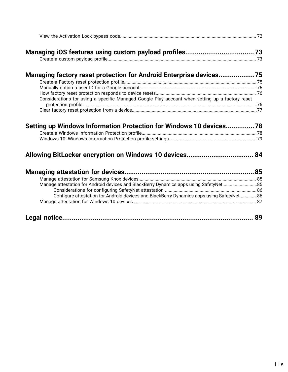| Managing factory reset protection for Android Enterprise devices75                              |    |
|-------------------------------------------------------------------------------------------------|----|
|                                                                                                 |    |
|                                                                                                 |    |
|                                                                                                 |    |
| Considerations for using a specific Managed Google Play account when setting up a factory reset |    |
|                                                                                                 |    |
|                                                                                                 |    |
| Setting up Windows Information Protection for Windows 10 devices78                              |    |
|                                                                                                 |    |
|                                                                                                 |    |
|                                                                                                 |    |
| Manage attestation for Android devices and BlackBerry Dynamics apps using SafetyNet85           |    |
|                                                                                                 |    |
| Configure attestation for Android devices and BlackBerry Dynamics apps using SafetyNet86        |    |
|                                                                                                 | 89 |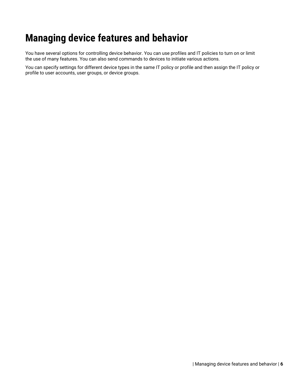# <span id="page-5-0"></span>**Managing device features and behavior**

You have several options for controlling device behavior. You can use profiles and IT policies to turn on or limit the use of many features. You can also send commands to devices to initiate various actions.

You can specify settings for different device types in the same IT policy or profile and then assign the IT policy or profile to user accounts, user groups, or device groups.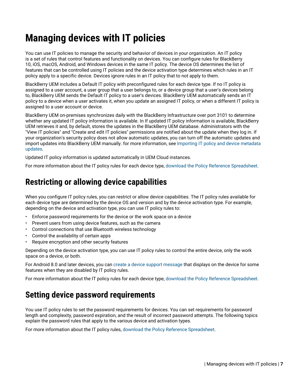# <span id="page-6-0"></span>**Managing devices with IT policies**

You can use IT policies to manage the security and behavior of devices in your organization. An IT policy is a set of rules that control features and functionality on devices. You can configure rules for BlackBerry 10, iOS, macOS, Android, and Windows devices in the same IT policy. The device OS determines the list of features that can be controlled using IT policies and the device activation type determines which rules in an IT policy apply to a specific device. Devices ignore rules in an IT policy that to not apply to them.

BlackBerry UEM includes a Default IT policy with preconfigured rules for each device type. If no IT policy is assigned to a user account, a user group that a user belongs to, or a device group that a user's devices belong to, BlackBerry UEM sends the Default IT policy to a user's devices. BlackBerry UEM automatically sends an IT policy to a device when a user activates it, when you update an assigned IT policy, or when a different IT policy is assigned to a user account or device.

BlackBerry UEM on-premises synchronizes daily with the BlackBerry Infrastructure over port 3101 to determine whether any updated IT policy information is available. In If updated IT policy information is available, BlackBerry UEM retrieves it and, by default, stores the updates in the BlackBerry UEM database. Administrators with the "View IT policies" and "Create and edit IT policies" permissions are notified about the update when they log in. If your organization's security policy does not allow automatic updates, you can turn off the automatic updates and import updates into BlackBerry UEM manually. for more information, see [Importing IT policy and device metadata](#page-23-0) [updates.](#page-23-0)

Updated IT policy information is updated automatically in UEM Cloud instances.

For more information about the IT policy rules for each device type, [download the Policy Reference Spreadsheet](https://docs.blackberry.com/content/dam/docs-blackberry-com/release-pdfs/en/blackberry-uem/current/administration/Policy-Reference-Spreadsheet-BlackBerry-UEM.zip).

# <span id="page-6-1"></span>**Restricting or allowing device capabilities**

When you configure IT policy rules, you can restrict or allow device capabilities. The IT policy rules available for each device type are determined by the device OS and version and by the device activation type. For example, depending on the device and activation type, you can use IT policy rules to:

- Enforce password requirements for the device or the work space on a device
- Prevent users from using device features, such as the camera
- Control connections that use Bluetooth wireless technology
- Control the availability of certain apps
- Require encryption and other security features

Depending on the device activation type, you can use IT policy rules to control the entire device, only the work space on a device, or both.

For Android 8.0 and later devices, you can [create a device support message](#page-24-1) that displays on the device for some features when they are disabled by IT policy rules.

For more information about the IT policy rules for each device type, [download the Policy Reference Spreadsheet](https://docs.blackberry.com/content/dam/docs-blackberry-com/release-pdfs/en/blackberry-uem/current/administration/Policy-Reference-Spreadsheet-BlackBerry-UEM.zip).

# <span id="page-6-2"></span>**Setting device password requirements**

You use IT policy rules to set the password requirements for devices. You can set requirements for password length and complexity, password expiration, and the result of incorrect password attempts. The following topics explain the password rules that apply to the various device and activation types.

For more information about the IT policy rules, [download the Policy Reference Spreadsheet](https://docs.blackberry.com/content/dam/docs-blackberry-com/release-pdfs/en/blackberry-uem/current/administration/Policy-Reference-Spreadsheet-BlackBerry-UEM.zip).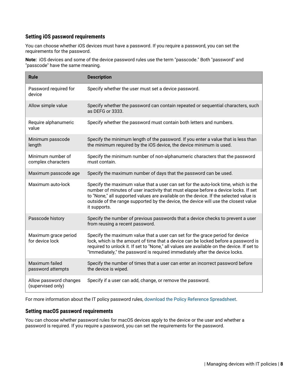## <span id="page-7-0"></span>**Setting iOS password requirements**

You can choose whether iOS devices must have a password. If you require a password, you can set the requirements for the password.

**Note:** iOS devices and some of the device password rules use the term "passcode." Both "password" and "passcode" have the same meaning.

| <b>Rule</b>                                 | <b>Description</b>                                                                                                                                                                                                                                                                                                                                                        |
|---------------------------------------------|---------------------------------------------------------------------------------------------------------------------------------------------------------------------------------------------------------------------------------------------------------------------------------------------------------------------------------------------------------------------------|
| Password required for<br>device             | Specify whether the user must set a device password.                                                                                                                                                                                                                                                                                                                      |
| Allow simple value                          | Specify whether the password can contain repeated or sequential characters, such<br>as DEFG or 3333.                                                                                                                                                                                                                                                                      |
| Require alphanumeric<br>value               | Specify whether the password must contain both letters and numbers.                                                                                                                                                                                                                                                                                                       |
| Minimum passcode<br>length                  | Specify the minimum length of the password. If you enter a value that is less than<br>the minimum required by the iOS device, the device minimum is used.                                                                                                                                                                                                                 |
| Minimum number of<br>complex characters     | Specify the minimum number of non-alphanumeric characters that the password<br>must contain.                                                                                                                                                                                                                                                                              |
| Maximum passcode age                        | Specify the maximum number of days that the password can be used.                                                                                                                                                                                                                                                                                                         |
| Maximum auto-lock                           | Specify the maximum value that a user can set for the auto-lock time, which is the<br>number of minutes of user inactivity that must elapse before a device locks. If set<br>to "None," all supported values are available on the device. If the selected value is<br>outside of the range supported by the device, the device will use the closest value<br>it supports. |
| Passcode history                            | Specify the number of previous passwords that a device checks to prevent a user<br>from reusing a recent password.                                                                                                                                                                                                                                                        |
| Maximum grace period<br>for device lock     | Specify the maximum value that a user can set for the grace period for device<br>lock, which is the amount of time that a device can be locked before a password is<br>required to unlock it. If set to "None," all values are available on the device. If set to<br>"Immediately," the password is required immediately after the device locks.                          |
| Maximum failed<br>password attempts         | Specify the number of times that a user can enter an incorrect password before<br>the device is wiped.                                                                                                                                                                                                                                                                    |
| Allow password changes<br>(supervised only) | Specify if a user can add, change, or remove the password.                                                                                                                                                                                                                                                                                                                |

For more information about the IT policy password rules, [download the Policy Reference Spreadsheet](https://docs.blackberry.com/content/dam/docs-blackberry-com/release-pdfs/en/blackberry-uem/current/administration/Policy-Reference-Spreadsheet-BlackBerry-UEM.zip).

### <span id="page-7-1"></span>**Setting macOS password requirements**

You can choose whether password rules for macOS devices apply to the device or the user and whether a password is required. If you require a password, you can set the requirements for the password.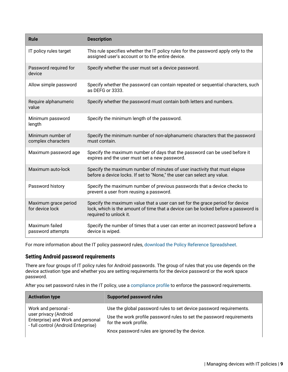| <b>Rule</b>                             | <b>Description</b>                                                                                                                                                                            |
|-----------------------------------------|-----------------------------------------------------------------------------------------------------------------------------------------------------------------------------------------------|
| IT policy rules target                  | This rule specifies whether the IT policy rules for the password apply only to the<br>assigned user's account or to the entire device.                                                        |
| Password required for<br>device         | Specify whether the user must set a device password.                                                                                                                                          |
| Allow simple password                   | Specify whether the password can contain repeated or sequential characters, such<br>as DEFG or 3333.                                                                                          |
| Require alphanumeric<br>value           | Specify whether the password must contain both letters and numbers.                                                                                                                           |
| Minimum password<br>length              | Specify the minimum length of the password.                                                                                                                                                   |
| Minimum number of<br>complex characters | Specify the minimum number of non-alphanumeric characters that the password<br>must contain.                                                                                                  |
| Maximum password age                    | Specify the maximum number of days that the password can be used before it<br>expires and the user must set a new password.                                                                   |
| Maximum auto-lock                       | Specify the maximum number of minutes of user inactivity that must elapse<br>before a device locks. If set to "None," the user can select any value.                                          |
| Password history                        | Specify the maximum number of previous passwords that a device checks to<br>prevent a user from reusing a password.                                                                           |
| Maximum grace period<br>for device lock | Specify the maximum value that a user can set for the grace period for device<br>lock, which is the amount of time that a device can be locked before a password is<br>required to unlock it. |
| Maximum failed<br>password attempts     | Specify the number of times that a user can enter an incorrect password before a<br>device is wiped.                                                                                          |

## <span id="page-8-0"></span>**Setting Android password requirements**

There are four groups of IT policy rules for Android passwords. The group of rules that you use depends on the device activation type and whether you are setting requirements for the device password or the work space password.

After you set password rules in the IT policy, use a [compliance profile](https://docs.blackberry.com/en/endpoint-management/blackberry-uem/12_13/administration/device-features-it-policies/enforcing-compliance-rules/mca1372089239343) to enforce the password requirements.

| <b>Activation type</b>                                                                            | <b>Supported password rules</b>                                                               |
|---------------------------------------------------------------------------------------------------|-----------------------------------------------------------------------------------------------|
| Work and personal -                                                                               | Use the global password rules to set device password requirements.                            |
| user privacy (Android<br>Enterprise) and Work and personal<br>- full control (Android Enterprise) | Use the work profile password rules to set the password requirements<br>for the work profile. |
|                                                                                                   | Knox password rules are ignored by the device.                                                |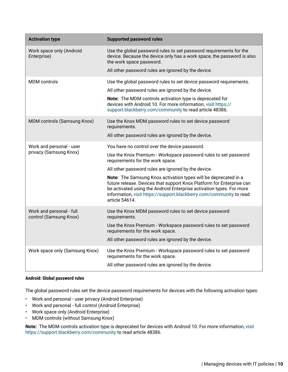| <b>Activation type</b>                             | <b>Supported password rules</b>                                                                                                                                                                                                                                                                           |
|----------------------------------------------------|-----------------------------------------------------------------------------------------------------------------------------------------------------------------------------------------------------------------------------------------------------------------------------------------------------------|
| Work space only (Android<br>Enterprise)            | Use the global password rules to set password requirements for the<br>device. Because the device only has a work space, the password is also<br>the work space password.                                                                                                                                  |
|                                                    | All other password rules are ignored by the device.                                                                                                                                                                                                                                                       |
| <b>MDM</b> controls                                | Use the global password rules to set device password requirements.                                                                                                                                                                                                                                        |
|                                                    | All other password rules are ignored by the device.                                                                                                                                                                                                                                                       |
|                                                    | Note: The MDM controls activation type is deprecated for<br>devices with Android 10. For more information, visit https://<br>support.blackberry.com/community to read article 48386.                                                                                                                      |
| <b>MDM</b> controls (Samsung Knox)                 | Use the Knox MDM password rules to set device password<br>requirements.                                                                                                                                                                                                                                   |
|                                                    | All other password rules are ignored by the device.                                                                                                                                                                                                                                                       |
| Work and personal - user                           | You have no control over the device password.                                                                                                                                                                                                                                                             |
| privacy (Samsung Knox)                             | Use the Knox Premium - Workspace password rules to set password<br>requirements for the work space.                                                                                                                                                                                                       |
|                                                    | All other password rules are ignored by the device.                                                                                                                                                                                                                                                       |
|                                                    | Note: The Samsung Knox activation types will be deprecated in a<br>future release. Devices that support Knox Platform for Enterprise can<br>be activated using the Android Enterprise activation types. For more<br>information, visit https://support.blackberry.com/community to read<br>article 54614. |
| Work and personal - full<br>control (Samsung Knox) | Use the Knox MDM password rules to set device password<br>requirements.                                                                                                                                                                                                                                   |
|                                                    | Use the Knox Premium - Workspace password rules to set password<br>requirements for the work space.                                                                                                                                                                                                       |
|                                                    | All other password rules are ignored by the device.                                                                                                                                                                                                                                                       |
| Work space only (Samsung Knox)                     | Use the Knox Premium - Workspace password rules to set password<br>requirements for the work space.                                                                                                                                                                                                       |
|                                                    | All other password rules are ignored by the device.                                                                                                                                                                                                                                                       |

#### **Android: Global password rules**

The global password rules set the device password requirements for devices with the following activation types:

- Work and personal user privacy (Android Enterprise)
- Work and personal full control (Android Enterprise)
- Work space only (Android Enterprise)
- MDM controls (without Samsung Knox)

**Note:** The MDM controls activation type is deprecated for devices with Android 10. For more information, [visit](https://support.blackberry.com/community/s/article/48386) [https://support.blackberry.com/community](https://support.blackberry.com/community/s/article/48386) to read article 48386.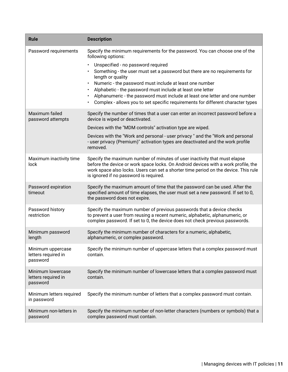| <b>Rule</b>                                          | <b>Description</b>                                                                                                                                                                                                                                                                                                                                                                                                                                                      |
|------------------------------------------------------|-------------------------------------------------------------------------------------------------------------------------------------------------------------------------------------------------------------------------------------------------------------------------------------------------------------------------------------------------------------------------------------------------------------------------------------------------------------------------|
| Password requirements                                | Specify the minimum requirements for the password. You can choose one of the<br>following options:                                                                                                                                                                                                                                                                                                                                                                      |
|                                                      | Unspecified - no password required<br>Something - the user must set a password but there are no requirements for<br>length or quality<br>Numeric - the password must include at least one number<br>$\bullet$<br>Alphabetic - the password must include at least one letter<br>$\bullet$<br>Alphanumeric - the password must include at least one letter and one number<br>$\bullet$<br>Complex - allows you to set specific requirements for different character types |
| Maximum failed<br>password attempts                  | Specify the number of times that a user can enter an incorrect password before a<br>device is wiped or deactivated.                                                                                                                                                                                                                                                                                                                                                     |
|                                                      | Devices with the "MDM controls" activation type are wiped.                                                                                                                                                                                                                                                                                                                                                                                                              |
|                                                      | Devices with the "Work and personal - user privacy" and the "Work and personal<br>- user privacy (Premium)" activation types are deactivated and the work profile<br>removed.                                                                                                                                                                                                                                                                                           |
| Maximum inactivity time<br>lock                      | Specify the maximum number of minutes of user inactivity that must elapse<br>before the device or work space locks. On Android devices with a work profile, the<br>work space also locks. Users can set a shorter time period on the device. This rule<br>is ignored if no password is required.                                                                                                                                                                        |
| Password expiration<br>timeout                       | Specify the maximum amount of time that the password can be used. After the<br>specified amount of time elapses, the user must set a new password. If set to 0,<br>the password does not expire.                                                                                                                                                                                                                                                                        |
| Password history<br>restriction                      | Specify the maximum number of previous passwords that a device checks<br>to prevent a user from reusing a recent numeric, alphabetic, alphanumeric, or<br>complex password. If set to 0, the device does not check previous passwords.                                                                                                                                                                                                                                  |
| Minimum password<br>length                           | Specify the minimum number of characters for a numeric, alphabetic,<br>alphanumeric, or complex password.                                                                                                                                                                                                                                                                                                                                                               |
| Minimum uppercase<br>letters required in<br>password | Specify the minimum number of uppercase letters that a complex password must<br>contain.                                                                                                                                                                                                                                                                                                                                                                                |
| Minimum lowercase<br>letters required in<br>password | Specify the minimum number of lowercase letters that a complex password must<br>contain.                                                                                                                                                                                                                                                                                                                                                                                |
| Minimum letters required<br>in password              | Specify the minimum number of letters that a complex password must contain.                                                                                                                                                                                                                                                                                                                                                                                             |
| Minimum non-letters in<br>password                   | Specify the minimum number of non-letter characters (numbers or symbols) that a<br>complex password must contain.                                                                                                                                                                                                                                                                                                                                                       |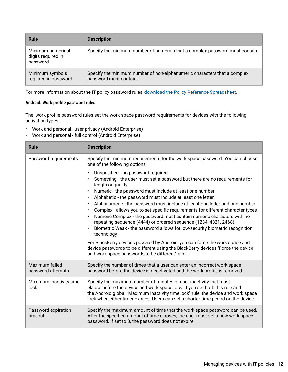| <b>Rule</b>                                         | <b>Description</b>                                                                                 |
|-----------------------------------------------------|----------------------------------------------------------------------------------------------------|
| Minimum numerical<br>digits required in<br>password | Specify the minimum number of numerals that a complex password must contain.                       |
| Minimum symbols<br>required in password             | Specify the minimum number of non-alphanumeric characters that a complex<br>password must contain. |

#### **Android: Work profile password rules**

The work profile password rules set the work space password requirements for devices with the following activation types:

- Work and personal user privacy (Android Enterprise)
- Work and personal full control (Android Enterprise)

| <b>Rule</b>                         | <b>Description</b>                                                                                                                                                                                                                                                                                                                                                                                                                                                                                                                                                                                                                                                                                                                                                                                                                                                                                                          |
|-------------------------------------|-----------------------------------------------------------------------------------------------------------------------------------------------------------------------------------------------------------------------------------------------------------------------------------------------------------------------------------------------------------------------------------------------------------------------------------------------------------------------------------------------------------------------------------------------------------------------------------------------------------------------------------------------------------------------------------------------------------------------------------------------------------------------------------------------------------------------------------------------------------------------------------------------------------------------------|
| Password requirements               | Specify the minimum requirements for the work space password. You can choose<br>one of the following options:                                                                                                                                                                                                                                                                                                                                                                                                                                                                                                                                                                                                                                                                                                                                                                                                               |
|                                     | Unspecified - no password required<br>Something - the user must set a password but there are no requirements for<br>length or quality<br>Numeric - the password must include at least one number<br>Alphabetic - the password must include at least one letter<br>$\bullet$<br>Alphanumeric - the password must include at least one letter and one number<br>Complex - allows you to set specific requirements for different character types<br>$\bullet$<br>Numeric Complex - the password must contain numeric characters with no<br>repeating sequence (4444) or ordered sequence (1234, 4321, 2468).<br>Biometric Weak - the password allows for low-security biometric recognition<br>technology<br>For BlackBerry devices powered by Android, you can force the work space and<br>device passwords to be different using the BlackBerry devices "Force the device<br>and work space passwords to be different" rule. |
| Maximum failed<br>password attempts | Specify the number of times that a user can enter an incorrect work space<br>password before the device is deactivated and the work profile is removed.                                                                                                                                                                                                                                                                                                                                                                                                                                                                                                                                                                                                                                                                                                                                                                     |
| Maximum inactivity time<br>lock     | Specify the maximum number of minutes of user inactivity that must<br>elapse before the device and work space lock. If you set both this rule and<br>the Android global "Maximum inactivity time lock" rule, the device and work space<br>lock when either timer expires. Users can set a shorter time period on the device.                                                                                                                                                                                                                                                                                                                                                                                                                                                                                                                                                                                                |
| Password expiration<br>timeout      | Specify the maximum amount of time that the work space password can be used.<br>After the specified amount of time elapses, the user must set a new work space<br>password. If set to 0, the password does not expire.                                                                                                                                                                                                                                                                                                                                                                                                                                                                                                                                                                                                                                                                                                      |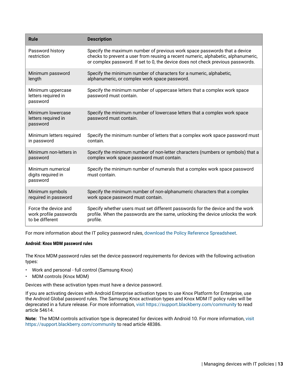| <b>Rule</b>                                          | <b>Description</b>                                                                                                                                                                                                                                |
|------------------------------------------------------|---------------------------------------------------------------------------------------------------------------------------------------------------------------------------------------------------------------------------------------------------|
| Password history<br>restriction                      | Specify the maximum number of previous work space passwords that a device<br>checks to prevent a user from reusing a recent numeric, alphabetic, alphanumeric,<br>or complex password. If set to 0, the device does not check previous passwords. |
| Minimum password                                     | Specify the minimum number of characters for a numeric, alphabetic,                                                                                                                                                                               |
| length                                               | alphanumeric, or complex work space password.                                                                                                                                                                                                     |
| Minimum uppercase<br>letters required in<br>password | Specify the minimum number of uppercase letters that a complex work space<br>password must contain.                                                                                                                                               |
| Minimum lowercase<br>letters required in<br>password | Specify the minimum number of lowercase letters that a complex work space<br>password must contain.                                                                                                                                               |
| Minimum letters required                             | Specify the minimum number of letters that a complex work space password must                                                                                                                                                                     |
| in password                                          | contain.                                                                                                                                                                                                                                          |
| Minimum non-letters in                               | Specify the minimum number of non-letter characters (numbers or symbols) that a                                                                                                                                                                   |
| password                                             | complex work space password must contain.                                                                                                                                                                                                         |
| Minimum numerical<br>digits required in<br>password  | Specify the minimum number of numerals that a complex work space password<br>must contain.                                                                                                                                                        |
| Minimum symbols                                      | Specify the minimum number of non-alphanumeric characters that a complex                                                                                                                                                                          |
| required in password                                 | work space password must contain.                                                                                                                                                                                                                 |
| Force the device and                                 | Specify whether users must set different passwords for the device and the work                                                                                                                                                                    |
| work profile passwords                               | profile. When the passwords are the same, unlocking the device unlocks the work                                                                                                                                                                   |
| to be different                                      | profile.                                                                                                                                                                                                                                          |

#### **Android: Knox MDM password rules**

The Knox MDM password rules set the device password requirements for devices with the following activation types:

- Work and personal full control (Samsung Knox)
- MDM controls (Knox MDM)

Devices with these activation types must have a device password.

If you are activating devices with Android Enterprise activation types to use Knox Platform for Enterprise, use the Android Global password rules. The Samsung Knox activation types and Knox MDM IT policy rules will be deprecated in a future release. For more information, [visit https://support.blackberry.com/community](https://support.blackberry.com/community/s/article/54614) to read article 54614.

**Note:** The MDM controls activation type is deprecated for devices with Android 10. For more information, [visit](https://support.blackberry.com/community/s/article/48386) [https://support.blackberry.com/community](https://support.blackberry.com/community/s/article/48386) to read article 48386.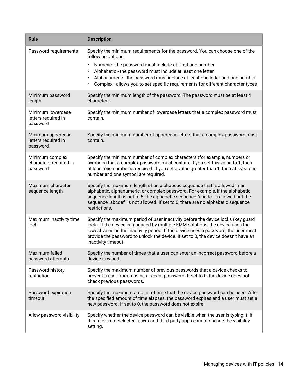| <b>Rule</b>                                           | <b>Description</b>                                                                                                                                                                                                                                                                                                                                                     |
|-------------------------------------------------------|------------------------------------------------------------------------------------------------------------------------------------------------------------------------------------------------------------------------------------------------------------------------------------------------------------------------------------------------------------------------|
| Password requirements                                 | Specify the minimum requirements for the password. You can choose one of the<br>following options:                                                                                                                                                                                                                                                                     |
|                                                       | Numeric - the password must include at least one number<br>٠<br>Alphabetic - the password must include at least one letter<br>Alphanumeric - the password must include at least one letter and one number<br>Complex - allows you to set specific requirements for different character types<br>$\bullet$                                                              |
| Minimum password<br>length                            | Specify the minimum length of the password. The password must be at least 4<br>characters.                                                                                                                                                                                                                                                                             |
| Minimum lowercase<br>letters required in<br>password  | Specify the minimum number of lowercase letters that a complex password must<br>contain.                                                                                                                                                                                                                                                                               |
| Minimum uppercase<br>letters required in<br>password  | Specify the minimum number of uppercase letters that a complex password must<br>contain.                                                                                                                                                                                                                                                                               |
| Minimum complex<br>characters required in<br>password | Specify the minimum number of complex characters (for example, numbers or<br>symbols) that a complex password must contain. If you set this value to 1, then<br>at least one number is required. If you set a value greater than 1, then at least one<br>number and one symbol are required.                                                                           |
| Maximum character<br>sequence length                  | Specify the maximum length of an alphabetic sequence that is allowed in an<br>alphabetic, alphanumeric, or complex password. For example, if the alphabetic<br>sequence length is set to 5, the alphabetic sequence "abcde" is allowed but the<br>sequence "abcdef" is not allowed. If set to 0, there are no alphabetic sequence<br>restrictions.                     |
| Maximum inactivity time<br>lock                       | Specify the maximum period of user inactivity before the device locks (key guard<br>lock). If the device is managed by multiple EMM solutions, the device uses the<br>lowest value as the inactivity period. If the device uses a password, the user must<br>provide the password to unlock the device. If set to 0, the device doesn't have an<br>inactivity timeout. |
| Maximum failed<br>password attempts                   | Specify the number of times that a user can enter an incorrect password before a<br>device is wiped.                                                                                                                                                                                                                                                                   |
| Password history<br>restriction                       | Specify the maximum number of previous passwords that a device checks to<br>prevent a user from reusing a recent password. If set to 0, the device does not<br>check previous passwords.                                                                                                                                                                               |
| Password expiration<br>timeout                        | Specify the maximum amount of time that the device password can be used. After<br>the specified amount of time elapses, the password expires and a user must set a<br>new password. If set to 0, the password does not expire.                                                                                                                                         |
| Allow password visibility                             | Specify whether the device password can be visible when the user is typing it. If<br>this rule is not selected, users and third-party apps cannot change the visibility<br>setting.                                                                                                                                                                                    |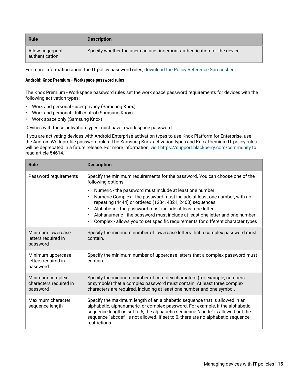| <b>Rule</b>                         | <b>Description</b>                                                          |
|-------------------------------------|-----------------------------------------------------------------------------|
| Allow fingerprint<br>authentication | Specify whether the user can use fingerprint authentication for the device. |

#### **Android: Knox Premium - Workspace password rules**

The Knox Premium - Workspace password rules set the work space password requirements for devices with the following activation types:

- Work and personal user privacy (Samsung Knox)
- Work and personal full control (Samsung Knox)
- Work space only (Samsung Knox)

Devices with these activation types must have a work space password.

If you are activating devices with Android Enterprise activation types to use Knox Platform for Enterprise, use the Android Work profile password rules. The Samsung Knox activation types and Knox Premium IT policy rules will be deprecated in a future release. For more information, [visit https://support.blackberry.com/community](https://support.blackberry.com/community/s/article/54614) to read article 54614.

| <b>Rule</b>                                           | <b>Description</b>                                                                                                                                                                                                                                                                                                                                                                                                                                        |
|-------------------------------------------------------|-----------------------------------------------------------------------------------------------------------------------------------------------------------------------------------------------------------------------------------------------------------------------------------------------------------------------------------------------------------------------------------------------------------------------------------------------------------|
| Password requirements                                 | Specify the minimum requirements for the password. You can choose one of the<br>following options:                                                                                                                                                                                                                                                                                                                                                        |
|                                                       | Numeric - the password must include at least one number<br>$\bullet$<br>Numeric Complex - the password must include at least one number, with no<br>repeating (4444) or ordered (1234, 4321, 2468) sequences<br>Alphabetic - the password must include at least one letter<br>$\bullet$<br>Alphanumeric - the password must include at least one letter and one number<br>Complex - allows you to set specific requirements for different character types |
| Minimum lowercase<br>letters required in<br>password  | Specify the minimum number of lowercase letters that a complex password must<br>contain.                                                                                                                                                                                                                                                                                                                                                                  |
| Minimum uppercase<br>letters required in<br>password  | Specify the minimum number of uppercase letters that a complex password must<br>contain.                                                                                                                                                                                                                                                                                                                                                                  |
| Minimum complex<br>characters required in<br>password | Specify the minimum number of complex characters (for example, numbers<br>or symbols) that a complex password must contain. At least three complex<br>characters are required, including at least one number and one symbol.                                                                                                                                                                                                                              |
| Maximum character<br>sequence length                  | Specify the maximum length of an alphabetic sequence that is allowed in an<br>alphabetic, alphanumeric, or complex password. For example, if the alphabetic<br>sequence length is set to 5, the alphabetic sequence "abcde" is allowed but the<br>sequence "abcdef" is not allowed. If set to 0, there are no alphabetic sequence<br>restrictions.                                                                                                        |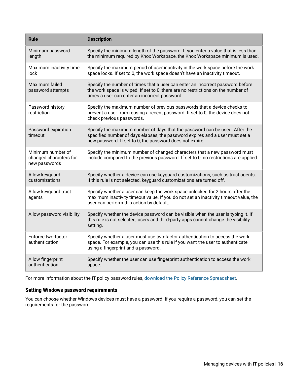| <b>Rule</b>                                                  | <b>Description</b>                                                                                                                                                                                                      |
|--------------------------------------------------------------|-------------------------------------------------------------------------------------------------------------------------------------------------------------------------------------------------------------------------|
| Minimum password<br>length                                   | Specify the minimum length of the password. If you enter a value that is less than<br>the minimum required by Knox Workspace, the Knox Workspace minimum is used.                                                       |
| Maximum inactivity time<br>lock                              | Specify the maximum period of user inactivity in the work space before the work<br>space locks. If set to 0, the work space doesn't have an inactivity timeout.                                                         |
| Maximum failed<br>password attempts                          | Specify the number of times that a user can enter an incorrect password before<br>the work space is wiped. If set to 0, there are no restrictions on the number of<br>times a user can enter an incorrect password.     |
| Password history<br>restriction                              | Specify the maximum number of previous passwords that a device checks to<br>prevent a user from reusing a recent password. If set to 0, the device does not<br>check previous passwords.                                |
| Password expiration<br>timeout                               | Specify the maximum number of days that the password can be used. After the<br>specified number of days elapses, the password expires and a user must set a<br>new password. If set to 0, the password does not expire. |
| Minimum number of<br>changed characters for<br>new passwords | Specify the minimum number of changed characters that a new password must<br>include compared to the previous password. If set to 0, no restrictions are applied.                                                       |
| Allow keyguard<br>customizations                             | Specify whether a device can use keyguard customizations, such as trust agents.<br>If this rule is not selected, keyguard customizations are turned off.                                                                |
| Allow keyguard trust<br>agents                               | Specify whether a user can keep the work space unlocked for 2 hours after the<br>maximum inactivity timeout value. If you do not set an inactivity timeout value, the<br>user can perform this action by default.       |
| Allow password visibility                                    | Specify whether the device password can be visible when the user is typing it. If<br>this rule is not selected, users and third-party apps cannot change the visibility<br>setting.                                     |
| Enforce two-factor<br>authentication                         | Specify whether a user must use two-factor authentication to access the work<br>space. For example, you can use this rule if you want the user to authenticate<br>using a fingerprint and a password.                   |
| Allow fingerprint<br>authentication                          | Specify whether the user can use fingerprint authentication to access the work<br>space.                                                                                                                                |

# <span id="page-15-0"></span>**Setting Windows password requirements**

You can choose whether Windows devices must have a password. If you require a password, you can set the requirements for the password.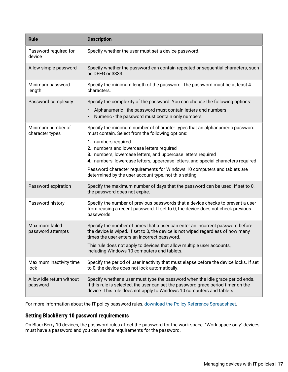| <b>Rule</b>                           | <b>Description</b>                                                                                                                                                                                                                           |
|---------------------------------------|----------------------------------------------------------------------------------------------------------------------------------------------------------------------------------------------------------------------------------------------|
| Password required for<br>device       | Specify whether the user must set a device password.                                                                                                                                                                                         |
| Allow simple password                 | Specify whether the password can contain repeated or sequential characters, such<br>as DEFG or 3333.                                                                                                                                         |
| Minimum password<br>length            | Specify the minimum length of the password. The password must be at least 4<br>characters.                                                                                                                                                   |
| Password complexity                   | Specify the complexity of the password. You can choose the following options:<br>Alphanumeric - the password must contain letters and numbers                                                                                                |
|                                       | Numeric - the password must contain only numbers                                                                                                                                                                                             |
| Minimum number of<br>character types  | Specify the minimum number of character types that an alphanumeric password<br>must contain. Select from the following options:                                                                                                              |
|                                       | 1. numbers required<br>2. numbers and lowercase letters required<br>3. numbers, lowercase letters, and uppercase letters required                                                                                                            |
|                                       | 4. numbers, lowercase letters, uppercase letters, and special characters required<br>Password character requirements for Windows 10 computers and tablets are<br>determined by the user account type, not this setting.                      |
| Password expiration                   | Specify the maximum number of days that the password can be used. If set to 0,<br>the password does not expire.                                                                                                                              |
| Password history                      | Specify the number of previous passwords that a device checks to prevent a user<br>from reusing a recent password. If set to 0, the device does not check previous<br>passwords.                                                             |
| Maximum failed<br>password attempts   | Specify the number of times that a user can enter an incorrect password before<br>the device is wiped. If set to 0, the device is not wiped regardless of how many<br>times the user enters an incorrect password.                           |
|                                       | This rule does not apply to devices that allow multiple user accounts,<br>including Windows 10 computers and tablets.                                                                                                                        |
| Maximum inactivity time<br>lock       | Specify the period of user inactivity that must elapse before the device locks. If set<br>to 0, the device does not lock automatically.                                                                                                      |
| Allow idle return without<br>password | Specify whether a user must type the password when the idle grace period ends.<br>If this rule is selected, the user can set the password grace period timer on the<br>device. This rule does not apply to Windows 10 computers and tablets. |

# <span id="page-16-0"></span>**Setting BlackBerry 10 password requirements**

On BlackBerry 10 devices, the password rules affect the password for the work space. "Work space only" devices must have a password and you can set the requirements for the password.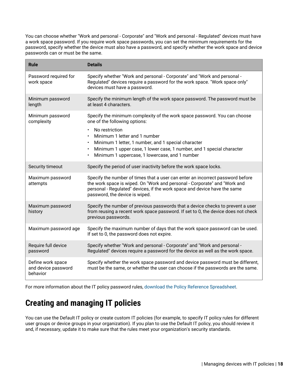You can choose whether "Work and personal - Corporate" and "Work and personal - Regulated" devices must have a work space password. If you require work space passwords, you can set the minimum requirements for the password, specify whether the device must also have a password, and specify whether the work space and device passwords can or must be the same.

| <b>Rule</b>                                          | <b>Details</b>                                                                                                                                                                                                                                                                        |
|------------------------------------------------------|---------------------------------------------------------------------------------------------------------------------------------------------------------------------------------------------------------------------------------------------------------------------------------------|
| Password required for<br>work space                  | Specify whether "Work and personal - Corporate" and "Work and personal -<br>Regulated" devices require a password for the work space. "Work space only"<br>devices must have a password.                                                                                              |
| Minimum password<br>length                           | Specify the minimum length of the work space password. The password must be<br>at least 4 characters.                                                                                                                                                                                 |
| Minimum password<br>complexity                       | Specify the minimum complexity of the work space password. You can choose<br>one of the following options:                                                                                                                                                                            |
|                                                      | No restriction<br>$\bullet$<br>Minimum 1 letter and 1 number<br>Minimum 1 letter, 1 number, and 1 special character<br>$\bullet$<br>Minimum 1 upper case, 1 lower case, 1 number, and 1 special character<br>$\bullet$<br>Minimum 1 uppercase, 1 lowercase, and 1 number<br>$\bullet$ |
| Security timeout                                     | Specify the period of user inactivity before the work space locks.                                                                                                                                                                                                                    |
| Maximum password<br>attempts                         | Specify the number of times that a user can enter an incorrect password before<br>the work space is wiped. On "Work and personal - Corporate" and "Work and<br>personal - Regulated" devices, if the work space and device have the same<br>password, the device is wiped.            |
| Maximum password<br>history                          | Specify the number of previous passwords that a device checks to prevent a user<br>from reusing a recent work space password. If set to 0, the device does not check<br>previous passwords.                                                                                           |
| Maximum password age                                 | Specify the maximum number of days that the work space password can be used.<br>If set to 0, the password does not expire.                                                                                                                                                            |
| Require full device<br>password                      | Specify whether "Work and personal - Corporate" and "Work and personal -<br>Regulated" devices require a password for the device as well as the work space.                                                                                                                           |
| Define work space<br>and device password<br>behavior | Specify whether the work space password and device password must be different,<br>must be the same, or whether the user can choose if the passwords are the same.                                                                                                                     |

For more information about the IT policy password rules, [download the Policy Reference Spreadsheet](https://docs.blackberry.com/content/dam/docs-blackberry-com/release-pdfs/en/blackberry-uem/current/administration/Policy-Reference-Spreadsheet-BlackBerry-UEM.zip).

# <span id="page-17-0"></span>**Creating and managing IT policies**

You can use the Default IT policy or create custom IT policies (for example, to specify IT policy rules for different user groups or device groups in your organization). If you plan to use the Default IT policy, you should review it and, if necessary, update it to make sure that the rules meet your organization's security standards.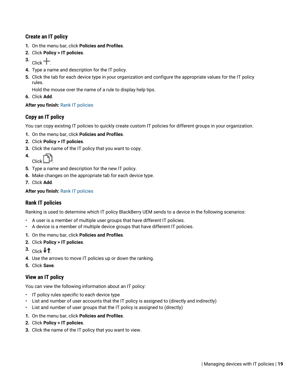# <span id="page-18-0"></span>**Create an IT policy**

- **1.** On the menu bar, click **Policies and Profiles**.
- **2.** Click **Policy > IT policies**.
- $3.$  Click  $+$ .
- **4.** Type a name and description for the IT policy.
- **5.** Click the tab for each device type in your organization and configure the appropriate values for the IT policy rules.

Hold the mouse over the name of a rule to display help tips.

**6.** Click **Add**.

## **After you finish:** [Rank IT policies](#page-18-2)

## <span id="page-18-1"></span>**Copy an IT policy**

You can copy existing IT policies to quickly create custom IT policies for different groups in your organization.

- **1.** On the menu bar, click **Policies and Profiles**.
- **2.** Click **Policy > IT policies**.
- **3.** Click the name of the IT policy that you want to copy.
- **4.** Click .
- **5.** Type a name and description for the new IT policy.
- **6.** Make changes on the appropriate tab for each device type.
- **7.** Click **Add**.

## **After you finish: [Rank IT policies](#page-18-2)**

## <span id="page-18-2"></span>**Rank IT policies**

Ranking is used to determine which IT policy BlackBerry UEM sends to a device in the following scenarios:

- A user is a member of multiple user groups that have different IT policies.
- A device is a member of multiple device groups that have different IT policies.
- **1.** On the menu bar, click **Policies and Profiles**.
- **2.** Click **Policy > IT policies**.
- $3.$  Click  $\downarrow \uparrow$
- **4.** Use the arrows to move IT policies up or down the ranking.
- **5.** Click **Save**.

## <span id="page-18-3"></span>**View an IT policy**

You can view the following information about an IT policy:

- IT policy rules specific to each device type
- List and number of user accounts that the IT policy is assigned to (directly and indirectly)
- List and number of user groups that the IT policy is assigned to (directly)
- **1.** On the menu bar, click **Policies and Profiles**.
- **2.** Click **Policy > IT policies**.
- **3.** Click the name of the IT policy that you want to view.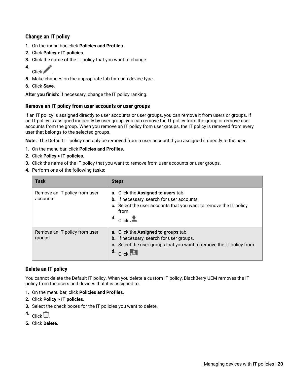# <span id="page-19-0"></span>**Change an IT policy**

- **1.** On the menu bar, click **Policies and Profiles**.
- **2.** Click **Policy > IT policies**.
- **3.** Click the name of the IT policy that you want to change.
- **4.**  $Click \n$
- **5.** Make changes on the appropriate tab for each device type.
- **6.** Click **Save**.

**After you finish:** If necessary, change the IT policy ranking.

### <span id="page-19-1"></span>**Remove an IT policy from user accounts or user groups**

If an IT policy is assigned directly to user accounts or user groups, you can remove it from users or groups. If an IT policy is assigned indirectly by user group, you can remove the IT policy from the group or remove user accounts from the group. When you remove an IT policy from user groups, the IT policy is removed from every user that belongs to the selected groups.

**Note:** The Default IT policy can only be removed from a user account if you assigned it directly to the user.

- **1.** On the menu bar, click **Policies and Profiles**.
- **2.** Click **Policy > IT policies**.
- **3.** Click the name of the IT policy that you want to remove from user accounts or user groups.
- **4.** Perform one of the following tasks:

| Task                                      | <b>Steps</b>                                                                                                                                                                                           |
|-------------------------------------------|--------------------------------------------------------------------------------------------------------------------------------------------------------------------------------------------------------|
| Remove an IT policy from user<br>accounts | a. Click the Assigned to users tab.<br>b. If necessary, search for user accounts.<br>c. Select the user accounts that you want to remove the IT policy<br>from.<br>$\frac{d}{d}$ . Click $\frac{d}{d}$ |
| Remove an IT policy from user<br>groups   | a. Click the Assigned to groups tab.<br>b. If necessary, search for user groups.<br>c. Select the user groups that you want to remove the IT policy from.<br>$d.$ Click $\overline{R}$                 |

### <span id="page-19-2"></span>**Delete an IT policy**

You cannot delete the Default IT policy. When you delete a custom IT policy, BlackBerry UEM removes the IT policy from the users and devices that it is assigned to.

- **1.** On the menu bar, click **Policies and Profiles**.
- **2.** Click **Policy > IT policies**.
- **3.** Select the check boxes for the IT policies you want to delete.
- $\overline{\mathsf{C}}$ lick  $\overline{\mathbb{W}}$
- **5.** Click **Delete**.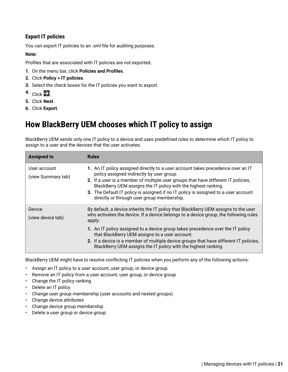# <span id="page-20-0"></span>**Export IT policies**

You can export IT policies to an .xml file for auditing purposes.

### **Note:**

Profiles that are associated with IT policies are not exported.

- **1.** On the menu bar, click **Policies and Profiles**.
- **2.** Click **Policy > IT policies**.
- **3.** Select the check boxes for the IT policies you want to export.
- 4. Click  $\rightarrow$
- **5.** Click **Next**.
- **6.** Click **Export**.

# <span id="page-20-1"></span>**How BlackBerry UEM chooses which IT policy to assign**

BlackBerry UEM sends only one IT policy to a device and uses predefined rules to determine which IT policy to assign to a user and the devices that the user activates.

| <b>Assigned to</b>                 | <b>Rules</b>                                                                                                                                                                                                                                                                                                                                                                                                            |
|------------------------------------|-------------------------------------------------------------------------------------------------------------------------------------------------------------------------------------------------------------------------------------------------------------------------------------------------------------------------------------------------------------------------------------------------------------------------|
| User account<br>(view Summary tab) | 1. An IT policy assigned directly to a user account takes precedence over an IT<br>policy assigned indirectly by user group.<br>2. If a user is a member of multiple user groups that have different IT policies,<br>BlackBerry UEM assigns the IT policy with the highest ranking.<br>3. The Default IT policy is assigned if no IT policy is assigned to a user account<br>directly or through user group membership. |
| Device<br>(view device tab)        | By default, a device inherits the IT policy that BlackBerry UEM assigns to the user<br>who activates the device. If a device belongs to a device group, the following rules<br>apply:<br>1. An IT policy assigned to a device group takes precedence over the IT policy                                                                                                                                                 |
|                                    | that BlackBerry UEM assigns to a user account.<br>2. If a device is a member of multiple device groups that have different IT policies,<br>BlackBerry UEM assigns the IT policy with the highest ranking.                                                                                                                                                                                                               |

BlackBerry UEM might have to resolve conflicting IT policies when you perform any of the following actions:

- Assign an IT policy to a user account, user group, or device group
- Remove an IT policy from a user account, user group, or device group
- Change the IT policy ranking
- Delete an IT policy
- Change user group membership (user accounts and nested groups)
- Change device attributes
- Change device group membership
- Delete a user group or device group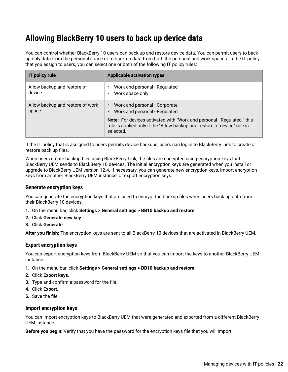# <span id="page-21-0"></span>**Allowing BlackBerry 10 users to back up device data**

You can control whether BlackBerry 10 users can back up and restore device data. You can permit users to back up only data from the personal space or to back up data from both the personal and work spaces. In the IT policy that you assign to users, you can select one or both of the following IT policy rules:

| <b>IT policy rule</b>                     | <b>Applicable activation types</b>                                                                                                                                     |
|-------------------------------------------|------------------------------------------------------------------------------------------------------------------------------------------------------------------------|
| Allow backup and restore of<br>device     | Work and personal - Regulated<br>Work space only                                                                                                                       |
| Allow backup and restore of work<br>space | Work and personal - Corporate<br>$\bullet$<br>Work and personal - Regulated                                                                                            |
|                                           | <b>Note:</b> For devices activated with "Work and personal - Regulated," this<br>rule is applied only if the "Allow backup and restore of device" rule is<br>selected. |

If the IT policy that is assigned to users permits device backups, users can log in to BlackBerry Link to create or restore back up files.

When users create backup files using BlackBerry Link, the files are encrypted using encryption keys that BlackBerry UEM sends to BlackBerry 10 devices. The initial encryption keys are generated when you install or upgrade to BlackBerry UEM version 12.4. If necessary, you can generate new encryption keys, import encryption keys from another BlackBerry UEM instance, or export encryption keys.

### <span id="page-21-1"></span>**Generate encryption keys**

You can generate the encryption keys that are used to encrypt the backup files when users back up data from their BlackBerry 10 devices.

- **1.** On the menu bar, click **Settings > General settings > BB10 backup and restore**.
- **2.** Click **Generate new key**.
- **3.** Click **Generate**.

**After you finish:** The encryption keys are sent to all BlackBerry 10 devices that are activated in BlackBerry UEM.

### <span id="page-21-2"></span>**Export encryption keys**

You can export encryption keys from BlackBerry UEM so that you can import the keys to another BlackBerry UEM instance.

- **1.** On the menu bar, click **Settings > General settings > BB10 backup and restore**.
- **2.** Click **Export keys**.
- **3.** Type and confirm a password for the file.
- **4.** Click **Export**.
- **5.** Save the file.

#### <span id="page-21-3"></span>**Import encryption keys**

You can import encryption keys to BlackBerry UEM that were generated and exported from a different BlackBerry UEM instance.

**Before you begin:** Verify that you have the password for the encryption keys file that you will import.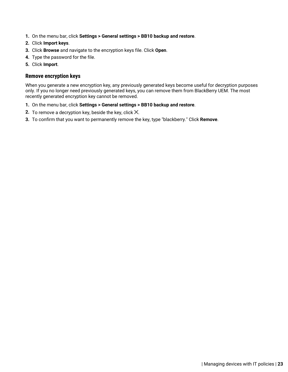- **1.** On the menu bar, click **Settings > General settings > BB10 backup and restore**.
- **2.** Click **Import keys**.
- **3.** Click **Browse** and navigate to the encryption keys file. Click **Open**.
- **4.** Type the password for the file.
- **5.** Click **Import**.

### <span id="page-22-0"></span>**Remove encryption keys**

When you generate a new encryption key, any previously generated keys become useful for decryption purposes only. If you no longer need previously generated keys, you can remove them from BlackBerry UEM. The most recently generated encryption key cannot be removed.

- **1.** On the menu bar, click **Settings > General settings > BB10 backup and restore**.
- **2.** To remove a decryption key, beside the key, click  $\times$ .
- **3.** To confirm that you want to permanently remove the key, type "blackberry." Click **Remove**.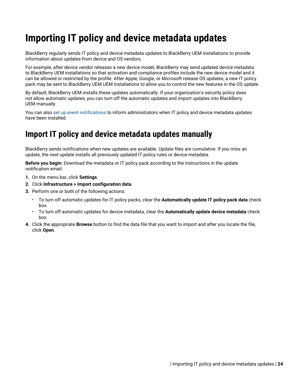# <span id="page-23-0"></span>**Importing IT policy and device metadata updates**

BlackBerry regularly sends IT policy and device metadata updates to BlackBerry UEM installations to provide information about updates from device and OS vendors.

For example, after device vendor releases a new device model, BlackBerry may send updated device metadata to BlackBerry UEM installations so that activation and compliance profiles include the new device model and it can be allowed or restricted by the profile. After Apple, Google, or Microsoft release OS updates, a new IT policy pack may be sent to BlackBerry UEM UEM installations to allow you to control the new features in the OS update.

By default, BlackBerry UEM installs these updates automatically. If your organization's security policy does not allow automatic updates, you can turn off the automatic updates and import updates into BlackBerry UEM manually.

You can also [set up event notifications](https://docs.blackberry.com/en/endpoint-management/blackberry-uem/12_13/administration/monitoring-reporting/event-notifications.html) to inform administrators when IT policy and device metadata updates have been installed.

# <span id="page-23-1"></span>**Import IT policy and device metadata updates manually**

BlackBerry sends notifications when new updates are available. Update files are cumulative. If you miss an update, the next update installs all previously updated IT policy rules or device metadata.

**Before you begin:** Download the metadata or IT policy pack according to the instructions in the update notification email.

- **1.** On the menu bar, click **Settings**.
- **2.** Click **Infrastructure > Import configuration data**.
- **3.** Perform one or both of the following actions:
	- To turn off automatic updates for IT policy packs, clear the **Automatically update IT policy pack data** check box.
	- To turn off automatic updates for device metadata, clear the **Automatically update device metadata** check box.
- **4.** Click the appropriate **Browse** button to find the data file that you want to import and after you locate the file, click **Open**.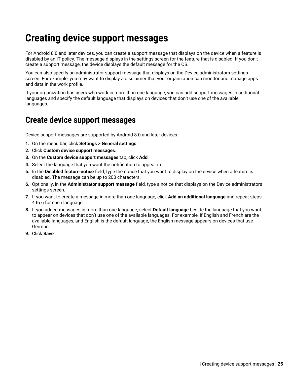# <span id="page-24-0"></span>**Creating device support messages**

For Android 8.0 and later devices, you can create a support message that displays on the device when a feature is disabled by an IT policy. The message displays in the settings screen for the feature that is disabled. If you don't create a support message, the device displays the default message for the OS.

You can also specify an administrator support message that displays on the Device administrators settings screen. For example, you may want to display a disclaimer that your organization can monitor and manage apps and data in the work profile.

If your organization has users who work in more than one language, you can add support messages in additional languages and specify the default language that displays on devices that don't use one of the available languages.

# <span id="page-24-1"></span>**Create device support messages**

Device support messages are supported by Android 8.0 and later devices.

- **1.** On the menu bar, click **Settings > General settings**.
- **2.** Click **Custom device support messages**.
- **3.** On the **Custom device support messages** tab, click **Add**.
- **4.** Select the language that you want the notification to appear in.
- **5.** In the **Disabled feature notice** field, type the notice that you want to display on the device when a feature is disabled. The message can be up to 200 characters.
- **6.** Optionally, in the **Administrator support message** field, type a notice that displays on the Device administrators settings screen.
- **7.** If you want to create a message in more than one language, click **Add an additional language** and repeat steps 4 to 6 for each language.
- **8.** If you added messages in more than one language, select **Default language** beside the language that you want to appear on devices that don't use one of the available languages. For example, if English and French are the available languages, and English is the default language, the English message appears on devices that use German.
- **9.** Click **Save**.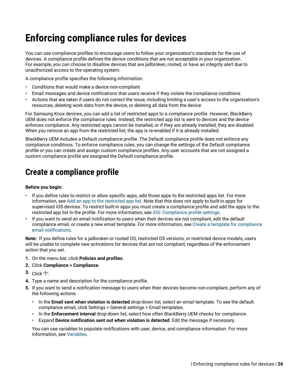# <span id="page-25-0"></span>**Enforcing compliance rules for devices**

You can use compliance profiles to encourage users to follow your organization's standards for the use of devices. A compliance profile defines the device conditions that are not acceptable in your organization. For example, you can choose to disallow devices that are jailbroken, rooted, or have an integrity alert due to unauthorized access to the operating system.

A compliance profile specifies the following information:

- Conditions that would make a device non-compliant
- Email messages and device notifications that users receive if they violate the compliance conditions
- Actions that are taken if users do not correct the issue, including limiting a user's access to the organization's resources, deleting work data from the device, or deleting all data from the device

For Samsung Knox devices, you can add a list of restricted apps to a compliance profile. However, BlackBerry UEM does not enforce the compliance rules. Instead, the restricted app list is sent to devices and the device enforces compliance. Any restricted apps cannot be installed, or if they are already installed, they are disabled. When you remove an app from the restricted list, the app is re-enabled if it is already installed.

BlackBerry UEM includes a Default compliance profile. The Default compliance profile does not enforce any compliance conditions. To enforce compliance rules, you can change the settings of the Default compliance profile or you can create and assign custom compliance profiles. Any user accounts that are not assigned a custom compliance profile are assigned the Default compliance profile.

# <span id="page-25-1"></span>**Create a compliance profile**

#### **Before you begin:**

- If you define rules to restrict or allow specific apps, add those apps to the restricted apps list. For more information, see [Add an app to the restricted app list](https://docs.blackberry.com/en/endpoint-management/blackberry-uem/12_13/administration/managing-apps/preventing-users-from-installing-specific-apps/adr1409325926589.html). Note that this does not apply to built-in apps for supervised iOS devices. To restrict built-in apps you must create a compliance profile and add the apps to the restricted app list in the profile. For more information, see [iOS: Compliance profile settings.](#page-30-0)
- If you want to send an email notification to users when their devices are not compliant, edit the default compliance email, or create a new email template. For more information, see [Create a template for compliance](https://docs.blackberry.com/en/endpoint-management/blackberry-uem/12_13/administration/profiles-variables-email-templates/activation-email-templates/gqh1461096836551) [email notifications](https://docs.blackberry.com/en/endpoint-management/blackberry-uem/12_13/administration/profiles-variables-email-templates/activation-email-templates/gqh1461096836551).

**Note:** If you define rules for a jailbroken or rooted OS, restricted OS versions, or restricted device models, users will be unable to complete new activations for devices that are not compliant, regardless of the enforcement action that you set.

- **1.** On the menu bar, click **Policies and profiles**.
- **2.** Click **Compliance > Compliance**.
- $3.$  Click  $+$ .
- **4.** Type a name and description for the compliance profile.
- **5.** If you want to send a notification message to users when their devices become non-compliant, perform any of the following actions:
	- In the **Email sent when violation is detected** drop-down list, select an email template. To see the default compliance email, click Settings > General settings > Email templates.
	- In the **Enforcement interval** drop-down list, select how often BlackBerry UEM checks for compliance.
	- Expand **Device notification sent out when violation is detected**. Edit the message if necessary.

You can use variables to populate notifications with user, device, and compliance information. For more information, see [Variables.](https://docs.blackberry.com/en/endpoint-management/blackberry-uem/12_13/administration/profiles-variables-email-templates/variables)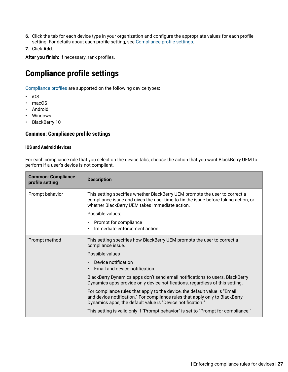- **6.** Click the tab for each device type in your organization and configure the appropriate values for each profile setting. For details about each profile setting, see [Compliance profile settings](#page-26-0).
- **7.** Click **Add**.

**After you finish:** If necessary, rank profiles.

# <span id="page-26-0"></span>**Compliance profile settings**

[Compliance profiles](#page-25-1) are supported on the following device types:

- iOS
- macOS
- Android
- Windows
- BlackBerry 10

### <span id="page-26-1"></span>**Common: Compliance profile settings**

#### **iOS and Android devices**

For each compliance rule that you select on the device tabs, choose the action that you want BlackBerry UEM to perform if a user's device is not compliant.

| <b>Common: Compliance</b><br>profile setting | <b>Description</b>                                                                                                                                                                                                       |
|----------------------------------------------|--------------------------------------------------------------------------------------------------------------------------------------------------------------------------------------------------------------------------|
| Prompt behavior                              | This setting specifies whether BlackBerry UEM prompts the user to correct a<br>compliance issue and gives the user time to fix the issue before taking action, or<br>whether BlackBerry UEM takes immediate action.      |
|                                              | Possible values:                                                                                                                                                                                                         |
|                                              | Prompt for compliance<br>$\bullet$<br>Immediate enforcement action                                                                                                                                                       |
| Prompt method                                | This setting specifies how BlackBerry UEM prompts the user to correct a<br>compliance issue.                                                                                                                             |
|                                              | Possible values                                                                                                                                                                                                          |
|                                              | Device notification<br>$\bullet$<br>Email and device notification<br>$\bullet$                                                                                                                                           |
|                                              | BlackBerry Dynamics apps don't send email notifications to users. BlackBerry<br>Dynamics apps provide only device notifications, regardless of this setting.                                                             |
|                                              | For compliance rules that apply to the device, the default value is "Email<br>and device notification." For compliance rules that apply only to BlackBerry<br>Dynamics apps, the default value is "Device notification." |
|                                              | This setting is valid only if "Prompt behavior" is set to "Prompt for compliance."                                                                                                                                       |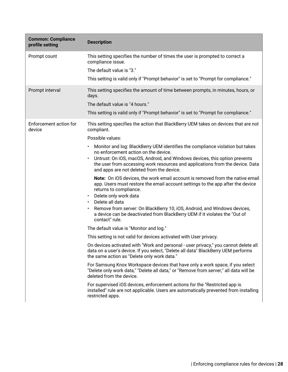| <b>Common: Compliance</b><br>profile setting | <b>Description</b>                                                                                                                                                                                                                                              |
|----------------------------------------------|-----------------------------------------------------------------------------------------------------------------------------------------------------------------------------------------------------------------------------------------------------------------|
| Prompt count                                 | This setting specifies the number of times the user is prompted to correct a<br>compliance issue.                                                                                                                                                               |
|                                              | The default value is "3."                                                                                                                                                                                                                                       |
|                                              | This setting is valid only if "Prompt behavior" is set to "Prompt for compliance."                                                                                                                                                                              |
| Prompt interval                              | This setting specifies the amount of time between prompts, in minutes, hours, or<br>days.                                                                                                                                                                       |
|                                              | The default value is "4 hours."                                                                                                                                                                                                                                 |
|                                              | This setting is valid only if "Prompt behavior" is set to "Prompt for compliance."                                                                                                                                                                              |
| Enforcement action for<br>device             | This setting specifies the action that BlackBerry UEM takes on devices that are not<br>compliant.                                                                                                                                                               |
|                                              | Possible values:                                                                                                                                                                                                                                                |
|                                              | Monitor and log: BlackBerry UEM identifies the compliance violation but takes<br>$\bullet$<br>no enforcement action on the device.                                                                                                                              |
|                                              | Untrust: On iOS, macOS, Android, and Windows devices, this option prevents<br>$\bullet$<br>the user from accessing work resources and applications from the device. Data<br>and apps are not deleted from the device.                                           |
|                                              | Note: On iOS devices, the work email account is removed from the native email<br>app. Users must restore the email account settings to the app after the device<br>returns to compliance.<br>Delete only work data<br>$\bullet$<br>Delete all data<br>$\bullet$ |
|                                              | Remove from server: On BlackBerry 10, iOS, Android, and Windows devices,<br>$\bullet$<br>a device can be deactivated from BlackBerry UEM if it violates the "Out of<br>contact" rule.                                                                           |
|                                              | The default value is "Monitor and log."                                                                                                                                                                                                                         |
|                                              | This setting is not valid for devices activated with User privacy.                                                                                                                                                                                              |
|                                              | On devices activated with "Work and personal - user privacy," you cannot delete all<br>data on a user's device. If you select, "Delete all data" BlackBerry UEM performs<br>the same action as "Delete only work data."                                         |
|                                              | For Samsung Knox Workspace devices that have only a work space, if you select<br>"Delete only work data," "Delete all data," or "Remove from server," all data will be<br>deleted from the device.                                                              |
|                                              | For supervised iOS devices, enforcement actions for the "Restricted app is<br>installed" rule are not applicable. Users are automatically prevented from installing<br>restricted apps.                                                                         |
|                                              |                                                                                                                                                                                                                                                                 |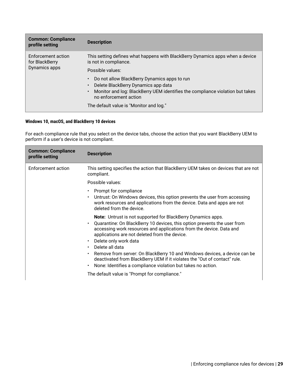| <b>Common: Compliance</b><br>profile setting          | <b>Description</b>                                                                                                                                                                                                                                           |
|-------------------------------------------------------|--------------------------------------------------------------------------------------------------------------------------------------------------------------------------------------------------------------------------------------------------------------|
| Enforcement action<br>for BlackBerry<br>Dynamics apps | This setting defines what happens with BlackBerry Dynamics apps when a device<br>is not in compliance.                                                                                                                                                       |
|                                                       | Possible values:<br>Do not allow BlackBerry Dynamics apps to run<br>Delete BlackBerry Dynamics app data<br>Monitor and log: BlackBerry UEM identifies the compliance violation but takes<br>no enforcement action<br>The default value is "Monitor and log." |

### **Windows 10, macOS, and BlackBerry 10 devices**

For each compliance rule that you select on the device tabs, choose the action that you want BlackBerry UEM to perform if a user's device is not compliant.

| <b>Common: Compliance</b><br>profile setting | <b>Description</b>                                                                                                                                                                                                                                                                                                                                                                                                                                                                                                                                                                                |
|----------------------------------------------|---------------------------------------------------------------------------------------------------------------------------------------------------------------------------------------------------------------------------------------------------------------------------------------------------------------------------------------------------------------------------------------------------------------------------------------------------------------------------------------------------------------------------------------------------------------------------------------------------|
| Enforcement action                           | This setting specifies the action that BlackBerry UEM takes on devices that are not<br>compliant.                                                                                                                                                                                                                                                                                                                                                                                                                                                                                                 |
|                                              | Possible values:                                                                                                                                                                                                                                                                                                                                                                                                                                                                                                                                                                                  |
|                                              | Prompt for compliance<br>$\bullet$<br>Untrust: On Windows devices, this option prevents the user from accessing<br>$\bullet$<br>work resources and applications from the device. Data and apps are not<br>deleted from the device.                                                                                                                                                                                                                                                                                                                                                                |
|                                              | <b>Note:</b> Untrust is not supported for BlackBerry Dynamics apps.<br>Quarantine: On BlackBerry 10 devices, this option prevents the user from<br>$\bullet$<br>accessing work resources and applications from the device. Data and<br>applications are not deleted from the device.<br>Delete only work data<br>$\bullet$<br>Delete all data<br>$\bullet$<br>Remove from server: On BlackBerry 10 and Windows devices, a device can be<br>$\bullet$<br>deactivated from BlackBerry UEM if it violates the "Out of contact" rule.<br>None: Identifies a compliance violation but takes no action. |
|                                              | The default value is "Prompt for compliance."                                                                                                                                                                                                                                                                                                                                                                                                                                                                                                                                                     |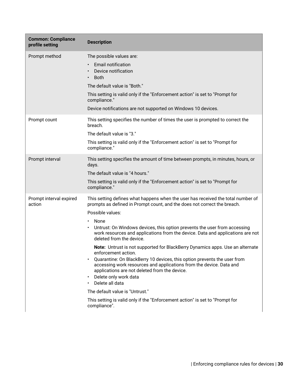| <b>Common: Compliance</b><br>profile setting | <b>Description</b>                                                                                                                                                                                                                                                                                                                                                                                                                                                                                                                                                                                                                                                                                                                                                                                                                                                                                                                              |
|----------------------------------------------|-------------------------------------------------------------------------------------------------------------------------------------------------------------------------------------------------------------------------------------------------------------------------------------------------------------------------------------------------------------------------------------------------------------------------------------------------------------------------------------------------------------------------------------------------------------------------------------------------------------------------------------------------------------------------------------------------------------------------------------------------------------------------------------------------------------------------------------------------------------------------------------------------------------------------------------------------|
| Prompt method                                | The possible values are:<br><b>Email notification</b><br>$\bullet$<br>Device notification<br><b>Both</b><br>$\bullet$<br>The default value is "Both."<br>This setting is valid only if the "Enforcement action" is set to "Prompt for<br>compliance."<br>Device notifications are not supported on Windows 10 devices.                                                                                                                                                                                                                                                                                                                                                                                                                                                                                                                                                                                                                          |
| Prompt count                                 | This setting specifies the number of times the user is prompted to correct the<br>breach.<br>The default value is "3."<br>This setting is valid only if the "Enforcement action" is set to "Prompt for<br>compliance."                                                                                                                                                                                                                                                                                                                                                                                                                                                                                                                                                                                                                                                                                                                          |
| Prompt interval                              | This setting specifies the amount of time between prompts, in minutes, hours, or<br>days.<br>The default value is "4 hours."<br>This setting is valid only if the "Enforcement action" is set to "Prompt for<br>compliance."                                                                                                                                                                                                                                                                                                                                                                                                                                                                                                                                                                                                                                                                                                                    |
| Prompt interval expired<br>action            | This setting defines what happens when the user has received the total number of<br>prompts as defined in Prompt count, and the does not correct the breach.<br>Possible values:<br>None<br>$\bullet$<br>Untrust: On Windows devices, this option prevents the user from accessing<br>$\bullet$<br>work resources and applications from the device. Data and applications are not<br>deleted from the device.<br>Note: Untrust is not supported for BlackBerry Dynamics apps. Use an alternate<br>enforcement action.<br>Quarantine: On BlackBerry 10 devices, this option prevents the user from<br>$\bullet$<br>accessing work resources and applications from the device. Data and<br>applications are not deleted from the device.<br>Delete only work data<br>$\bullet$<br>Delete all data<br>$\bullet$<br>The default value is "Untrust."<br>This setting is valid only if the "Enforcement action" is set to "Prompt for<br>compliance". |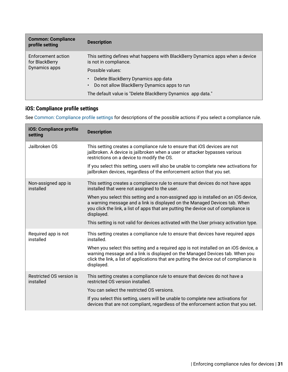| <b>Common: Compliance</b><br>profile setting          | <b>Description</b>                                                                                     |
|-------------------------------------------------------|--------------------------------------------------------------------------------------------------------|
| Enforcement action<br>for BlackBerry<br>Dynamics apps | This setting defines what happens with BlackBerry Dynamics apps when a device<br>is not in compliance. |
|                                                       | Possible values:                                                                                       |
|                                                       | Delete BlackBerry Dynamics app data<br>Do not allow BlackBerry Dynamics apps to run                    |
|                                                       | The default value is "Delete BlackBerry Dynamics app data."                                            |

# <span id="page-30-0"></span>**iOS: Compliance profile settings**

See [Common: Compliance profile settings](#page-26-1) for descriptions of the possible actions if you select a compliance rule.

| iOS: Compliance profile<br>setting    | <b>Description</b>                                                                                                                                                                                                                                                            |
|---------------------------------------|-------------------------------------------------------------------------------------------------------------------------------------------------------------------------------------------------------------------------------------------------------------------------------|
| Jailbroken OS                         | This setting creates a compliance rule to ensure that iOS devices are not<br>jailbroken. A device is jailbroken when a user or attacker bypasses various<br>restrictions on a device to modify the OS.                                                                        |
|                                       | If you select this setting, users will also be unable to complete new activations for<br>jailbroken devices, regardless of the enforcement action that you set.                                                                                                               |
| Non-assigned app is<br>installed      | This setting creates a compliance rule to ensure that devices do not have apps<br>installed that were not assigned to the user.                                                                                                                                               |
|                                       | When you select this setting and a non-assigned app is installed on an iOS device,<br>a warning message and a link is displayed on the Managed Devices tab. When<br>you click the link, a list of apps that are putting the device out of compliance is<br>displayed.         |
|                                       | This setting is not valid for devices activated with the User privacy activation type.                                                                                                                                                                                        |
| Required app is not<br>installed      | This setting creates a compliance rule to ensure that devices have required apps<br>installed.                                                                                                                                                                                |
|                                       | When you select this setting and a required app is not installed on an iOS device, a<br>warning message and a link is displayed on the Managed Devices tab. When you<br>click the link, a list of applications that are putting the device out of compliance is<br>displayed. |
| Restricted OS version is<br>installed | This setting creates a compliance rule to ensure that devices do not have a<br>restricted OS version installed.                                                                                                                                                               |
|                                       | You can select the restricted OS versions.                                                                                                                                                                                                                                    |
|                                       | If you select this setting, users will be unable to complete new activations for<br>devices that are not compliant, regardless of the enforcement action that you set.                                                                                                        |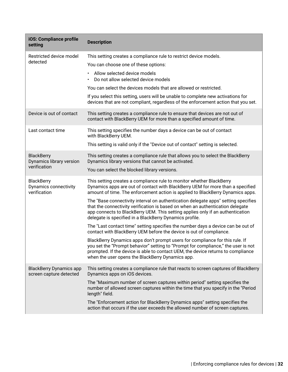| iOS: Compliance profile<br>setting                         | <b>Description</b>                                                                                                                                                                                                                                                                                                |
|------------------------------------------------------------|-------------------------------------------------------------------------------------------------------------------------------------------------------------------------------------------------------------------------------------------------------------------------------------------------------------------|
| Restricted device model                                    | This setting creates a compliance rule to restrict device models.                                                                                                                                                                                                                                                 |
| detected                                                   | You can choose one of these options:                                                                                                                                                                                                                                                                              |
|                                                            | Allow selected device models<br>Do not allow selected device models                                                                                                                                                                                                                                               |
|                                                            | You can select the devices models that are allowed or restricted.                                                                                                                                                                                                                                                 |
|                                                            | If you select this setting, users will be unable to complete new activations for<br>devices that are not compliant, regardless of the enforcement action that you set.                                                                                                                                            |
| Device is out of contact                                   | This setting creates a compliance rule to ensure that devices are not out of<br>contact with BlackBerry UEM for more than a specified amount of time.                                                                                                                                                             |
| Last contact time                                          | This setting specifies the number days a device can be out of contact<br>with BlackBerry UEM.                                                                                                                                                                                                                     |
|                                                            | This setting is valid only if the "Device out of contact" setting is selected.                                                                                                                                                                                                                                    |
| <b>BlackBerry</b><br>Dynamics library version              | This setting creates a compliance rule that allows you to select the BlackBerry<br>Dynamics library versions that cannot be activated.                                                                                                                                                                            |
| verification                                               | You can select the blocked library versions.                                                                                                                                                                                                                                                                      |
| <b>BlackBerry</b><br>Dynamics connectivity<br>verification | This setting creates a compliance rule to monitor whether BlackBerry<br>Dynamics apps are out of contact with BlackBerry UEM for more than a specified<br>amount of time. The enforcement action is applied to BlackBerry Dynamics apps.                                                                          |
|                                                            | The "Base connectivity interval on authentication delegate apps" setting specifies<br>that the connectivity verification is based on when an authentication delegate<br>app connects to BlackBerry UEM. This setting applies only if an authentication<br>delegate is specified in a BlackBerry Dynamics profile. |
|                                                            | The "Last contact time" setting specifies the number days a device can be out of<br>contact with BlackBerry UEM before the device is out of compliance.                                                                                                                                                           |
|                                                            | BlackBerry Dynamics apps don't prompt users for compliance for this rule. If<br>you set the "Prompt behavior" setting to "Prompt for compliance," the user is not<br>prompted. If the device is able to contact UEM, the device returns to compliance<br>when the user opens the BlackBerry Dynamics app.         |
| <b>BlackBerry Dynamics app</b><br>screen capture detected  | This setting creates a compliance rule that reacts to screen captures of BlackBerry<br>Dynamics apps on iOS devices.                                                                                                                                                                                              |
|                                                            | The "Maximum number of screen captures within period" setting specifies the<br>number of allowed screen captures within the time that you specify in the "Period<br>length" field.                                                                                                                                |
|                                                            | The "Enforcement action for BlackBerry Dynamics apps" setting specifies the<br>action that occurs if the user exceeds the allowed number of screen captures.                                                                                                                                                      |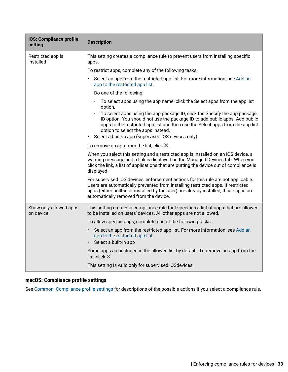| iOS: Compliance profile<br>setting  | <b>Description</b>                                                                                                                                                                                                                                                                                                                       |
|-------------------------------------|------------------------------------------------------------------------------------------------------------------------------------------------------------------------------------------------------------------------------------------------------------------------------------------------------------------------------------------|
| Restricted app is<br>installed      | This setting creates a compliance rule to prevent users from installing specific<br>apps.                                                                                                                                                                                                                                                |
|                                     | To restrict apps, complete any of the following tasks:                                                                                                                                                                                                                                                                                   |
|                                     | Select an app from the restricted app list. For more information, see Add an<br>app to the restricted app list.                                                                                                                                                                                                                          |
|                                     | Do one of the following:                                                                                                                                                                                                                                                                                                                 |
|                                     | To select apps using the app name, click the Select apps from the app list<br>$\bullet$<br>option.                                                                                                                                                                                                                                       |
|                                     | To select apps using the app package ID, click the Specify the app package<br>ID option. You should not use the package ID to add public apps. Add public<br>apps to the restricted app list and then use the Select apps from the app list<br>option to select the apps instead.<br>Select a built-in app (supervised iOS devices only) |
|                                     | To remove an app from the list, click $\times$                                                                                                                                                                                                                                                                                           |
|                                     | When you select this setting and a restricted app is installed on an iOS device, a<br>warning message and a link is displayed on the Managed Devices tab. When you<br>click the link, a list of applications that are putting the device out of compliance is<br>displayed.                                                              |
|                                     | For supervised iOS devices, enforcement actions for this rule are not applicable.<br>Users are automatically prevented from installing restricted apps. If restricted<br>apps (either built-in or installed by the user) are already installed, those apps are<br>automatically removed from the device.                                 |
| Show only allowed apps<br>on device | This setting creates a compliance rule that specifies a list of apps that are allowed<br>to be installed on users' devices. All other apps are not allowed.                                                                                                                                                                              |
|                                     | To allow specific apps, complete one of the following tasks:                                                                                                                                                                                                                                                                             |
|                                     | Select an app from the restricted app list. For more information, see Add an<br>app to the restricted app list.<br>Select a built-in app                                                                                                                                                                                                 |
|                                     | Some apps are included in the allowed list by default. To remove an app from the<br>list, click $\times$ .                                                                                                                                                                                                                               |
|                                     | This setting is valid only for supervised iOSdevices.                                                                                                                                                                                                                                                                                    |

# <span id="page-32-0"></span>**macOS: Compliance profile settings**

See [Common: Compliance profile settings](#page-26-1) for descriptions of the possible actions if you select a compliance rule.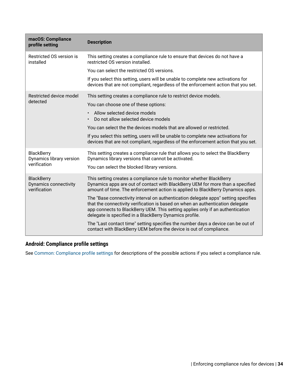| macOS: Compliance<br>profile setting                       | <b>Description</b>                                                                                                                                                                                                                                                                                                |
|------------------------------------------------------------|-------------------------------------------------------------------------------------------------------------------------------------------------------------------------------------------------------------------------------------------------------------------------------------------------------------------|
| Restricted OS version is<br>installed                      | This setting creates a compliance rule to ensure that devices do not have a<br>restricted OS version installed.                                                                                                                                                                                                   |
|                                                            | You can select the restricted OS versions.                                                                                                                                                                                                                                                                        |
|                                                            | If you select this setting, users will be unable to complete new activations for<br>devices that are not compliant, regardless of the enforcement action that you set.                                                                                                                                            |
| Restricted device model<br>detected                        | This setting creates a compliance rule to restrict device models.                                                                                                                                                                                                                                                 |
|                                                            | You can choose one of these options:                                                                                                                                                                                                                                                                              |
|                                                            | Allow selected device models<br>Do not allow selected device models                                                                                                                                                                                                                                               |
|                                                            | You can select the the devices models that are allowed or restricted.                                                                                                                                                                                                                                             |
|                                                            | If you select this setting, users will be unable to complete new activations for<br>devices that are not compliant, regardless of the enforcement action that you set.                                                                                                                                            |
| <b>BlackBerry</b><br>Dynamics library version              | This setting creates a compliance rule that allows you to select the BlackBerry<br>Dynamics library versions that cannot be activated.                                                                                                                                                                            |
| verification                                               | You can select the blocked library versions.                                                                                                                                                                                                                                                                      |
| <b>BlackBerry</b><br>Dynamics connectivity<br>verification | This setting creates a compliance rule to monitor whether BlackBerry<br>Dynamics apps are out of contact with BlackBerry UEM for more than a specified<br>amount of time. The enforcement action is applied to BlackBerry Dynamics apps.                                                                          |
|                                                            | The "Base connectivity interval on authentication delegate apps" setting specifies<br>that the connectivity verification is based on when an authentication delegate<br>app connects to BlackBerry UEM. This setting applies only if an authentication<br>delegate is specified in a BlackBerry Dynamics profile. |
|                                                            | The "Last contact time" setting specifies the number days a device can be out of<br>contact with BlackBerry UEM before the device is out of compliance.                                                                                                                                                           |

# <span id="page-33-0"></span>**Android: Compliance profile settings**

See [Common: Compliance profile settings](#page-26-1) for descriptions of the possible actions if you select a compliance rule.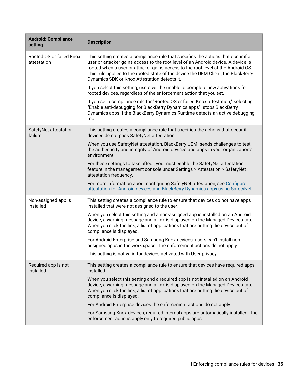| <b>Android: Compliance</b><br>setting   | <b>Description</b>                                                                                                                                                                                                                                                                                                                                                                               |
|-----------------------------------------|--------------------------------------------------------------------------------------------------------------------------------------------------------------------------------------------------------------------------------------------------------------------------------------------------------------------------------------------------------------------------------------------------|
| Rooted OS or failed Knox<br>attestation | This setting creates a compliance rule that specifies the actions that occur if a<br>user or attacker gains access to the root level of an Android device. A device is<br>rooted when a user or attacker gains access to the root level of the Android OS.<br>This rule applies to the rooted state of the device the UEM Client, the BlackBerry<br>Dynamics SDK or Knox Attestation detects it. |
|                                         | If you select this setting, users will be unable to complete new activations for<br>rooted devices, regardless of the enforcement action that you set.                                                                                                                                                                                                                                           |
|                                         | If you set a compliance rule for "Rooted OS or failed Knox attestation," selecting<br>"Enable anti-debugging for BlackBerry Dynamics apps" stops BlackBerry<br>Dynamics apps if the BlackBerry Dynamics Runtime detects an active debugging<br>tool.                                                                                                                                             |
| SafetyNet attestation<br>failure        | This setting creates a compliance rule that specifies the actions that occur if<br>devices do not pass SafetyNet attestation.                                                                                                                                                                                                                                                                    |
|                                         | When you use SafetyNet attestation, BlackBerry UEM sends challenges to test<br>the authenticity and integrity of Android devices and apps in your organization's<br>environment.                                                                                                                                                                                                                 |
|                                         | For these settings to take affect, you must enable the SafetyNet attestation<br>feature in the management console under Settings > Attestation > SafetyNet<br>attestation frequency.                                                                                                                                                                                                             |
|                                         | For more information about configuring SafetyNet attestation, see Configure<br>attestation for Android devices and BlackBerry Dynamics apps using SafetyNet.                                                                                                                                                                                                                                     |
| Non-assigned app is<br>installed        | This setting creates a compliance rule to ensure that devices do not have apps<br>installed that were not assigned to the user.                                                                                                                                                                                                                                                                  |
|                                         | When you select this setting and a non-assigned app is installed on an Android<br>device, a warning message and a link is displayed on the Managed Devices tab.<br>When you click the link, a list of applications that are putting the device out of<br>compliance is displayed.                                                                                                                |
|                                         | For Android Enterprise and Samsung Knox devices, users can't install non-<br>assigned apps in the work space. The enforcement actions do not apply.                                                                                                                                                                                                                                              |
|                                         | This setting is not valid for devices activated with User privacy.                                                                                                                                                                                                                                                                                                                               |
| Required app is not<br>installed        | This setting creates a compliance rule to ensure that devices have required apps<br>installed.                                                                                                                                                                                                                                                                                                   |
|                                         | When you select this setting and a required app is not installed on an Android<br>device, a warning message and a link is displayed on the Managed Devices tab.<br>When you click the link, a list of applications that are putting the device out of<br>compliance is displayed.                                                                                                                |
|                                         | For Android Enterprise devices the enforcement actions do not apply.                                                                                                                                                                                                                                                                                                                             |
|                                         | For Samsung Knox devices, required internal apps are automatically installed. The<br>enforcement actions apply only to required public apps.                                                                                                                                                                                                                                                     |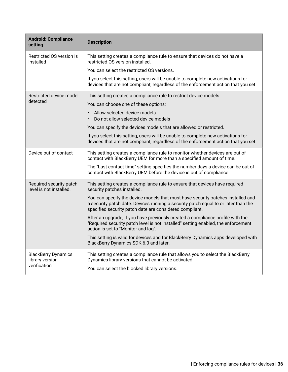| <b>Android: Compliance</b><br>setting                         | <b>Description</b>                                                                                                                                                                                                               |
|---------------------------------------------------------------|----------------------------------------------------------------------------------------------------------------------------------------------------------------------------------------------------------------------------------|
| Restricted OS version is<br>installed                         | This setting creates a compliance rule to ensure that devices do not have a<br>restricted OS version installed.                                                                                                                  |
|                                                               | You can select the restricted OS versions.                                                                                                                                                                                       |
|                                                               | If you select this setting, users will be unable to complete new activations for<br>devices that are not compliant, regardless of the enforcement action that you set.                                                           |
| Restricted device model<br>detected                           | This setting creates a compliance rule to restrict device models.                                                                                                                                                                |
|                                                               | You can choose one of these options:                                                                                                                                                                                             |
|                                                               | Allow selected device models<br>Do not allow selected device models                                                                                                                                                              |
|                                                               | You can specify the devices models that are allowed or restricted.                                                                                                                                                               |
|                                                               | If you select this setting, users will be unable to complete new activations for<br>devices that are not compliant, regardless of the enforcement action that you set.                                                           |
| Device out of contact                                         | This setting creates a compliance rule to monitor whether devices are out of<br>contact with BlackBerry UEM for more than a specified amount of time.                                                                            |
|                                                               | The "Last contact time" setting specifies the number days a device can be out of<br>contact with BlackBerry UEM before the device is out of compliance.                                                                          |
| Required security patch<br>level is not installed.            | This setting creates a compliance rule to ensure that devices have required<br>security patches installed.                                                                                                                       |
|                                                               | You can specify the device models that must have security patches installed and<br>a security patch date. Devices running a security patch equal to or later than the<br>specified security patch date are considered compliant. |
|                                                               | After an upgrade, if you have previously created a compliance profile with the<br>"Required security patch level is not installed" setting enabled, the enforcement<br>action is set to "Monitor and log".                       |
|                                                               | This setting is valid for devices and for BlackBerry Dynamics apps developed with<br>BlackBerry Dynamics SDK 6.0 and later.                                                                                                      |
| <b>BlackBerry Dynamics</b><br>library version<br>verification | This setting creates a compliance rule that allows you to select the BlackBerry<br>Dynamics library versions that cannot be activated.                                                                                           |
|                                                               | You can select the blocked library versions.                                                                                                                                                                                     |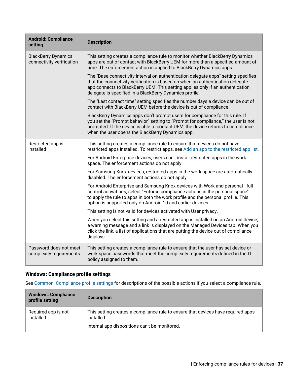| <b>Android: Compliance</b><br>setting                   | <b>Description</b>                                                                                                                                                                                                                                                                                                  |  |
|---------------------------------------------------------|---------------------------------------------------------------------------------------------------------------------------------------------------------------------------------------------------------------------------------------------------------------------------------------------------------------------|--|
| <b>BlackBerry Dynamics</b><br>connectivity verification | This setting creates a compliance rule to monitor whether BlackBerry Dynamics<br>apps are out of contact with BlackBerry UEM for more than a specified amount of<br>time. The enforcement action is applied to BlackBerry Dynamics apps.                                                                            |  |
|                                                         | The "Base connectivity interval on authentication delegate apps" setting specifies<br>that the connectivity verification is based on when an authentication delegate<br>app connects to BlackBerry UEM. This setting applies only if an authentication<br>delegate is specified in a BlackBerry Dynamics profile.   |  |
|                                                         | The "Last contact time" setting specifies the number days a device can be out of<br>contact with BlackBerry UEM before the device is out of compliance.                                                                                                                                                             |  |
|                                                         | BlackBerry Dynamics apps don't prompt users for compliance for this rule. If<br>you set the "Prompt behavior" setting to "Prompt for compliance," the user is not<br>prompted. If the device is able to contact UEM, the device returns to compliance<br>when the user opens the BlackBerry Dynamics app.           |  |
| Restricted app is<br>installed                          | This setting creates a compliance rule to ensure that devices do not have<br>restricted apps installed. To restrict apps, see Add an app to the restricted app list.                                                                                                                                                |  |
|                                                         | For Android Enterprise devices, users can't install restricted apps in the work<br>space. The enforcement actions do not apply.                                                                                                                                                                                     |  |
|                                                         | For Samsung Knox devices, restricted apps in the work space are automatically<br>disabled. The enforcement actions do not apply.                                                                                                                                                                                    |  |
|                                                         | For Android Enterprise and Samsung Knox devices with Work and personal - full<br>control activations, select "Enforce compliance actions in the personal space"<br>to apply the rule to apps in both the work profile and the personal profile. This<br>option is supported only on Android 10 and earlier devices. |  |
|                                                         | This setting is not valid for devices activated with User privacy.                                                                                                                                                                                                                                                  |  |
|                                                         | When you select this setting and a restricted app is installed on an Android device,<br>a warning message and a link is displayed on the Managed Devices tab. When you<br>click the link, a list of applications that are putting the device out of compliance<br>displays.                                         |  |
| Password does not meet<br>complexity requirements       | This setting creates a compliance rule to ensure that the user has set device or<br>work space passwords that meet the complexity requirements defined in the IT<br>policy assigned to them.                                                                                                                        |  |

### **Windows: Compliance profile settings**

See [Common: Compliance profile settings](#page-26-0) for descriptions of the possible actions if you select a compliance rule.

| <b>Windows: Compliance</b><br>profile setting | <b>Description</b>                                                                             |
|-----------------------------------------------|------------------------------------------------------------------------------------------------|
| Required app is not<br>installed              | This setting creates a compliance rule to ensure that devices have required apps<br>installed. |
|                                               | Internal app dispositions can't be monitored.                                                  |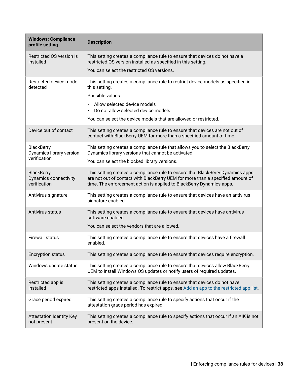| <b>Windows: Compliance</b><br>profile setting              | <b>Description</b>                                                                                                                                                                                                                       |  |
|------------------------------------------------------------|------------------------------------------------------------------------------------------------------------------------------------------------------------------------------------------------------------------------------------------|--|
| Restricted OS version is<br>installed                      | This setting creates a compliance rule to ensure that devices do not have a<br>restricted OS version installed as specified in this setting.                                                                                             |  |
|                                                            | You can select the restricted OS versions.                                                                                                                                                                                               |  |
| Restricted device model<br>detected                        | This setting creates a compliance rule to restrict device models as specified in<br>this setting.                                                                                                                                        |  |
|                                                            | Possible values:<br>Allow selected device models                                                                                                                                                                                         |  |
|                                                            | Do not allow selected device models                                                                                                                                                                                                      |  |
|                                                            | You can select the device models that are allowed or restricted.                                                                                                                                                                         |  |
| Device out of contact                                      | This setting creates a compliance rule to ensure that devices are not out of<br>contact with BlackBerry UEM for more than a specified amount of time.                                                                                    |  |
| <b>BlackBerry</b><br>Dynamics library version              | This setting creates a compliance rule that allows you to select the BlackBerry<br>Dynamics library versions that cannot be activated.                                                                                                   |  |
| verification                                               | You can select the blocked library versions.                                                                                                                                                                                             |  |
| <b>BlackBerry</b><br>Dynamics connectivity<br>verification | This setting creates a compliance rule to ensure that BlackBerry Dynamics apps<br>are not out of contact with BlackBerry UEM for more than a specified amount of<br>time. The enforcement action is applied to BlackBerry Dynamics apps. |  |
| Antivirus signature                                        | This setting creates a compliance rule to ensure that devices have an antivirus<br>signature enabled.                                                                                                                                    |  |
| Antivirus status                                           | This setting creates a compliance rule to ensure that devices have antivirus<br>software enabled.                                                                                                                                        |  |
|                                                            | You can select the vendors that are allowed.                                                                                                                                                                                             |  |
| <b>Firewall status</b>                                     | This setting creates a compliance rule to ensure that devices have a firewall<br>enabled.                                                                                                                                                |  |
| <b>Encryption status</b>                                   | This setting creates a compliance rule to ensure that devices require encryption.                                                                                                                                                        |  |
| Windows update status                                      | This setting creates a compliance rule to ensure that devices allow BlackBerry<br>UEM to install Windows OS updates or notify users of required updates.                                                                                 |  |
| Restricted app is<br>installed                             | This setting creates a compliance rule to ensure that devices do not have<br>restricted apps installed. To restrict apps, see Add an app to the restricted app list.                                                                     |  |
| Grace period expired                                       | This setting creates a compliance rule to specify actions that occur if the<br>attestation grace period has expired.                                                                                                                     |  |
| <b>Attestation Identity Key</b><br>not present             | This setting creates a compliance rule to specify actions that occur if an AIK is not<br>present on the device.                                                                                                                          |  |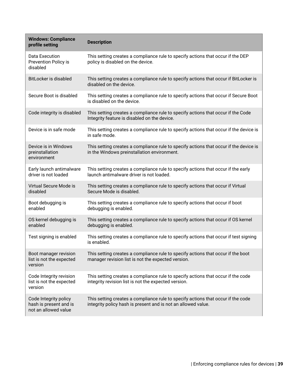| <b>Windows: Compliance</b><br>profile setting                           | <b>Description</b>                                                                                                                                |
|-------------------------------------------------------------------------|---------------------------------------------------------------------------------------------------------------------------------------------------|
| Data Execution<br>Prevention Policy is<br>disabled                      | This setting creates a compliance rule to specify actions that occur if the DEP<br>policy is disabled on the device.                              |
| BitLocker is disabled                                                   | This setting creates a compliance rule to specify actions that occur if BitLocker is<br>disabled on the device.                                   |
| Secure Boot is disabled                                                 | This setting creates a compliance rule to specify actions that occur if Secure Boot<br>is disabled on the device.                                 |
| Code integrity is disabled                                              | This setting creates a compliance rule to specify actions that occur if the Code<br>Integrity feature is disabled on the device.                  |
| Device is in safe mode                                                  | This setting creates a compliance rule to specify actions that occur if the device is<br>in safe mode.                                            |
| Device is in Windows<br>preinstallation<br>environment                  | This setting creates a compliance rule to specify actions that occur if the device is<br>in the Windows preinstallation environment.              |
| Early launch antimalware<br>driver is not loaded                        | This setting creates a compliance rule to specify actions that occur if the early<br>launch antimalware driver is not loaded.                     |
| Virtual Secure Mode is<br>disabled                                      | This setting creates a compliance rule to specify actions that occur if Virtual<br>Secure Mode is disabled.                                       |
| Boot debugging is<br>enabled                                            | This setting creates a compliance rule to specify actions that occur if boot<br>debugging is enabled.                                             |
| OS kernel debugging is<br>enabled                                       | This setting creates a compliance rule to specify actions that occur if OS kernel<br>debugging is enabled.                                        |
| Test signing is enabled                                                 | This setting creates a compliance rule to specify actions that occur if test signing<br>is enabled.                                               |
| Boot manager revision<br>list is not the expected<br>version            | This setting creates a compliance rule to specify actions that occur if the boot<br>manager revision list is not the expected version.            |
| Code Integrity revision<br>list is not the expected<br>version          | This setting creates a compliance rule to specify actions that occur if the code<br>integrity revision list is not the expected version.          |
| Code Integrity policy<br>hash is present and is<br>not an allowed value | This setting creates a compliance rule to specify actions that occur if the code<br>integrity policy hash is present and is not an allowed value. |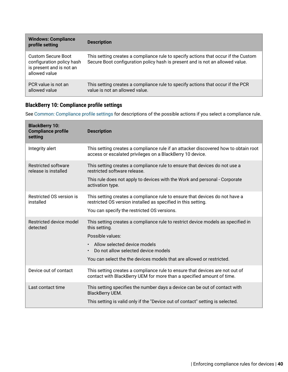| <b>Windows: Compliance</b><br>profile setting                                                | <b>Description</b>                                                                                                                                                  |
|----------------------------------------------------------------------------------------------|---------------------------------------------------------------------------------------------------------------------------------------------------------------------|
| Custom Secure Boot<br>configuration policy hash<br>is present and is not an<br>allowed value | This setting creates a compliance rule to specify actions that occur if the Custom<br>Secure Boot configuration policy hash is present and is not an allowed value. |
| PCR value is not an<br>allowed value                                                         | This setting creates a compliance rule to specify actions that occur if the PCR<br>value is not an allowed value.                                                   |

### **BlackBerry 10: Compliance profile settings**

See [Common: Compliance profile settings](#page-26-0) for descriptions of the possible actions if you select a compliance rule.

| <b>BlackBerry 10:</b><br><b>Compliance profile</b><br>setting | <b>Description</b>                                                                                                                                                                                                                                                                              |
|---------------------------------------------------------------|-------------------------------------------------------------------------------------------------------------------------------------------------------------------------------------------------------------------------------------------------------------------------------------------------|
| Integrity alert                                               | This setting creates a compliance rule if an attacker discovered how to obtain root<br>access or escalated privileges on a BlackBerry 10 device.                                                                                                                                                |
| Restricted software<br>release is installed                   | This setting creates a compliance rule to ensure that devices do not use a<br>restricted software release.<br>This rule does not apply to devices with the Work and personal - Corporate<br>activation type.                                                                                    |
| Restricted OS version is<br>installed                         | This setting creates a compliance rule to ensure that devices do not have a<br>restricted OS version installed as specified in this setting.<br>You can specify the restricted OS versions.                                                                                                     |
| Restricted device model<br>detected                           | This setting creates a compliance rule to restrict device models as specified in<br>this setting.<br>Possible values:<br>Allow selected device models<br>$\bullet$<br>Do not allow selected device models<br>$\bullet$<br>You can select the the devices models that are allowed or restricted. |
| Device out of contact                                         | This setting creates a compliance rule to ensure that devices are not out of<br>contact with BlackBerry UEM for more than a specified amount of time.                                                                                                                                           |
| Last contact time                                             | This setting specifies the number days a device can be out of contact with<br>BlackBerry UEM.<br>This setting is valid only if the "Device out of contact" setting is selected.                                                                                                                 |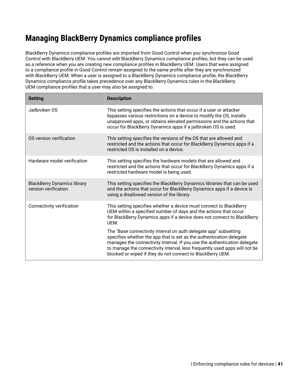## **Managing BlackBerry Dynamics compliance profiles**

BlackBerry Dynamics compliance profiles are imported from Good Control when you synchronize Good Control with BlackBerry UEM. You cannot edit BlackBerry Dynamics compliance profiles, but they can be used as a reference when you are creating new compliance profiles in BlackBerry UEM. Users that were assigned to a compliance profile in Good Control remain assigned to the same profile after they are synchronized with BlackBerry UEM. When a user is assigned to a BlackBerry Dynamics compliance profile, the BlackBerry Dynamics compliance profile takes precedence over any BlackBerry Dynamics rules in the BlackBerry UEM compliance profiles that a user may also be assigned to.

| <b>Setting</b>                                             | <b>Description</b>                                                                                                                                                                                                                                                                                                                                                |
|------------------------------------------------------------|-------------------------------------------------------------------------------------------------------------------------------------------------------------------------------------------------------------------------------------------------------------------------------------------------------------------------------------------------------------------|
| Jailbroken OS                                              | This setting specifies the actions that occur if a user or attacker<br>bypasses various restrictions on a device to modify the OS, installs<br>unapproved apps, or obtains elevated permissions and the actions that<br>occur for BlackBerry Dynamics apps if a jailbroken OS is used.                                                                            |
| OS version verification                                    | This setting specifies the versions of the OS that are allowed and<br>restricted and the actions that occur for BlackBerry Dynamics apps if a<br>restricted OS is installed on a device.                                                                                                                                                                          |
| Hardware model verification                                | This setting specifies the hardware models that are allowed and<br>restricted and the actions that occur for BlackBerry Dynamics apps if a<br>restricted hardware model is being used.                                                                                                                                                                            |
| <b>BlackBerry Dynamics library</b><br>version verification | This setting specifies the BlackBerry Dynamics libraries that can be used<br>and the actions that occur for BlackBerry Dynamics apps if a device is<br>using a disallowed version of the library.                                                                                                                                                                 |
| Connectivity verification                                  | This setting specifies whether a device must connect to BlackBerry<br>UEM within a specified number of days and the actions that occur<br>for BlackBerry Dynamics apps if a device does not connect to BlackBerry<br>UEM.                                                                                                                                         |
|                                                            | The "Base connectivity interval on auth delegate app" subsetting<br>specifies whether the app that is set as the authentication delegate<br>manages the connectivity interval. If you use the authentication delegate<br>to manage the connectivity interval, less frequently used apps will not be<br>blocked or wiped if they do not connect to BlackBerry UEM. |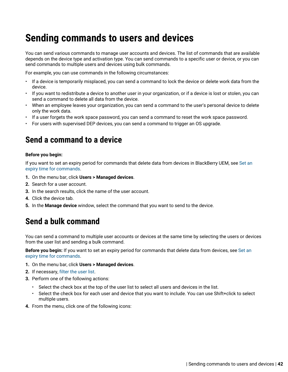# **Sending commands to users and devices**

You can send various commands to manage user accounts and devices. The list of commands that are available depends on the device type and activation type. You can send commands to a specific user or device, or you can send commands to multiple users and devices using bulk commands.

For example, you can use commands in the following circumstances:

- If a device is temporarily misplaced, you can send a command to lock the device or delete work data from the device.
- If you want to redistribute a device to another user in your organization, or if a device is lost or stolen, you can send a command to delete all data from the device.
- When an employee leaves your organization, you can send a command to the user's personal device to delete only the work data.
- If a user forgets the work space password, you can send a command to reset the work space password.
- For users with supervised DEP devices, you can send a command to trigger an OS upgrade.

## **Send a command to a device**

#### **Before you begin:**

If you want to set an expiry period for commands that delete data from devices in BlackBerry UEM, see [Set an](#page-43-0) [expiry time for commands](#page-43-0).

- **1.** On the menu bar, click **Users > Managed devices**.
- **2.** Search for a user account.
- **3.** In the search results, click the name of the user account.
- **4.** Click the device tab.
- **5.** In the **Manage device** window, select the command that you want to send to the device.

### <span id="page-41-0"></span>**Send a bulk command**

You can send a command to multiple user accounts or devices at the same time by selecting the users or devices from the user list and sending a bulk command.

**Before you begin:** If you want to set an expiry period for commands that delete data from devices, see [Set an](#page-43-0) [expiry time for commands](#page-43-0).

- **1.** On the menu bar, click **Users > Managed devices**.
- **2.** If necessary, [filter the user list.](https://docs.blackberry.com/en/endpoint-management/blackberry-uem/12_13/administration/users-groups/mai1409059994290/mai1413317392205.html)
- **3.** Perform one of the following actions:
	- Select the check box at the top of the user list to select all users and devices in the list.
	- Select the check box for each user and device that you want to include. You can use Shift+click to select multiple users.
- **4.** From the menu, click one of the following icons: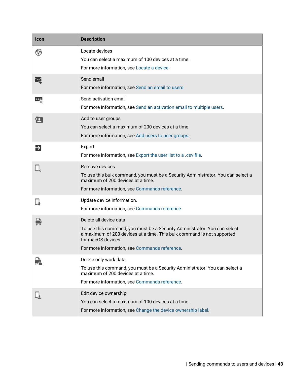| Icon | <b>Description</b>                                                                                                                                                                                                                                   |
|------|------------------------------------------------------------------------------------------------------------------------------------------------------------------------------------------------------------------------------------------------------|
|      | Locate devices<br>You can select a maximum of 100 devices at a time.<br>For more information, see Locate a device.                                                                                                                                   |
|      | Send email<br>For more information, see Send an email to users.                                                                                                                                                                                      |
|      | Send activation email<br>For more information, see Send an activation email to multiple users.                                                                                                                                                       |
| Σ    | Add to user groups<br>You can select a maximum of 200 devices at a time.<br>For more information, see Add users to user groups.                                                                                                                      |
| Ð    | Export<br>For more information, see Export the user list to a .csv file.                                                                                                                                                                             |
|      | Remove devices<br>To use this bulk command, you must be a Security Administrator. You can select a<br>maximum of 200 devices at a time.<br>For more information, see Commands reference.                                                             |
|      | Update device information.<br>For more information, see Commands reference.                                                                                                                                                                          |
|      | Delete all device data<br>To use this command, you must be a Security Administrator. You can select<br>a maximum of 200 devices at a time. This bulk command is not supported<br>for macOS devices.<br>For more information, see Commands reference. |
|      | Delete only work data<br>To use this command, you must be a Security Administrator. You can select a<br>maximum of 200 devices at a time.<br>For more information, see Commands reference.                                                           |
|      | Edit device ownership<br>You can select a maximum of 100 devices at a time.<br>For more information, see Change the device ownership label.                                                                                                          |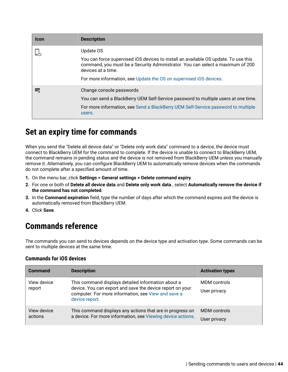| <b>Icon</b> | <b>Description</b>                                                                                                                                                                          |
|-------------|---------------------------------------------------------------------------------------------------------------------------------------------------------------------------------------------|
|             | Update OS                                                                                                                                                                                   |
|             | You can force supervised iOS devices to install an available OS update. To use this<br>command, you must be a Security Administrator. You can select a maximum of 200<br>devices at a time. |
|             | For more information, see Update the OS on supervised iOS devices.                                                                                                                          |
|             | Change console passwords                                                                                                                                                                    |
|             | You can send a BlackBerry UEM Self-Service password to multiple users at one time.                                                                                                          |
|             | For more information, see Send a BlackBerry UEM Self-Service password to multiple<br>users.                                                                                                 |

## <span id="page-43-0"></span>**Set an expiry time for commands**

When you send the "Delete all device data" or "Delete only work data" command to a device, the device must connect to BlackBerry UEM for the command to complete. If the device is unable to connect to BlackBerry UEM, the command remains in pending status and the device is not removed from BlackBerry UEM unless you manually remove it. Alternatively, you can configure BlackBerry UEM to automatically remove devices when the commands do not complete after a specified amount of time.

- **1.** On the menu bar, click **Settings > General settings > Delete command expiry**.
- **2.** For one or both of **Delete all device data** and **Delete only work data** , select **Automatically remove the device if the command has not completed**.
- **3.** In the **Command expiration** field, type the number of days after which the command expires and the device is automatically removed from BlackBerry UEM.
- **4.** Click **Save**.

## <span id="page-43-1"></span>**Commands reference**

The commands you can send to devices depends on the device type and activation type. Some commands can be sent to multiple devices at the same time.

| <b>Command</b>         | <b>Description</b>                                                                                                                                                                       | <b>Activation types</b> |
|------------------------|------------------------------------------------------------------------------------------------------------------------------------------------------------------------------------------|-------------------------|
| View device<br>report  | This command displays detailed information about a<br>device. You can export and save the device report on your<br>computer. For more information, see View and save a<br>device report. | MDM controls            |
|                        |                                                                                                                                                                                          | User privacy            |
| View device<br>actions | This command displays any actions that are in progress on<br>a device. For more information, see Viewing device actions.                                                                 | MDM controls            |
|                        |                                                                                                                                                                                          | User privacy            |

### **Commands for iOS devices**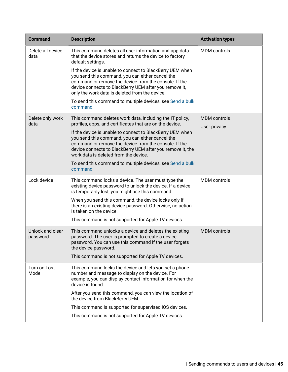| <b>Command</b>               | <b>Description</b>                                                                                                                                                                                                                                                                                                                                                                                    | <b>Activation types</b>             |
|------------------------------|-------------------------------------------------------------------------------------------------------------------------------------------------------------------------------------------------------------------------------------------------------------------------------------------------------------------------------------------------------------------------------------------------------|-------------------------------------|
| Delete all device<br>data    | This command deletes all user information and app data<br>that the device stores and returns the device to factory<br>default settings.                                                                                                                                                                                                                                                               | <b>MDM</b> controls                 |
|                              | If the device is unable to connect to BlackBerry UEM when<br>you send this command, you can either cancel the<br>command or remove the device from the console. If the<br>device connects to BlackBerry UEM after you remove it,<br>only the work data is deleted from the device.                                                                                                                    |                                     |
|                              | To send this command to multiple devices, see Send a bulk<br>command.                                                                                                                                                                                                                                                                                                                                 |                                     |
| Delete only work<br>data     | This command deletes work data, including the IT policy,<br>profiles, apps, and certificates that are on the device.<br>If the device is unable to connect to BlackBerry UEM when<br>you send this command, you can either cancel the<br>command or remove the device from the console. If the<br>device connects to BlackBerry UEM after you remove it, the<br>work data is deleted from the device. | <b>MDM</b> controls<br>User privacy |
|                              | To send this command to multiple devices, see Send a bulk<br>command.                                                                                                                                                                                                                                                                                                                                 |                                     |
| Lock device                  | This command locks a device. The user must type the<br>existing device password to unlock the device. If a device<br>is temporarily lost, you might use this command.                                                                                                                                                                                                                                 | <b>MDM</b> controls                 |
|                              | When you send this command, the device locks only if<br>there is an existing device password. Otherwise, no action<br>is taken on the device.                                                                                                                                                                                                                                                         |                                     |
|                              | This command is not supported for Apple TV devices.                                                                                                                                                                                                                                                                                                                                                   |                                     |
| Unlock and clear<br>password | This command unlocks a device and deletes the existing<br>password. The user is prompted to create a device<br>password. You can use this command if the user forgets<br>the device password.                                                                                                                                                                                                         | <b>MDM</b> controls                 |
|                              | This command is not supported for Apple TV devices.                                                                                                                                                                                                                                                                                                                                                   |                                     |
| Turn on Lost<br>Mode         | This command locks the device and lets you set a phone<br>number and message to display on the device. For<br>example, you can display contact information for when the<br>device is found.                                                                                                                                                                                                           |                                     |
|                              | After you send this command, you can view the location of<br>the device from BlackBerry UEM.                                                                                                                                                                                                                                                                                                          |                                     |
|                              | This command is supported for supervised iOS devices.                                                                                                                                                                                                                                                                                                                                                 |                                     |
|                              | This command is not supported for Apple TV devices.                                                                                                                                                                                                                                                                                                                                                   |                                     |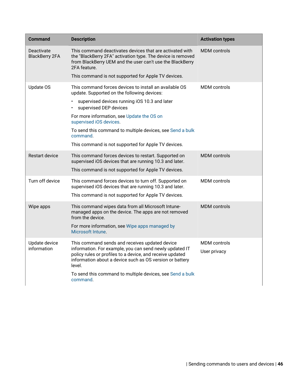| <b>Command</b>                      | <b>Description</b>                                                                                                                                                                                                                                                                                        | <b>Activation types</b>             |
|-------------------------------------|-----------------------------------------------------------------------------------------------------------------------------------------------------------------------------------------------------------------------------------------------------------------------------------------------------------|-------------------------------------|
| Deactivate<br><b>BlackBerry 2FA</b> | This command deactivates devices that are activated with<br>the "BlackBerry 2FA" activation type. The device is removed<br>from BlackBerry UEM and the user can't use the BlackBerry<br>2FA feature.                                                                                                      | <b>MDM</b> controls                 |
|                                     | This command is not supported for Apple TV devices.                                                                                                                                                                                                                                                       |                                     |
| Update OS                           | This command forces devices to install an available OS<br>update. Supported on the following devices:                                                                                                                                                                                                     | <b>MDM</b> controls                 |
|                                     | supervised devices running iOS 10.3 and later<br>supervised DEP devices                                                                                                                                                                                                                                   |                                     |
|                                     | For more information, see Update the OS on<br>supervised iOS devices.                                                                                                                                                                                                                                     |                                     |
|                                     | To send this command to multiple devices, see Send a bulk<br>command.                                                                                                                                                                                                                                     |                                     |
|                                     | This command is not supported for Apple TV devices.                                                                                                                                                                                                                                                       |                                     |
| <b>Restart device</b>               | This command forces devices to restart. Supported on<br>supervised iOS devices that are running 10.3 and later.<br>This command is not supported for Apple TV devices.                                                                                                                                    | <b>MDM</b> controls                 |
| Turn off device                     | This command forces devices to turn off. Supported on<br>supervised iOS devices that are running 10.3 and later.<br>This command is not supported for Apple TV devices.                                                                                                                                   | <b>MDM</b> controls                 |
| Wipe apps                           | This command wipes data from all Microsoft Intune-<br>managed apps on the device. The apps are not removed<br>from the device.                                                                                                                                                                            | <b>MDM</b> controls                 |
|                                     | For more information, see Wipe apps managed by<br>Microsoft Intune.                                                                                                                                                                                                                                       |                                     |
| Update device<br>information        | This command sends and receives updated device<br>information. For example, you can send newly updated IT<br>policy rules or profiles to a device, and receive updated<br>information about a device such as OS version or battery<br>level.<br>To send this command to multiple devices, see Send a bulk | <b>MDM</b> controls<br>User privacy |
|                                     | command.                                                                                                                                                                                                                                                                                                  |                                     |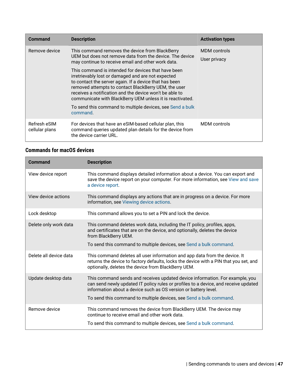| <b>Command</b>                 | <b>Description</b>                                                                                                                                                                                                                                                                                                                                  | <b>Activation types</b> |
|--------------------------------|-----------------------------------------------------------------------------------------------------------------------------------------------------------------------------------------------------------------------------------------------------------------------------------------------------------------------------------------------------|-------------------------|
| Remove device                  | This command removes the device from BlackBerry<br>UEM but does not remove data from the device. The device<br>may continue to receive email and other work data.                                                                                                                                                                                   | MDM controls            |
|                                |                                                                                                                                                                                                                                                                                                                                                     | User privacy            |
|                                | This command is intended for devices that have been<br>irretrievably lost or damaged and are not expected<br>to contact the server again. If a device that has been<br>removed attempts to contact BlackBerry UEM, the user<br>receives a notification and the device won't be able to<br>communicate with BlackBerry UEM unless it is reactivated. |                         |
|                                | To send this command to multiple devices, see Send a bulk<br>command.                                                                                                                                                                                                                                                                               |                         |
| Refresh eSIM<br>cellular plans | For devices that have an eSIM-based cellular plan, this<br>command queries updated plan details for the device from<br>the device carrier URL.                                                                                                                                                                                                      | <b>MDM</b> controls     |

### **Commands for macOS devices**

| Command                | <b>Description</b>                                                                                                                                                                                                                                                                                           |
|------------------------|--------------------------------------------------------------------------------------------------------------------------------------------------------------------------------------------------------------------------------------------------------------------------------------------------------------|
| View device report     | This command displays detailed information about a device. You can export and<br>save the device report on your computer. For more information, see View and save<br>a device report.                                                                                                                        |
| View device actions    | This command displays any actions that are in progress on a device. For more<br>information, see Viewing device actions.                                                                                                                                                                                     |
| Lock desktop           | This command allows you to set a PIN and lock the device.                                                                                                                                                                                                                                                    |
| Delete only work data  | This command deletes work data, including the IT policy, profiles, apps,<br>and certificates that are on the device, and optionally, deletes the device<br>from BlackBerry UEM.<br>To send this command to multiple devices, see Send a bulk command.                                                        |
| Delete all device data | This command deletes all user information and app data from the device. It<br>returns the device to factory defaults, locks the device with a PIN that you set, and<br>optionally, deletes the device from BlackBerry UEM.                                                                                   |
| Update desktop data    | This command sends and receives updated device information. For example, you<br>can send newly updated IT policy rules or profiles to a device, and receive updated<br>information about a device such as OS version or battery level.<br>To send this command to multiple devices, see Send a bulk command. |
| Remove device          | This command removes the device from BlackBerry UEM. The device may<br>continue to receive email and other work data.<br>To send this command to multiple devices, see Send a bulk command.                                                                                                                  |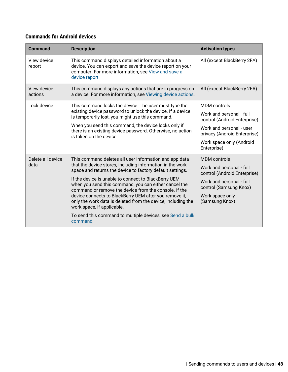### **Commands for Android devices**

| <b>Command</b>         | <b>Description</b>                                                                                                                                                                                                                                                                                                             | <b>Activation types</b>                                  |
|------------------------|--------------------------------------------------------------------------------------------------------------------------------------------------------------------------------------------------------------------------------------------------------------------------------------------------------------------------------|----------------------------------------------------------|
| View device<br>report  | This command displays detailed information about a<br>device. You can export and save the device report on your<br>computer. For more information, see View and save a<br>device report.                                                                                                                                       | All (except BlackBerry 2FA)                              |
| View device<br>actions | This command displays any actions that are in progress on<br>a device. For more information, see Viewing device actions.                                                                                                                                                                                                       | All (except BlackBerry 2FA)                              |
| Lock device            | This command locks the device. The user must type the                                                                                                                                                                                                                                                                          | <b>MDM</b> controls                                      |
|                        | existing device password to unlock the device. If a device<br>is temporarily lost, you might use this command.                                                                                                                                                                                                                 | Work and personal - full<br>control (Android Enterprise) |
|                        | When you send this command, the device locks only if<br>there is an existing device password. Otherwise, no action                                                                                                                                                                                                             | Work and personal - user<br>privacy (Android Enterprise) |
|                        | is taken on the device.                                                                                                                                                                                                                                                                                                        | Work space only (Android<br>Enterprise)                  |
| Delete all device      | This command deletes all user information and app data                                                                                                                                                                                                                                                                         | MDM controls                                             |
| data                   | that the device stores, including information in the work<br>space and returns the device to factory default settings.                                                                                                                                                                                                         | Work and personal - full<br>control (Android Enterprise) |
|                        | If the device is unable to connect to BlackBerry UEM<br>when you send this command, you can either cancel the<br>command or remove the device from the console. If the<br>device connects to BlackBerry UEM after you remove it,<br>only the work data is deleted from the device, including the<br>work space, if applicable. | Work and personal - full<br>control (Samsung Knox)       |
|                        |                                                                                                                                                                                                                                                                                                                                | Work space only -<br>(Samsung Knox)                      |
|                        | To send this command to multiple devices, see Send a bulk<br>command.                                                                                                                                                                                                                                                          |                                                          |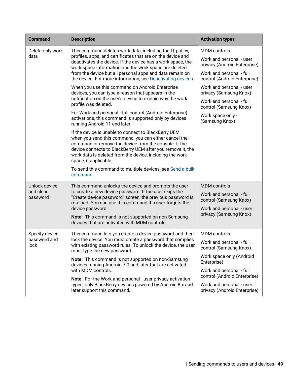| <b>Command</b>                         | <b>Description</b>                                                                                                                                                                                                                                                                                                                                                                     | <b>Activation types</b>                                                                                        |
|----------------------------------------|----------------------------------------------------------------------------------------------------------------------------------------------------------------------------------------------------------------------------------------------------------------------------------------------------------------------------------------------------------------------------------------|----------------------------------------------------------------------------------------------------------------|
| Delete only work<br>data               | This command deletes work data, including the IT policy,<br>profiles, apps, and certificates that are on the device and<br>deactivates the device. If the device has a work space, the<br>work space information and the work space are deleted<br>from the device but all personal apps and data remain on                                                                            | <b>MDM</b> controls<br>Work and personal - user<br>privacy (Android Enterprise)<br>Work and personal - full    |
|                                        | the device. For more information, see Deactivating devices.<br>When you use this command on Android Enterprise<br>devices, you can type a reason that appears in the<br>notification on the user's device to explain why the work<br>profile was deleted.                                                                                                                              | control (Android Enterprise)<br>Work and personal - user<br>privacy (Samsung Knox)<br>Work and personal - full |
|                                        | For Work and personal - full control (Android Enterprise)<br>activations, this command is supported only by devices<br>running Android 11 and later.                                                                                                                                                                                                                                   | control (Samsung Knox)<br>Work space only -<br>(Samsung Knox)                                                  |
|                                        | If the device is unable to connect to BlackBerry UEM<br>when you send this command, you can either cancel the<br>command or remove the device from the console. If the<br>device connects to BlackBerry UEM after you remove it, the<br>work data is deleted from the device, including the work<br>space, if applicable.<br>To send this command to multiple devices, see Send a bulk |                                                                                                                |
|                                        | command.                                                                                                                                                                                                                                                                                                                                                                               |                                                                                                                |
| Unlock device<br>and clear<br>password | This command unlocks the device and prompts the user<br>to create a new device password. If the user skips the<br>"Create device password" screen, the previous password is<br>retained. You can use this command if a user forgets the<br>device password.                                                                                                                            | <b>MDM</b> controls<br>Work and personal - full<br>control (Samsung Knox)<br>Work and personal - user          |
|                                        | Note: This command is not supported on non-Samsung<br>devices that are activated with MDM controls.                                                                                                                                                                                                                                                                                    | privacy (Samsung Knox)                                                                                         |
| Specify device<br>password and         | This command lets you create a device password and then<br>lock the device. You must create a password that complies<br>with existing password rules. To unlock the device, the user<br>must type the new password.                                                                                                                                                                    | <b>MDM</b> controls                                                                                            |
| lock                                   |                                                                                                                                                                                                                                                                                                                                                                                        | Work and personal - full<br>control (Samsung Knox)                                                             |
|                                        | Note: This command is not supported on non-Samsung<br>devices running Android 7.0 and later that are activated                                                                                                                                                                                                                                                                         | Work space only (Android<br>Enterprise)                                                                        |
|                                        | with MDM controls.                                                                                                                                                                                                                                                                                                                                                                     | Work and personal - full<br>control (Android Enterprise)                                                       |
|                                        | Note: For the Work and personal - user privacy activation<br>types, only BlackBerry devices powered by Android 8.x and<br>later support this command.                                                                                                                                                                                                                                  | Work and personal - user<br>privacy (Android Enterprise)                                                       |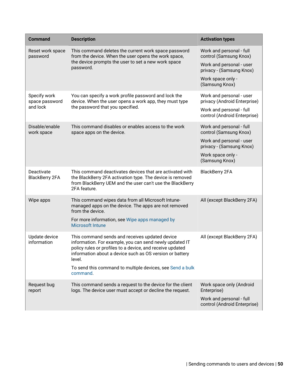| <b>Command</b>                      | <b>Description</b>                                                                                                                                                                                                                                                                                                    | <b>Activation types</b>                                  |
|-------------------------------------|-----------------------------------------------------------------------------------------------------------------------------------------------------------------------------------------------------------------------------------------------------------------------------------------------------------------------|----------------------------------------------------------|
| Reset work space<br>password        | This command deletes the current work space password<br>from the device. When the user opens the work space,<br>the device prompts the user to set a new work space<br>password.                                                                                                                                      | Work and personal - full<br>control (Samsung Knox)       |
|                                     |                                                                                                                                                                                                                                                                                                                       | Work and personal - user<br>privacy - (Samsung Knox)     |
|                                     |                                                                                                                                                                                                                                                                                                                       | Work space only -<br>(Samsung Knox)                      |
| Specify work<br>space password      | You can specify a work profile password and lock the<br>device. When the user opens a work app, they must type                                                                                                                                                                                                        | Work and personal - user<br>privacy (Android Enterprise) |
| and lock                            | the password that you specified.                                                                                                                                                                                                                                                                                      | Work and personal - full<br>control (Android Enterprise) |
| Disable/enable<br>work space        | This command disables or enables access to the work<br>space apps on the device.                                                                                                                                                                                                                                      | Work and personal - full<br>control (Samsung Knox)       |
|                                     |                                                                                                                                                                                                                                                                                                                       | Work and personal - user<br>privacy - (Samsung Knox)     |
|                                     |                                                                                                                                                                                                                                                                                                                       | Work space only -<br>(Samsung Knox)                      |
| Deactivate<br><b>BlackBerry 2FA</b> | This command deactivates devices that are activated with<br>the BlackBerry 2FA activation type. The device is removed<br>from BlackBerry UEM and the user can't use the BlackBerry<br>2FA feature.                                                                                                                    | <b>BlackBerry 2FA</b>                                    |
| Wipe apps                           | This command wipes data from all Microsoft Intune-<br>managed apps on the device. The apps are not removed<br>from the device.                                                                                                                                                                                        | All (except BlackBerry 2FA)                              |
|                                     | For more information, see Wipe apps managed by<br><b>Microsoft Intune</b>                                                                                                                                                                                                                                             |                                                          |
| Update device<br>information        | This command sends and receives updated device<br>information. For example, you can send newly updated IT<br>policy rules or profiles to a device, and receive updated<br>information about a device such as OS version or battery<br>level.<br>To send this command to multiple devices, see Send a bulk<br>command. | All (except BlackBerry 2FA)                              |
| Request bug<br>report               | This command sends a request to the device for the client<br>logs. The device user must accept or decline the request.                                                                                                                                                                                                | Work space only (Android<br>Enterprise)                  |
|                                     |                                                                                                                                                                                                                                                                                                                       | Work and personal - full<br>control (Android Enterprise) |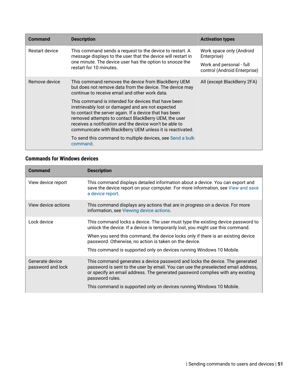| <b>Description</b>                                                                                                                                                                                                                                                                                                                                                                                               | <b>Activation types</b>                                  |
|------------------------------------------------------------------------------------------------------------------------------------------------------------------------------------------------------------------------------------------------------------------------------------------------------------------------------------------------------------------------------------------------------------------|----------------------------------------------------------|
| This command sends a request to the device to restart. A<br>message displays to the user that the device will restart in<br>one minute. The device user has the option to snooze the<br>restart for 10 minutes.                                                                                                                                                                                                  | Work space only (Android<br>Enterprise)                  |
|                                                                                                                                                                                                                                                                                                                                                                                                                  | Work and personal - full<br>control (Android Enterprise) |
| This command removes the device from BlackBerry UEM<br>but does not remove data from the device. The device may<br>continue to receive email and other work data.                                                                                                                                                                                                                                                | All (except BlackBerry 2FA)                              |
| This command is intended for devices that have been<br>irretrievably lost or damaged and are not expected<br>to contact the server again. If a device that has been<br>removed attempts to contact BlackBerry UEM, the user<br>receives a notification and the device won't be able to<br>communicate with BlackBerry UEM unless it is reactivated.<br>To send this command to multiple devices, see Send a bulk |                                                          |
|                                                                                                                                                                                                                                                                                                                                                                                                                  | command.                                                 |

### **Commands for Windows devices**

| Command                              | <b>Description</b>                                                                                                                                                                                                                                                                                                                                                                       |
|--------------------------------------|------------------------------------------------------------------------------------------------------------------------------------------------------------------------------------------------------------------------------------------------------------------------------------------------------------------------------------------------------------------------------------------|
| View device report                   | This command displays detailed information about a device. You can export and<br>save the device report on your computer. For more information, see View and save<br>a device report.                                                                                                                                                                                                    |
| View device actions                  | This command displays any actions that are in progress on a device. For more<br>information, see Viewing device actions.                                                                                                                                                                                                                                                                 |
| Lock device                          | This command locks a device. The user must type the existing device password to<br>unlock the device. If a device is temporarily lost, you might use this command.<br>When you send this command, the device locks only if there is an existing device<br>password. Otherwise, no action is taken on the device.<br>This command is supported only on devices running Windows 10 Mobile. |
| Generate device<br>password and lock | This command generates a device password and locks the device. The generated<br>password is sent to the user by email. You can use the preselected email address,<br>or specify an email address. The generated password complies with any existing<br>password rules.<br>This command is supported only on devices running Windows 10 Mobile.                                           |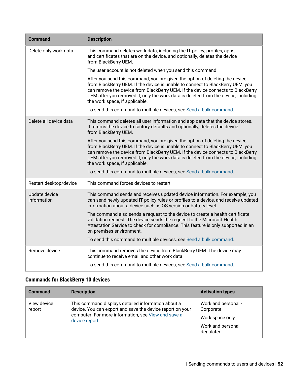| <b>Command</b>               | <b>Description</b>                                                                                                                                                                                                                                                                                                                                                        |
|------------------------------|---------------------------------------------------------------------------------------------------------------------------------------------------------------------------------------------------------------------------------------------------------------------------------------------------------------------------------------------------------------------------|
| Delete only work data        | This command deletes work data, including the IT policy, profiles, apps,<br>and certificates that are on the device, and optionally, deletes the device<br>from BlackBerry UEM.                                                                                                                                                                                           |
|                              | The user account is not deleted when you send this command.                                                                                                                                                                                                                                                                                                               |
|                              | After you send this command, you are given the option of deleting the device<br>from BlackBerry UEM. If the device is unable to connect to BlackBerry UEM, you<br>can remove the device from BlackBerry UEM. If the device connects to BlackBerry<br>UEM after you removed it, only the work data is deleted from the device, including<br>the work space, if applicable. |
|                              | To send this command to multiple devices, see Send a bulk command.                                                                                                                                                                                                                                                                                                        |
| Delete all device data       | This command deletes all user information and app data that the device stores.<br>It returns the device to factory defaults and optionally, deletes the device<br>from BlackBerry UEM.                                                                                                                                                                                    |
|                              | After you send this command, you are given the option of deleting the device<br>from BlackBerry UEM. If the device is unable to connect to BlackBerry UEM, you<br>can remove the device from BlackBerry UEM. If the device connects to BlackBerry<br>UEM after you removed it, only the work data is deleted from the device, including<br>the work space, if applicable. |
|                              | To send this command to multiple devices, see Send a bulk command.                                                                                                                                                                                                                                                                                                        |
| Restart desktop/device       | This command forces devices to restart.                                                                                                                                                                                                                                                                                                                                   |
| Update device<br>information | This command sends and receives updated device information. For example, you<br>can send newly updated IT policy rules or profiles to a device, and receive updated<br>information about a device such as OS version or battery level.                                                                                                                                    |
|                              | The command also sends a request to the device to create a health certificate<br>validation request. The device sends the request to the Microsoft Health<br>Attestation Service to check for compliance. This feature is only supported in an<br>on-premises environment.                                                                                                |
|                              | To send this command to multiple devices, see Send a bulk command.                                                                                                                                                                                                                                                                                                        |
| Remove device                | This command removes the device from BlackBerry UEM. The device may<br>continue to receive email and other work data.                                                                                                                                                                                                                                                     |
|                              | To send this command to multiple devices, see Send a bulk command.                                                                                                                                                                                                                                                                                                        |

### **Commands for BlackBerry 10 devices**

| <b>Command</b>        | <b>Description</b>                                                                                              | <b>Activation types</b>          |
|-----------------------|-----------------------------------------------------------------------------------------------------------------|----------------------------------|
| View device<br>report | This command displays detailed information about a<br>device. You can export and save the device report on your | Work and personal -<br>Corporate |
|                       | computer. For more information, see View and save a<br>device report.                                           | Work space only                  |
|                       |                                                                                                                 | Work and personal -<br>Regulated |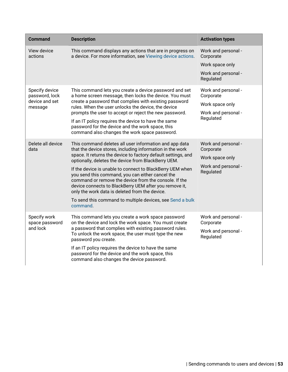| <b>Command</b>                                                | <b>Description</b>                                                                                                                                                                                                                                                                                                                                                                                                                                                                                                                                                                                         | <b>Activation types</b>                                                                 |
|---------------------------------------------------------------|------------------------------------------------------------------------------------------------------------------------------------------------------------------------------------------------------------------------------------------------------------------------------------------------------------------------------------------------------------------------------------------------------------------------------------------------------------------------------------------------------------------------------------------------------------------------------------------------------------|-----------------------------------------------------------------------------------------|
| View device<br>actions                                        | This command displays any actions that are in progress on<br>a device. For more information, see Viewing device actions.                                                                                                                                                                                                                                                                                                                                                                                                                                                                                   | Work and personal -<br>Corporate<br>Work space only<br>Work and personal -<br>Regulated |
| Specify device<br>password, lock<br>device and set<br>message | This command lets you create a device password and set<br>a home screen message, then locks the device. You must<br>create a password that complies with existing password<br>rules. When the user unlocks the device, the device<br>prompts the user to accept or reject the new password.<br>If an IT policy requires the device to have the same<br>password for the device and the work space, this<br>command also changes the work space password.                                                                                                                                                   | Work and personal -<br>Corporate<br>Work space only<br>Work and personal -<br>Regulated |
| Delete all device<br>data                                     | This command deletes all user information and app data<br>that the device stores, including information in the work<br>space. It returns the device to factory default settings, and<br>optionally, deletes the device from BlackBerry UEM.<br>If the device is unable to connect to BlackBerry UEM when<br>you send this command, you can either cancel the<br>command or remove the device from the console. If the<br>device connects to BlackBerry UEM after you remove it,<br>only the work data is deleted from the device.<br>To send this command to multiple devices, see Send a bulk<br>command. | Work and personal -<br>Corporate<br>Work space only<br>Work and personal -<br>Regulated |
| Specify work<br>space password<br>and lock                    | This command lets you create a work space password<br>on the device and lock the work space. You must create<br>a password that complies with existing password rules.<br>To unlock the work space, the user must type the new<br>password you create.<br>If an IT policy requires the device to have the same<br>password for the device and the work space, this<br>command also changes the device password.                                                                                                                                                                                            | Work and personal -<br>Corporate<br>Work and personal -<br>Regulated                    |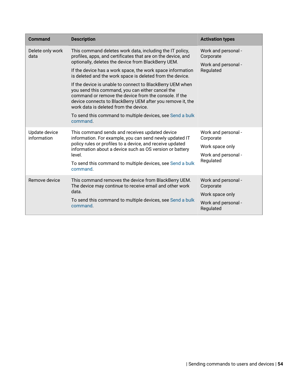| <b>Command</b>               | <b>Description</b>                                                                                                                                                                                                                                                                                                    | <b>Activation types</b>                                                                 |
|------------------------------|-----------------------------------------------------------------------------------------------------------------------------------------------------------------------------------------------------------------------------------------------------------------------------------------------------------------------|-----------------------------------------------------------------------------------------|
| Delete only work<br>data     | This command deletes work data, including the IT policy,<br>profiles, apps, and certificates that are on the device, and<br>optionally, deletes the device from BlackBerry UEM.                                                                                                                                       | Work and personal -<br>Corporate<br>Work and personal -<br>Regulated                    |
|                              | If the device has a work space, the work space information<br>is deleted and the work space is deleted from the device.                                                                                                                                                                                               |                                                                                         |
|                              | If the device is unable to connect to BlackBerry UEM when<br>you send this command, you can either cancel the<br>command or remove the device from the console. If the<br>device connects to BlackBerry UEM after you remove it, the<br>work data is deleted from the device.                                         |                                                                                         |
|                              | To send this command to multiple devices, see Send a bulk<br>command.                                                                                                                                                                                                                                                 |                                                                                         |
| Update device<br>information | This command sends and receives updated device<br>information. For example, you can send newly updated IT<br>policy rules or profiles to a device, and receive updated<br>information about a device such as OS version or battery<br>level.<br>To send this command to multiple devices, see Send a bulk<br>command. | Work and personal -<br>Corporate<br>Work space only<br>Work and personal -<br>Regulated |
| Remove device                | This command removes the device from BlackBerry UEM.<br>The device may continue to receive email and other work<br>data.<br>To send this command to multiple devices, see Send a bulk<br>command.                                                                                                                     | Work and personal -<br>Corporate<br>Work space only<br>Work and personal -<br>Regulated |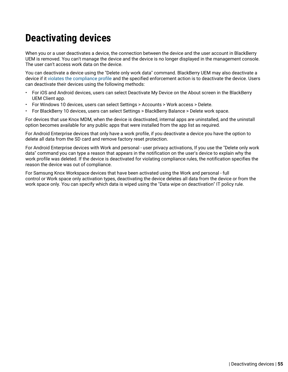# **Deactivating devices**

When you or a user deactivates a device, the connection between the device and the user account in BlackBerry UEM is removed. You can't manage the device and the device is no longer displayed in the management console. The user can't access work data on the device.

You can deactivate a device using the "Delete only work data" command. BlackBerry UEM may also deactivate a device if it [violates the compliance profile](#page-25-0) and the specified enforcement action is to deactivate the device. Users can deactivate their devices using the following methods:

- For iOS and Android devices, users can select Deactivate My Device on the About screen in the BlackBerry UEM Client app.
- For Windows 10 devices, users can select Settings > Accounts > Work access > Delete.
- For BlackBerry 10 devices, users can select Settings > BlackBerry Balance > Delete work space.

For devices that use Knox MDM, when the device is deactivated, internal apps are uninstalled, and the uninstall option becomes available for any public apps that were installed from the app list as required.

For Android Enterprise devices that only have a work profile, if you deactivate a device you have the option to delete all data from the SD card and remove factory reset protection.

For Android Enterprise devices with Work and personal - user privacy activations, If you use the "Delete only work data" command you can type a reason that appears in the notification on the user's device to explain why the work profile was deleted. If the device is deactivated for violating compliance rules, the notification specifies the reason the device was out of compliance.

For Samsung Knox Workspace devices that have been activated using the Work and personal - full control or Work space only activation types, deactivating the device deletes all data from the device or from the work space only. You can specify which data is wiped using the "Data wipe on deactivation" IT policy rule.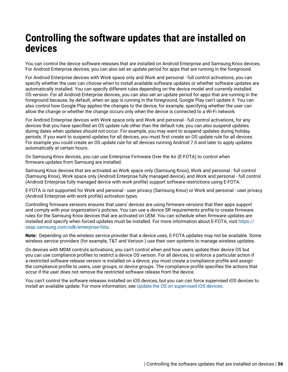# **Controlling the software updates that are installed on devices**

You can control the device software releases that are installed on Android Enterprise and Samsung Knox devices. For Android Enterprise devices, you can also set an update period for apps that are running in the foreground.

For Android Enterprise devices with Work space only and Work and personal - full control activations, you can specify whether the user can choose when to install available software updates or whether software updates are automatically installed. You can specify different rules depending on the device model and currently installed OS version. For all Android Enterprise devices, you can also set an update period for apps that are running in the foreground because, by default, when an app is running in the foreground, Google Play can't update it. You can also control how Google Play applies the changes to the device, for example, specifying whether the user can allow the change or whether the change occurs only when the device is connected to a Wi-Fi network.

For Android Enterprise devices with Work space only and Work and personal - full control activations, for any devices that you have specified an OS update rule other than the default rule, you can also suspend updates during dates when updates should not occur. For example, you may want to suspend updates during holiday periods. If you want to suspend updates for all devices, you must first create an OS update rule for all devices. For example you could create an OS update rule for all devices running Android 7.0 and later to apply updates automatically at certain hours.

On Samsung Knox devices, you can use Enterprise Firmware Over the Air (E-FOTA) to control when firmware updates from Samsung are installed.

Samsung Knox devices that are activated as Work space only (Samsung Knox), Work and personal - full control (Samsung Knox), Work space only (Android Enterprise fully managed device), and Work and personal - full control (Android Enterprise fully managed device with work profile) support software restrictions using E-FOTA.

E-FOTA is not supported for Work and personal - user privacy (Samsung Knox) or Work and personal - user privacy (Android Enterprise with work profile) activation types.

Controlling firmware versions ensures that users' devices are using firmware versions that their apps support and comply with your organization's policies. You can use a device SR requirements profile to create firmware rules for the Samsung Knox devices that are activated on UEM. You can schedule when firmware updates are installed and specify when forced updates must be installed. For more information about E-FOTA, visit [https://](https://seap.samsung.com/sdk/enterprise-fota) [seap.samsung.com/sdk/enterprise-fota.](https://seap.samsung.com/sdk/enterprise-fota)

**Note:** Depending on the wireless service provider that a device uses, E-FOTA updates may not be available. Some wireless service providers (for example, T&T and Verizon ) use their own systems to manage wireless updates.

On devices with MDM controls activations, you can't control when and how users update their device OS but you can use compliance profiles to restrict a device OS version. For all devices, to enforce a particular action if a restricted software release version is installed on a device, you must create a compliance profile and assign the compliance profile to users, user groups, or device groups. The compliance profile specifies the actions that occur if the user does not remove the restricted software release from the device.

You can't control the software releases installed on iOS devices, but you can can force supervised iOS devices to install an available update. For more information, see [Update the OS on supervised iOS devices.](#page-59-0)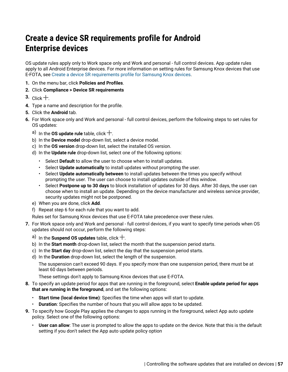## **Create a device SR requirements profile for Android Enterprise devices**

OS update rules apply only to Work space only and Work and personal - full control devices. App update rules apply to all Android Enterprise devices. For more information on setting rules for Samsung Knox devices that use E-FOTA, see [Create a device SR requirements profile for Samsung Knox devices](#page-57-0).

- **1.** On the menu bar, click **Policies and Profiles**.
- **2.** Click **Compliance > Device SR requirements**
- **3.** Click  $+$ .
- **4.** Type a name and description for the profile.
- **5.** Click the **Android** tab.
- **6.** For Work space only and Work and personal full control devices, perform the following steps to set rules for OS updates:
	- a) In the **OS update rule** table, click  $+$ .
	- b) In the **Device model** drop-down list, select a device model.
	- c) In the **OS version** drop-down list, select the installed OS version.
	- d) In the **Update rule** drop-down list, select one of the following options:
		- Select **Default** to allow the user to choose when to install updates.
		- Select **Update automatically** to install updates without prompting the user.
		- Select **Update automatically between** to install updates between the times you specify without prompting the user. The user can choose to install updates outside of this window.
		- Select **Postpone up to 30 days** to block installation of updates for 30 days. After 30 days, the user can choose when to install an update. Depending on the device manufacturer and wireless service provider, security updates might not be postponed.
	- e) When you are done, click **Add**.
	- f) Repeat step 6 for each rule that you want to add.
	- Rules set for Samsung Knox devices that use E-FOTA take precedence over these rules.
- **7.** For Work space only and Work and personal full control devices, if you want to specify time periods when OS updates should not occur, perform the following steps:
	- a) In the **Suspend OS updates** table, click  $+$ .
	- b) In the **Start month** drop-down list, select the month that the suspension period starts.
	- c) In the **Start day** drop-down list, select the day that the suspension period starts.
	- d) In the **Duration** drop-down list, select the length of the suspension.

The suspension can't exceed 90 days. If you specify more than one suspension period, there must be at least 60 days between periods.

These settings don't apply to Samsung Knox devices that use E-FOTA.

- **8.** To specify an update period for apps that are running in the foreground, select **Enable update period for apps that are running in the foreground**, and set the following options:
	- **Start time (local device time)**: Specifies the time when apps will start to update.
	- **Duration**: Specifies the number of hours that you will allow apps to be updated.
- **9.** To specify how Google Play applies the changes to apps running in the foreground, select App auto update policy. Select one of the following options:
	- **User can allow**: The user is prompted to allow the apps to update on the device. Note that this is the default setting if you don't select the App auto update policy option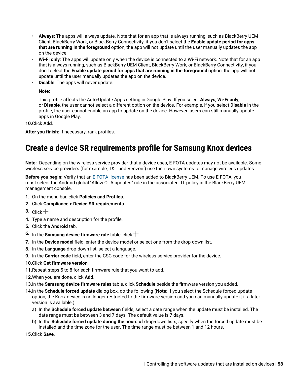- **Always**: The apps will always update. Note that for an app that is always running, such as BlackBerry UEM Client, BlackBerry Work, or BlackBerry Connectivity, if you don't select the **Enable update period for apps that are running in the foreground** option, the app will not update until the user manually updates the app on the device.
- **Wi-Fi only**: The apps will update only when the device is connected to a Wi-Fi network. Note that for an app that is always running, such as BlackBerry UEM Client, BlackBerry Work, or BlackBerry Connectivity, if you don't select the **Enable update period for apps that are running in the foreground** option, the app will not update until the user manually updates the app on the device.
- **Disable**: The apps will never update.

#### **Note:**

This profile affects the Auto-Update Apps setting in Google Play. If you select **Always**, **Wi-Fi only**, or **Disable**, the user cannot select a different option on the device. For example, if you select **Disable** in the profile, the user cannot enable an app to update on the device. However, users can still manually update apps in Google Play.

#### **10.**Click **Add**.

**After you finish:** If necessary, rank profiles.

## <span id="page-57-0"></span>**Create a device SR requirements profile for Samsung Knox devices**

**Note:** Depending on the wireless service provider that a device uses, E-FOTA updates may not be available. Some wireless service providers (for example, T&T and Verizon ) use their own systems to manage wireless updates.

**Before you begin:** Verify that an [E-FOTA license](#page-58-0) has been added to BlackBerry UEM. To use E-FOTA, you must select the Android global "Allow OTA updates" rule in the associated IT policy in the BlackBerry UEM management console.

- **1.** On the menu bar, click **Policies and Profiles**.
- **2.** Click **Compliance > Device SR requirements**
- **3.** Click  $+$
- **4.** Type a name and description for the profile.
- **5.** Click the **Android** tab.
- **6.** In the **Samsung device firmware rule** table, click  $+$ .
- **7.** In the **Device model** field, enter the device model or select one from the drop-down list.
- **8.** In the **Language** drop-down list, select a language.
- **9.** In the **Carrier code** field, enter the CSC code for the wireless service provider for the device.
- **10.**Click **Get firmware version**.
- **11.**Repeat steps 5 to 8 for each firmware rule that you want to add.
- **12.**When you are done, click **Add**.
- **13.**In the **Samsung device firmware rules** table, click **Schedule** beside the firmware version you added.
- **14.**In the **Schedule forced update** dialog box, do the following (**Note**: If you select the Schedule forced update option, the Knox device is no longer restricted to the firmware version and you can manually update it if a later version is available.):
	- a) In the **Schedule forced update between** fields, select a date range when the update must be installed. The date range must be between 3 and 7 days. The default value is 7 days.
	- b) In the **Schedule forced update during the hours of** drop-down lists, specify when the forced update must be installed and the time zone for the user. The time range must be between 1 and 12 hours.

**15.**Click **Save**.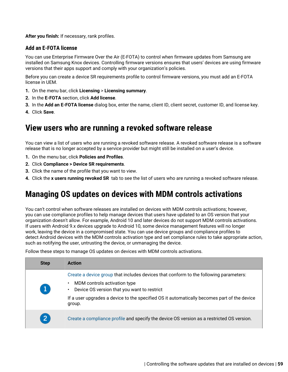**After you finish:** If necessary, rank profiles.

### <span id="page-58-0"></span>**Add an E-FOTA license**

You can use Enterprise Firmware Over the Air (E-FOTA) to control when firmware updates from Samsung are installed on Samsung Knox devices. Controlling firmware versions ensures that users' devices are using firmware versions that their apps support and comply with your organization's policies.

Before you can create a device SR requirements profile to control firmware versions, you must add an E-FOTA license in UEM.

- **1.** On the menu bar, click **Licensing** > **Licensing summary**.
- **2.** In the **E-FOTA** section, click **Add license**.
- **3.** In the **Add an E-FOTA license** dialog box, enter the name, client ID, client secret, customer ID, and license key.
- **4.** Click **Save**.

### **View users who are running a revoked software release**

You can view a list of users who are running a revoked software release. A revoked software release is a software release that is no longer accepted by a service provider but might still be installed on a user's device.

- **1.** On the menu bar, click **Policies and Profiles**.
- **2.** Click **Compliance > Device SR requirements**.
- **3.** Click the name of the profile that you want to view.
- **4.** Click the **x users running revoked SR** tab to see the list of users who are running a revoked software release.

## **Managing OS updates on devices with MDM controls activations**

You can't control when software releases are installed on devices with MDM controls activations; however, you can use compliance profiles to help manage devices that users have updated to an OS version that your organization doesn't allow. For example, Android 10 and later devices do not support MDM controls activations. If users with Android 9.x devices upgrade to Android 10, some device management features will no longer work, leaving the device in a compromised state. You can use device groups and compliance profiles to detect Android devices with the MDM controls activation type and set compliance rules to take appropriate action, such as notifying the user, untrusting the device, or unmanaging the device.

Follow these steps to manage OS updates on devices with MDM controls activations.

| <b>Step</b>    | <b>Action</b>                                                                                                                                                                                                                                                                 |
|----------------|-------------------------------------------------------------------------------------------------------------------------------------------------------------------------------------------------------------------------------------------------------------------------------|
| 1              | Create a device group that includes devices that conform to the following parameters:<br>MDM controls activation type<br>Device OS version that you want to restrict<br>If a user upgrades a device to the specified OS it automatically becomes part of the device<br>group. |
| $\overline{2}$ | Create a compliance profile and specify the device OS version as a restricted OS version.                                                                                                                                                                                     |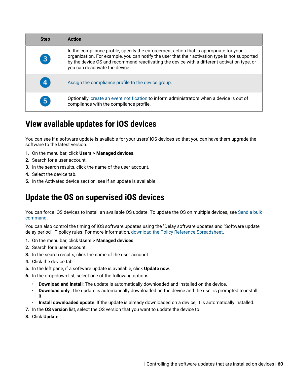| <b>Step</b>    | <b>Action</b>                                                                                                                                                                                                                                                                                                             |
|----------------|---------------------------------------------------------------------------------------------------------------------------------------------------------------------------------------------------------------------------------------------------------------------------------------------------------------------------|
| $\overline{3}$ | In the compliance profile, specify the enforcement action that is appropriate for your<br>organization. For example, you can notify the user that their activation type is not supported<br>by the device OS and recommend reactivating the device with a different activation type, or<br>you can deactivate the device. |
| 4              | Assign the compliance profile to the device group.                                                                                                                                                                                                                                                                        |
| 5              | Optionally, create an event notification to inform administrators when a device is out of<br>compliance with the compliance profile.                                                                                                                                                                                      |

## **View available updates for iOS devices**

You can see if a software update is available for your users' iOS devices so that you can have them upgrade the software to the latest version.

- **1.** On the menu bar, click **Users > Managed devices**.
- **2.** Search for a user account.
- **3.** In the search results, click the name of the user account.
- **4.** Select the device tab.
- **5.** In the Activated device section, see if an update is available.

## <span id="page-59-0"></span>**Update the OS on supervised iOS devices**

You can force iOS devices to install an available OS update. To update the OS on multiple devices, see [Send a bulk](#page-41-0) [command](#page-41-0).

You can also control the timing of iOS software updates using the "Delay software updates and "Software update delay period" IT policy rules. For more information, [download the Policy Reference Spreadsheet.](https://docs.blackberry.com/content/dam/docs-blackberry-com/release-pdfs/en/blackberry-uem/current/administration/Policy-Reference-Spreadsheet-BlackBerry-UEM.zip)

- **1.** On the menu bar, click **Users > Managed devices**.
- **2.** Search for a user account.
- **3.** In the search results, click the name of the user account.
- **4.** Click the device tab.
- **5.** In the left pane, if a software update is available, click **Update now**.
- **6.** In the drop-down list, select one of the following options:
	- **Download and install**: The update is automatically downloaded and installed on the device.
	- **Download only**: The update is automatically downloaded on the device and the user is prompted to install it.
	- **Install downloaded update**: If the update is already downloaded on a device, it is automatically installed.
- **7.** In the **OS version** list, select the OS version that you want to update the device to
- **8.** Click **Update**.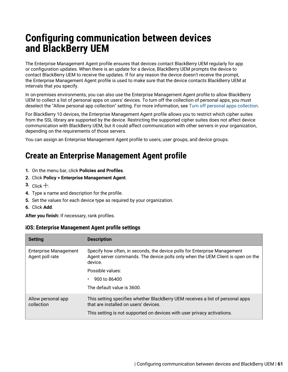# **Configuring communication between devices and BlackBerry UEM**

The Enterprise Management Agent profile ensures that devices contact BlackBerry UEM regularly for app or configuration updates. When there is an update for a device, BlackBerry UEM prompts the device to contact BlackBerry UEM to receive the updates. If for any reason the device doesn't receive the prompt, the Enterprise Management Agent profile is used to make sure that the device contacts BlackBerry UEM at intervals that you specify.

In on-premises environments, you can also use the Enterprise Management Agent profile to allow BlackBerry UEM to collect a list of personal apps on users' devices. To turn off the collection of personal apps, you must deselect the "Allow personal app collection" setting. For more information, see [Turn off personal apps collection.](https://docs.blackberry.com/en/endpoint-management/blackberry-uem/12_13/administration/managing-apps/bup1470659746435/foe1505929863513)

For BlackBerry 10 devices, the Enterprise Management Agent profile allows you to restrict which cipher suites from the SSL library are supported by the device. Restricting the supported cipher suites does not affect device communication with BlackBerry UEM, but it could affect communication with other servers in your organization, depending on the requirements of those servers.

You can assign an Enterprise Management Agent profile to users, user groups, and device groups.

## **Create an Enterprise Management Agent profile**

- **1.** On the menu bar, click **Policies and Profiles**.
- **2.** Click **Policy > Enterprise Management Agent**.
- 3. Click  $+$
- **4.** Type a name and description for the profile.
- **5.** Set the values for each device type as required by your organization.
- **6.** Click **Add**.

**After you finish:** If necessary, rank profiles.

### **iOS: Enterprise Management Agent profile settings**

| <b>Setting</b>                                  | <b>Description</b>                                                                                                                                                      |
|-------------------------------------------------|-------------------------------------------------------------------------------------------------------------------------------------------------------------------------|
| <b>Enterprise Management</b><br>Agent poll rate | Specify how often, in seconds, the device polls for Enterprise Management<br>Agent server commands. The device polls only when the UEM Client is open on the<br>device. |
|                                                 | Possible values:                                                                                                                                                        |
|                                                 | 900 to 86400                                                                                                                                                            |
|                                                 | The default value is 3600.                                                                                                                                              |
| Allow personal app<br>collection                | This setting specifies whether BlackBerry UEM receives a list of personal apps<br>that are installed on users' devices.                                                 |
|                                                 | This setting is not supported on devices with user privacy activations.                                                                                                 |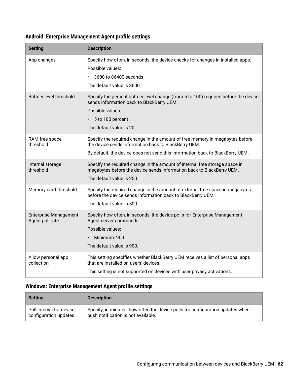### **Android: Enterprise Management Agent profile settings**

| <b>Setting</b>                                  | <b>Description</b>                                                                                                                                                                                                    |
|-------------------------------------------------|-----------------------------------------------------------------------------------------------------------------------------------------------------------------------------------------------------------------------|
| App changes                                     | Specify how often, in seconds, the device checks for changes in installed apps.<br>Possible values:<br>3600 to 86400 seconds<br>The default value is 3600.                                                            |
| <b>Battery level threshold</b>                  | Specify the percent battery level change (from 5 to 100) required before the device<br>sends information back to BlackBerry UEM.<br>Possible values:<br>5 to 100 percent<br>The default value is 20.                  |
| RAM free space<br>threshold                     | Specify the required change in the amount of free memory in megabytes before<br>the device sends information back to BlackBerry UEM.<br>By default, the device does not send this information back to BlackBerry UEM. |
| Internal storage<br>threshold                   | Specify the required change in the amount of internal free storage space in<br>megabytes before the device sends information back to BlackBerry UEM.<br>The default value is 250.                                     |
| Memory card threshold                           | Specify the required change in the amount of external free space in megabytes<br>before the device sends information back to BlackBerry UEM<br>The default value is 500.                                              |
| <b>Enterprise Management</b><br>Agent poll rate | Specify how often, in seconds, the device polls for Enterprise Management<br>Agent server commands.<br>Possible values:<br>Minimum: 900<br>The default value is 900.                                                  |
| Allow personal app<br>collection                | This setting specifies whether BlackBerry UEM receives a list of personal apps<br>that are installed on users' devices.<br>This setting is not supported on devices with user privacy activations.                    |

### **Windows: Enterprise Management Agent profile settings**

| <b>Setting</b>           | <b>Description</b>                                                             |
|--------------------------|--------------------------------------------------------------------------------|
| Poll interval for device | Specify, in minutes, how often the device polls for configuration updates when |
| configuration updates    | push notification is not available.                                            |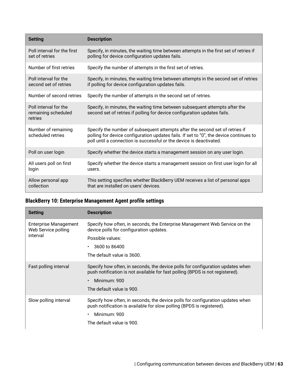| <b>Setting</b>                                          | <b>Description</b>                                                                                                                                                                                                                            |
|---------------------------------------------------------|-----------------------------------------------------------------------------------------------------------------------------------------------------------------------------------------------------------------------------------------------|
| Poll interval for the first<br>set of retries           | Specify, in minutes, the waiting time between attempts in the first set of retries if<br>polling for device configuration updates fails.                                                                                                      |
| Number of first retries                                 | Specify the number of attempts in the first set of retries.                                                                                                                                                                                   |
| Poll interval for the<br>second set of retries          | Specify, in minutes, the waiting time between attempts in the second set of retries<br>if polling for device configuration updates fails.                                                                                                     |
| Number of second retries                                | Specify the number of attempts in the second set of retries.                                                                                                                                                                                  |
| Poll interval for the<br>remaining scheduled<br>retries | Specify, in minutes, the waiting time between subsequent attempts after the<br>second set of retries if polling for device configuration updates fails.                                                                                       |
| Number of remaining<br>scheduled retries                | Specify the number of subsequent attempts after the second set of retries if<br>polling for device configuration updates fails. If set to "0", the device continues to<br>poll until a connection is successful or the device is deactivated. |
| Poll on user login                                      | Specify whether the device starts a management session on any user login.                                                                                                                                                                     |
| All users poll on first<br>login                        | Specify whether the device starts a management session on first user login for all<br>users.                                                                                                                                                  |
| Allow personal app<br>collection                        | This setting specifies whether BlackBerry UEM receives a list of personal apps<br>that are installed on users' devices.                                                                                                                       |

### **BlackBerry 10: Enterprise Management Agent profile settings**

| <b>Setting</b>                                      | <b>Description</b>                                                                                                                                              |
|-----------------------------------------------------|-----------------------------------------------------------------------------------------------------------------------------------------------------------------|
| <b>Enterprise Management</b><br>Web Service polling | Specify how often, in seconds, the Enterprise Management Web Service on the<br>device polls for configuration updates.                                          |
| interval                                            | Possible values:                                                                                                                                                |
|                                                     | 3600 to 86400<br>$\bullet$                                                                                                                                      |
|                                                     | The default value is 3600.                                                                                                                                      |
| Fast polling interval                               | Specify how often, in seconds, the device polls for configuration updates when<br>push notification is not available for fast polling (BPDS is not registered). |
|                                                     | Minimum: 900<br>$\bullet$                                                                                                                                       |
|                                                     | The default value is 900.                                                                                                                                       |
| Slow polling interval                               | Specify how often, in seconds, the device polls for configuration updates when<br>push notification is available for slow polling (BPDS is registered).         |
|                                                     | Minimum: 900<br>$\bullet$                                                                                                                                       |
|                                                     | The default value is 900.                                                                                                                                       |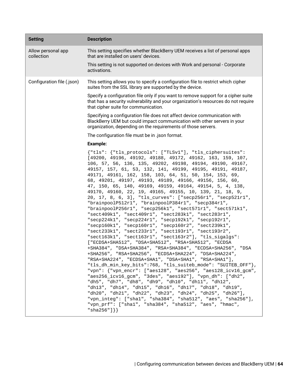| <b>Setting</b>                   | <b>Description</b>                                                                                                                                                                                                                                                                                                                                                                                                                                                                                                                                                                                                                                                                                                                                                                                                                                                                                                                                                                                                                                                                                                                                                                                                                                                                                                                                                                                                                                                                                                                                                                                                                                                                                                             |
|----------------------------------|--------------------------------------------------------------------------------------------------------------------------------------------------------------------------------------------------------------------------------------------------------------------------------------------------------------------------------------------------------------------------------------------------------------------------------------------------------------------------------------------------------------------------------------------------------------------------------------------------------------------------------------------------------------------------------------------------------------------------------------------------------------------------------------------------------------------------------------------------------------------------------------------------------------------------------------------------------------------------------------------------------------------------------------------------------------------------------------------------------------------------------------------------------------------------------------------------------------------------------------------------------------------------------------------------------------------------------------------------------------------------------------------------------------------------------------------------------------------------------------------------------------------------------------------------------------------------------------------------------------------------------------------------------------------------------------------------------------------------------|
| Allow personal app<br>collection | This setting specifies whether BlackBerry UEM receives a list of personal apps<br>that are installed on users' devices.                                                                                                                                                                                                                                                                                                                                                                                                                                                                                                                                                                                                                                                                                                                                                                                                                                                                                                                                                                                                                                                                                                                                                                                                                                                                                                                                                                                                                                                                                                                                                                                                        |
|                                  | This setting is not supported on devices with Work and personal - Corporate<br>activations.                                                                                                                                                                                                                                                                                                                                                                                                                                                                                                                                                                                                                                                                                                                                                                                                                                                                                                                                                                                                                                                                                                                                                                                                                                                                                                                                                                                                                                                                                                                                                                                                                                    |
| Configuration file (.json)       | This setting allows you to specify a configuration file to restrict which cipher<br>suites from the SSL library are supported by the device.                                                                                                                                                                                                                                                                                                                                                                                                                                                                                                                                                                                                                                                                                                                                                                                                                                                                                                                                                                                                                                                                                                                                                                                                                                                                                                                                                                                                                                                                                                                                                                                   |
|                                  | Specify a configuration file only if you want to remove support for a cipher suite<br>that has a security vulnerability and your organization's resources do not require<br>that cipher suite for communication.                                                                                                                                                                                                                                                                                                                                                                                                                                                                                                                                                                                                                                                                                                                                                                                                                                                                                                                                                                                                                                                                                                                                                                                                                                                                                                                                                                                                                                                                                                               |
|                                  | Specifying a configuration file does not affect device communication with<br>BlackBerry UEM but could impact communication with other servers in your<br>organization, depending on the requirements of those servers.                                                                                                                                                                                                                                                                                                                                                                                                                                                                                                                                                                                                                                                                                                                                                                                                                                                                                                                                                                                                                                                                                                                                                                                                                                                                                                                                                                                                                                                                                                         |
|                                  | The configuration file must be in .json format.                                                                                                                                                                                                                                                                                                                                                                                                                                                                                                                                                                                                                                                                                                                                                                                                                                                                                                                                                                                                                                                                                                                                                                                                                                                                                                                                                                                                                                                                                                                                                                                                                                                                                |
|                                  | <b>Example:</b>                                                                                                                                                                                                                                                                                                                                                                                                                                                                                                                                                                                                                                                                                                                                                                                                                                                                                                                                                                                                                                                                                                                                                                                                                                                                                                                                                                                                                                                                                                                                                                                                                                                                                                                |
|                                  | {"tls": {"tls_protocols": ["TLSv1"], "tls_ciphersuites":<br>[49200, 49196, 49192, 49188, 49172, 49162, 163, 159, 107,<br>106, 57, 56, 136, 135, 49202, 49198, 49194, 49190, 49167,<br>49157, 157, 61, 53, 132, 141, 49199, 49195, 49191, 49187,<br>49171, 49161, 162, 158, 103, 64, 51, 50, 154, 153, 69,<br>68, 49201, 49197, 49193, 49189, 49166, 49156, 156, 60,<br>47, 150, 65, 140, 49169, 49159, 49164, 49154, 5, 4, 138,<br>49170, 49160, 22, 19, 49165, 49155, 10, 139, 21, 18, 9,<br>20, 17, 8, 6, 3], "tls_curves": ["secp256r1", "secp521r1",<br>"brainpoolP512r1", "brainpoolP384r1", "secp384r1",<br>"brainpoolP256r1", "secp256k1", "sect571r1", "sect571k1",<br>"sect409k1", "sect409r1", "sect283k1", "sect283r1",<br>"secp224k1", "secp224r1", "secp192k1", "secp192r1",<br>"secp160k1", "secp160r1", "secp160r2", "sect239k1",<br>"sect233k1", "sect233r1", "sect193r1", "sect193r2",<br>"sect163k1", "sect163r1", "sect163r2"], "tls_sigalgs":<br>[ "ECDSA+SHA512", "DSA+SHA512", "RSA+SHA512", "ECDSA<br>+SHA384", "DSA+SHA384", "RSA+SHA384", "ECDSA+SHA256", "DSA<br>+SHA256", "RSA+SHA256", "ECDSA+SHA224", "DSA+SHA224",<br>"RSA+SHA224", "ECDSA+SHA1", "DSA+SHA1", "RSA+SHA1"],<br>"tls_dh_min_key_bits":768, "tls_suiteb_mode": "SUITEB_OFF" },<br>"vpn": {"vpn_encr": ["aes128", "aes256", "aes128_icv16_gcm",<br>"aes256_icv16_gcm", "3des", "aes192"], "vpn_dh": ["dh2",<br>"dh5", "dh7", "dh8", "dh9", "dh10", "dh11", "dh12",<br>"dh13", "dh14", "dh15", "dh16", "dh17", "dh18", "dh19",<br>"dh20", "dh21", "dh22", "dh23", "dh24", "dh25", "dh26"],<br>"vpn_integ": ["shal", "sha384", "sha512", "aes", "sha256"],<br>"vpn_prf": ["shal", "sha384", "sha512", "aes", "hmac",<br>"sha256"] $\}$ |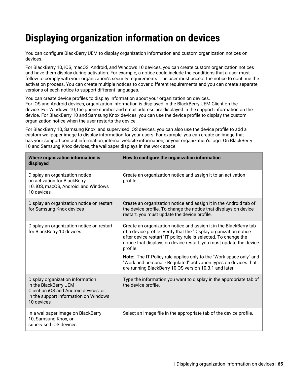# **Displaying organization information on devices**

You can configure BlackBerry UEM to display organization information and custom organization notices on devices.

For BlackBerry 10, iOS, macOS, Android, and Windows 10 devices, you can create custom organization notices and have them display during activation. For example, a notice could include the conditions that a user must follow to comply with your organization's security requirements. The user must accept the notice to continue the activation process. You can create multiple notices to cover different requirements and you can create separate versions of each notice to support different languages.

You can create device profiles to display information about your organization on devices. For iOS and Android devices, organization information is displayed in the BlackBerry UEM Client on the device. For Windows 10, the phone number and email address are displayed in the support information on the device. For BlackBerry 10 and Samsung Knox devices, you can use the device profile to display the custom organization notice when the user restarts the device.

For BlackBerry 10, Samsung Knox, and supervised iOS devices, you can also use the device profile to add a custom wallpaper image to display information for your users. For example, you can create an image that has your support contact information, internal website information, or your organization's logo. On BlackBerry 10 and Samsung Knox devices, the wallpaper displays in the work space.

| Where organization information is<br>displayed                                                                                                            | How to configure the organization information                                                                                                                                                                                                                                               |
|-----------------------------------------------------------------------------------------------------------------------------------------------------------|---------------------------------------------------------------------------------------------------------------------------------------------------------------------------------------------------------------------------------------------------------------------------------------------|
| Display an organization notice<br>on activation for BlackBerry<br>10, iOS, macOS, Android, and Windows<br>10 devices                                      | Create an organization notice and assign it to an activation<br>profile.                                                                                                                                                                                                                    |
| Display an organization notice on restart<br>for Samsung Knox devices                                                                                     | Create an organization notice and assign it in the Android tab of<br>the device profile. To change the notice that displays on device<br>restart, you must update the device profile.                                                                                                       |
| Display an organization notice on restart<br>for BlackBerry 10 devices                                                                                    | Create an organization notice and assign it in the BlackBerry tab<br>of a device profile. Verify that the "Display organization notice<br>after device restart" IT policy rule is selected. To change the<br>notice that displays on device restart, you must update the device<br>profile. |
|                                                                                                                                                           | Note: The IT Policy rule applies only to the "Work space only" and<br>"Work and personal - Regulated" activation types on devices that<br>are running BlackBerry 10 OS version 10.3.1 and later.                                                                                            |
| Display organization information<br>in the BlackBerry UEM<br>Client on iOS and Android devices, or<br>in the support information on Windows<br>10 devices | Type the information you want to display in the appropriate tab of<br>the device profile.                                                                                                                                                                                                   |
| In a wallpaper image on BlackBerry<br>10, Samsung Knox, or<br>supervised iOS devices                                                                      | Select an image file in the appropriate tab of the device profile.                                                                                                                                                                                                                          |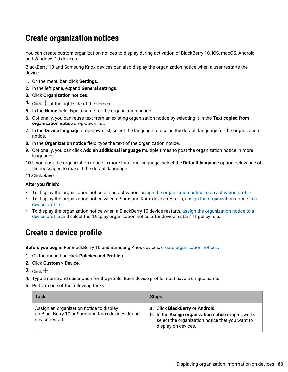## <span id="page-65-1"></span>**Create organization notices**

You can create custom organization notices to display during activation of BlackBerry 10, iOS, macOS, Android, and Windows 10 devices.

BlackBerry 10 and Samsung Knox devices can also display the organization notice when a user restarts the device.

- **1.** On the menu bar, click **Settings**.
- **2.** In the left pane, expand **General settings**.
- **3.** Click **Organization notices**.
- **4.** Click  $+$  at the right side of the screen.
- **5.** In the **Name** field, type a name for the organization notice.
- **6.** Optionally, you can reuse text from an existing organization notice by selecting it in the **Text copied from organization notice** drop-down list.
- **7.** In the **Device language** drop-down list, select the language to use as the default language for the organization notice.
- **8.** In the **Organization notice** field, type the text of the organization notice.
- **9.** Optionally, you can click **Add an additional language** multiple times to post the organization notice in more languages.
- **10.**If you post the organization notice in more than one language, select the **Default language** option below one of the messages to make it the default language.

**11.**Click **Save**.

#### **After you finish:**

- To display the organization notice during activation, [assign the organization notice to an activation profile.](https://docs.blackberry.com/en/endpoint-management/blackberry-uem/12_13/administration/device-activation/activation-profile/kla1372082452115.html)
- To display the organization notice when a Samsung Knox device restarts, [assign the organization notice to a](#page-65-0) [device profile.](#page-65-0)
- To display the organization notice when a BlackBerry 10 device restarts, [assign the organization notice to a](#page-65-0) [device profile](#page-65-0) and select the "Display organization notice after device restart" IT policy rule.

## <span id="page-65-0"></span>**Create a device profile**

**Before you begin:** For BlackBerry 10 and Samsung Knox devices, [create organization notices](#page-65-1).

- **1.** On the menu bar, click **Policies and Profiles**.
- **2.** Click **Custom > Device**.
- **3.** Click  $+$
- **4.** Type a name and description for the profile. Each device profile must have a unique name.
- **5.** Perform one of the following tasks:

| Task                                                                                                          | <b>Steps</b>                                                                                                                                                      |
|---------------------------------------------------------------------------------------------------------------|-------------------------------------------------------------------------------------------------------------------------------------------------------------------|
| Assign an organization notice to display<br>on BlackBerry 10 or Samsung Knox devices during<br>device restart | a. Click BlackBerry or Android.<br>b. In the Assign organization notice drop-down list,<br>select the organization notice that you want to<br>display on devices. |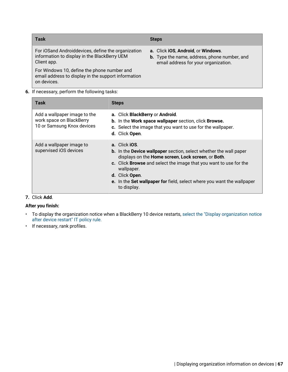| Task                                                                                                              | <b>Steps</b>                                                                                                                      |
|-------------------------------------------------------------------------------------------------------------------|-----------------------------------------------------------------------------------------------------------------------------------|
| For iOSand Androiddevices, define the organization<br>information to display in the BlackBerry UEM<br>Client app. | a. Click iOS, Android, or Windows.<br><b>b.</b> Type the name, address, phone number, and<br>email address for your organization. |
| For Windows 10, define the phone number and<br>email address to display in the support information<br>on devices. |                                                                                                                                   |

**6.** If necessary, perform the following tasks:

| Task                                                                                   | <b>Steps</b>                                                                                                                                                                                                                                                                                                                                  |
|----------------------------------------------------------------------------------------|-----------------------------------------------------------------------------------------------------------------------------------------------------------------------------------------------------------------------------------------------------------------------------------------------------------------------------------------------|
| Add a wallpaper image to the<br>work space on BlackBerry<br>10 or Samsung Knox devices | a. Click BlackBerry or Android.<br>b. In the Work space wallpaper section, click Browse.<br>c. Select the image that you want to use for the wallpaper.<br>d. Click Open.                                                                                                                                                                     |
| Add a wallpaper image to<br>supervised iOS devices                                     | a. Click iOS.<br>b. In the Device wallpaper section, select whether the wall paper<br>displays on the Home screen, Lock screen, or Both.<br>c. Click <b>Browse</b> and select the image that you want to use for the<br>wallpaper.<br>d. Click Open.<br>e. In the Set wallpaper for field, select where you want the wallpaper<br>to display. |

### **7.** Click **Add**.

### **After you finish:**

- To display the organization notice when a BlackBerry 10 device restarts, [select the "Display organization notice](#page-17-0) [after device restart" IT policy rule.](#page-17-0)
- If necessary, rank profiles.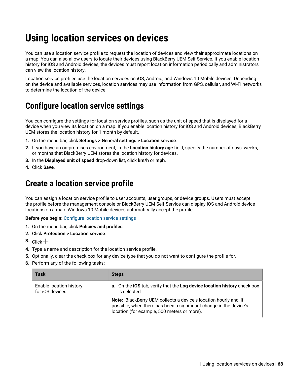# <span id="page-67-1"></span>**Using location services on devices**

You can use a location service profile to request the location of devices and view their approximate locations on a map. You can also allow users to locate their devices using BlackBerry UEM Self-Service. If you enable location history for iOS and Android devices, the devices must report location information periodically and administrators can view the location history.

Location service profiles use the location services on iOS, Android, and Windows 10 Mobile devices. Depending on the device and available services, location services may use information from GPS, cellular, and Wi-Fi networks to determine the location of the device.

## <span id="page-67-0"></span>**Configure location service settings**

You can configure the settings for location service profiles, such as the unit of speed that is displayed for a device when you view its location on a map. If you enable location history for iOS and Android devices, BlackBerry UEM stores the location history for 1 month by default.

- **1.** On the menu bar, click **Settings > General settings > Location service**.
- **2.** If you have an on-premises environment, in the **Location history age** field, specify the number of days, weeks, or months that BlackBerry UEM stores the location history for devices.
- **3.** In the **Displayed unit of speed** drop-down list, click **km/h** or **mph**.
- **4.** Click **Save**.

## **Create a location service profile**

You can assign a location service profile to user accounts, user groups, or device groups. Users must accept the profile before the management console or BlackBerry UEM Self-Service can display iOS and Android device locations on a map. Windows 10 Mobile devices automatically accept the profile.

#### **Before you begin:** [Configure location service settings](#page-67-0)

- **1.** On the menu bar, click **Policies and profiles**.
- **2.** Click **Protection > Location service**.
- $3.$  Click  $+$
- **4.** Type a name and description for the location service profile.
- **5.** Optionally, clear the check box for any device type that you do not want to configure the profile for.
- **6.** Perform any of the following tasks:

| <b>Task</b>                                | <b>Steps</b>                                                                                                                                                                          |
|--------------------------------------------|---------------------------------------------------------------------------------------------------------------------------------------------------------------------------------------|
| Enable location history<br>for iOS devices | a. On the iOS tab, verify that the Log device location history check box<br>is selected.                                                                                              |
|                                            | Note: BlackBerry UEM collects a device's location hourly and, if<br>possible, when there has been a significant change in the device's<br>location (for example, 500 meters or more). |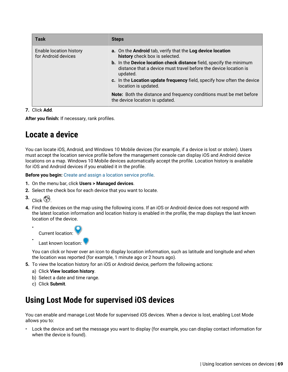| Task                                           | <b>Steps</b>                                                                                                                                                                                                                                                                                                                                           |
|------------------------------------------------|--------------------------------------------------------------------------------------------------------------------------------------------------------------------------------------------------------------------------------------------------------------------------------------------------------------------------------------------------------|
| Enable location history<br>for Android devices | a. On the Android tab, verify that the Log device location<br>history check box is selected.<br>b. In the Device location check distance field, specify the minimum<br>distance that a device must travel before the device location is<br>updated.<br>c. In the Location update frequency field, specify how often the device<br>location is updated. |
|                                                | <b>Note:</b> Both the distance and frequency conditions must be met before<br>the device location is updated.                                                                                                                                                                                                                                          |

### **7.** Click **Add**.

**After you finish:** If necessary, rank profiles.

## <span id="page-68-0"></span>**Locate a device**

You can locate iOS, Android, and Windows 10 Mobile devices (for example, if a device is lost or stolen). Users must accept the location service profile before the management console can display iOS and Android device locations on a map. Windows 10 Mobile devices automatically accept the profile. Location history is available for iOS and Android devices if you enabled it in the profile.

**Before you begin:** [Create and assign a location service profile](#page-67-1).

- **1.** On the menu bar, click **Users > Managed devices**.
- **2.** Select the check box for each device that you want to locate.
- $3.$  Click  $\mathbb{S}$

•

**4.** Find the devices on the map using the following icons. If an iOS or Android device does not respond with the latest location information and location history is enabled in the profile, the map displays the last known location of the device.

• Current location:

Last known location:

You can click or hover over an icon to display location information, such as latitude and longitude and when the location was reported (for example, 1 minute ago or 2 hours ago).

- **5.** To view the location history for an iOS or Android device, perform the following actions:
	- a) Click **View location history**.
	- b) Select a date and time range.
	- c) Click **Submit**.

## **Using Lost Mode for supervised iOS devices**

You can enable and manage Lost Mode for supervised iOS devices. When a device is lost, enabling Lost Mode allows you to:

• Lock the device and set the message you want to display (for example, you can display contact information for when the device is found).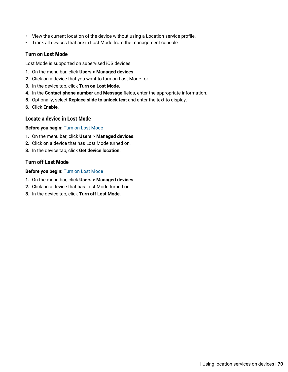- View the current location of the device without using a Location service profile.
- Track all devices that are in Lost Mode from the management console.

### <span id="page-69-0"></span>**Turn on Lost Mode**

Lost Mode is supported on supervised iOS devices.

- **1.** On the menu bar, click **Users > Managed devices**.
- **2.** Click on a device that you want to turn on Lost Mode for.
- **3.** In the device tab, click **Turn on Lost Mode**.
- **4.** In the **Contact phone number** and **Message** fields, enter the appropriate information.
- **5.** Optionally, select **Replace slide to unlock text** and enter the text to display.
- **6.** Click **Enable**.

### **Locate a device in Lost Mode**

#### **Before you begin:** [Turn on Lost Mode](#page-69-0)

- **1.** On the menu bar, click **Users > Managed devices**.
- **2.** Click on a device that has Lost Mode turned on.
- **3.** In the device tab, click **Get device location**.

### **Turn off Lost Mode**

#### **Before you begin:** [Turn on Lost Mode](#page-69-0)

- **1.** On the menu bar, click **Users > Managed devices**.
- **2.** Click on a device that has Lost Mode turned on.
- **3.** In the device tab, click **Turn off Lost Mode**.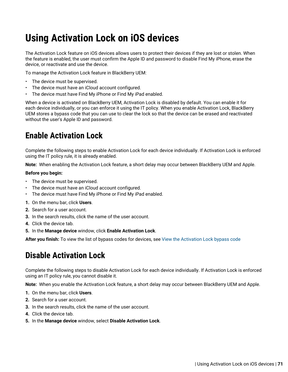# **Using Activation Lock on iOS devices**

The Activation Lock feature on iOS devices allows users to protect their devices if they are lost or stolen. When the feature is enabled, the user must confirm the Apple ID and password to disable Find My iPhone, erase the device, or reactivate and use the device.

To manage the Activation Lock feature in BlackBerry UEM:

- The device must be supervised.
- The device must have an iCloud account configured.
- The device must have Find My iPhone or Find My iPad enabled.

When a device is activated on BlackBerry UEM, Activation Lock is disabled by default. You can enable it for each device individually, or you can enforce it using the IT policy. When you enable Activation Lock, BlackBerry UEM stores a bypass code that you can use to clear the lock so that the device can be erased and reactivated without the user's Apple ID and password.

## **Enable Activation Lock**

Complete the following steps to enable Activation Lock for each device individually. If Activation Lock is enforced using the IT policy rule, it is already enabled.

**Note:** When enabling the Activation Lock feature, a short delay may occur between BlackBerry UEM and Apple.

#### **Before you begin:**

- The device must be supervised.
- The device must have an iCloud account configured.
- The device must have Find My iPhone or Find My iPad enabled.
- **1.** On the menu bar, click **Users**.
- **2.** Search for a user account.
- **3.** In the search results, click the name of the user account.
- **4.** Click the device tab.
- **5.** In the **Manage device** window, click **Enable Activation Lock**.

**After you finish:** To view the list of bypass codes for devices, see [View the Activation Lock bypass code](#page-71-0)

## **Disable Activation Lock**

Complete the following steps to disable Activation Lock for each device individually. If Activation Lock is enforced using an IT policy rule, you cannot disable it.

**Note:** When you enable the Activation Lock feature, a short delay may occur between BlackBerry UEM and Apple.

- **1.** On the menu bar, click **Users**.
- **2.** Search for a user account.
- **3.** In the search results, click the name of the user account.
- **4.** Click the device tab.
- **5.** In the **Manage device** window, select **Disable Activation Lock**.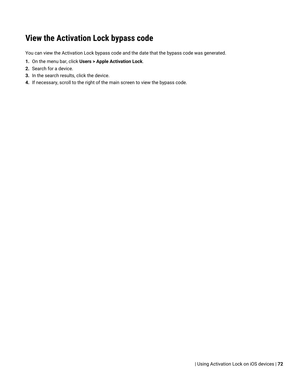## <span id="page-71-0"></span>**View the Activation Lock bypass code**

You can view the Activation Lock bypass code and the date that the bypass code was generated.

- **1.** On the menu bar, click **Users > Apple Activation Lock**.
- **2.** Search for a device.
- **3.** In the search results, click the device.
- **4.** If necessary, scroll to the right of the main screen to view the bypass code.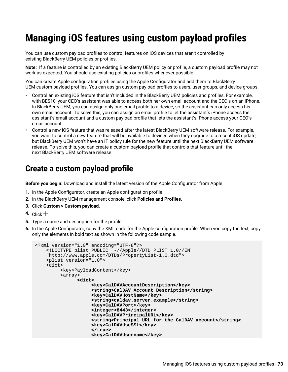# **Managing iOS features using custom payload profiles**

You can use custom payload profiles to control features on iOS devices that aren't controlled by existing BlackBerry UEM policies or profiles.

**Note:** If a feature is controlled by an existing BlackBerry UEM policy or profile, a custom payload profile may not work as expected. You should use existing policies or profiles whenever possible.

You can create Apple configuration profiles using the Apple Configurator and add them to BlackBerry UEM custom payload profiles. You can assign custom payload profiles to users, user groups, and device groups.

- Control an existing iOS feature that isn't included in the BlackBerry UEM policies and profiles. For example, with BES10, your CEO's assistant was able to access both her own email account and the CEO's on an iPhone. In BlackBerry UEM, you can assign only one email profile to a device, so the assistant can only access his own email account. To solve this, you can assign an email profile to let the assistant's iPhone access the assistant's email account and a custom payload profile that lets the assistant's iPhone access your CEO's email account.
- Control a new iOS feature that was released after the latest BlackBerry UEM software release. For example, you want to control a new feature that will be available to devices when they upgrade to a recent iOS update, but BlackBerry UEM won't have an IT policy rule for the new feature until the next BlackBerry UEM software release. To solve this, you can create a custom payload profile that controls that feature until the next BlackBerry UEM software release.

## **Create a custom payload profile**

**Before you begin:** Download and install the latest version of the Apple Configurator from Apple.

- **1.** In the Apple Configurator, create an Apple configuration profile.
- **2.** In the BlackBerry UEM management console, click **Policies and Profiles**.
- **3.** Click **Custom > Custom payload**.
- 4. Click  $+$ .
- **5.** Type a name and description for the profile.
- **6.** In the Apple Configurator, copy the XML code for the Apple configuration profile. When you copy the text, copy only the elements in bold text as shown in the following code sample.

```
<?xml version="1.0" encoding="UTF-8"?>
    <!DOCTYPE plist PUBLIC "-//Apple//DTD PLIST 1.0//EN"
    "http://www.apple.com/DTDs/PropertyList-1.0.dtd">
    <plist version="1.0">
    <dict>
         <key>PayloadContent</key>
         <array>
               <dict>
                     <key>CalDAVAccountDescription</key>
                     <string>CalDAV Account Description</string>
                     <key>CalDAVHostName</key>
                     <string>caldav.server.example</string>
                     <key>CalDAVPort</key>
                     <integer>8443</integer>
                     <key>CalDAVPrincipalURL</key>
                     <string>Principal URL for the CalDAV account</string>
                     <key>CalDAVUseSSL</key>
                     </true>
                     <key>CalDAVUsername</key>
```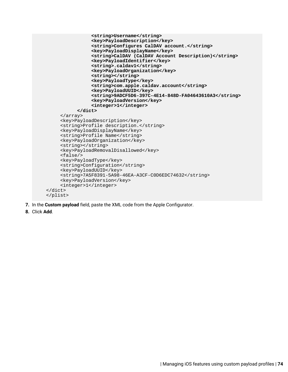```
 <string>Username</string>
                 <key>PayloadDescription</key>
                 <string>Configures CalDAV account.</string>
                 <key>PayloadDisplayName</key>
                 <string>CalDAV (CalDAV Account Description)</string>
                 <key>PayloadIdentifier</key>
                 <string>.caldav1</string>
                 <key>PayloadOrganization</key>
                 <string></string>
                 <key>PayloadType</key>
                 <string>com.apple.caldav.account</string>
                 <key>PayloadUUID</key>
                 <string>9ADCF5D6-397C-4E14-848D-FA04643610A3</string>
                 <key>PayloadVersion</key>
                 <integer>1</integer>
           </dict>
     </array>
     <key>PayloadDescription</key>
     <string>Profile description.</string>
     <key>PayloadDisplayName</key>
     <string>Profile Name</string>
     <key>PayloadOrganization</key>
     <string></string>
     <key>PayloadRemovalDisallowed</key>
     <false/>
     <key>PayloadType</key>
     <string>Configuration</string>
     <key>PayloadUUID</key>
     <string>7A5F8391-5A98-46EA-A3CF-C0D6EDC74632</string>
     <key>PayloadVersion</key>
     <integer>1</integer>
</dict>
</plist>
```
- **7.** In the **Custom payload** field, paste the XML code from the Apple Configurator.
- **8.** Click **Add**.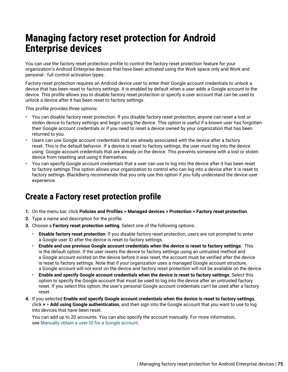# **Managing factory reset protection for Android Enterprise devices**

You can use the factory reset protection profile to control the factory reset protection feature for your organization's Android Enterprise devices that have been activated using the Work space only and Work and personal - full control activation types.

Factory reset protection requires an Android device user to enter their Google account credentials to unlock a device that has been reset to factory settings. It is enabled by default when a user adds a Google account to the device. This profile allows you to disable factory reset protection or specify a user account that can be used to unlock a device after it has been reset to factory settings.

This profile provides three options:

- You can disable factory reset protection. If you disable factory reset protection, anyone can reset a lost or stolen device to factory settings and begin using the device. This option is useful if a known user has forgotten their Google account credentials or if you need to reset a device owned by your organization that has been returned to you.
- Users can use Google account credentials that are already associated with the device after a factory reset. This is the default behavior. If a device is reset to factory settings, the user must log into the device using Google account credentials that are already on the device. This prevents someone with a lost or stolen device from resetting and using it themselves.
- You can specify Google account credentials that a user can use to log into the device after it has been reset to factory settings.This option allows your organization to control who can log into a device after it is reset to factory settings. BlackBerry recommends that you only use this option if you fully understand the device user experience.

## **Create a Factory reset protection profile**

- **1.** On the menu bar, click **Policies and Profiles > Managed devices > Protection > Factory reset protection**.
- **2.** Type a name and description for the profile.
- **3.** Choose a **Factory reset protection setting**. Select one of the following options:
	- **Disable factory reset protection**: If you disable factory reset protection, users are not prompted to enter a Google user ID after the device is reset to factory settings.
	- **Enable and use previous Google account credentials when the device is reset to factory settings**: This is the default option. If the user resets the device to factory settings using an untrusted method and a Google account existed on the device before it was reset, the account must be verified after the device is reset to factory settings. Note that if your organization uses a managed Google account structure, a Google account will not exist on the device and factory reset protection will not be available on the device.
	- **Enable and specify Google account credentials when the device is reset to factory settings**: Select this option to specify the Google account that must be used to log into the device after an untrusted factory reset. If you select this option, the user's personal Google account credentials can't be used after a factory reset.
- **4.** If you selected **Enable and specify Google account credentials when the device is reset to factory settings**, click **+** > **Add using Google authentication**, and then sign into the Google account that you want to use to log into devices that have been reset.

You can add up to 20 accounts. You can also specify the account manually. For more information, see [Manually obtain a user ID for a Google account.](#page-75-0)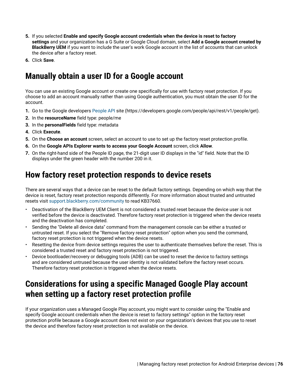- **5.** If you selected **Enable and specify Google account credentials when the device is reset to factory settings** and your organization has a G Suite or Google Cloud domain, select **Add a Google account created by BlackBerry UEM** if you want to include the user's work Google account in the list of accounts that can unlock the device after a factory reset.
- **6.** Click **Save**.

## <span id="page-75-0"></span>**Manually obtain a user ID for a Google account**

You can use an existing Google account or create one specifically for use with factory reset protection. If you choose to add an account manually rather than using Google authentication, you must obtain the user ID for the account.

- **1.** Go to the Google developers [People API](https://developers.google.com/people/api/rest/v1/people/get) site (https://developers.google.com/people/api/rest/v1/people/get).
- **2.** In the **resourceName** field type: people/me
- **3.** In the **personalFields** field type: metadata
- **4.** Click **Execute**.
- **5.** On the **Choose an account** screen, select an account to use to set up the factory reset protection profile.
- **6.** On the **Google APIs Explorer wants to access your Google Account** screen, click **Allow**.
- **7.** On the right-hand side of the People ID page, the 21-digit user ID displays in the "id" field. Note that the ID displays under the green header with the number 200 in it.

### **How factory reset protection responds to device resets**

There are several ways that a device can be reset to the default factory settings. Depending on which way that the device is reset, factory reset protection responds differently. For more information about trusted and untrusted resets visit [support.blackberry.com/community](https://support.blackberry.com/community/s/article/37660) to read KB37660.

- Deactivation of the BlackBerry UEM Client is not considered a trusted reset because the device user is not verified before the device is deactivated. Therefore factory reset protection is triggered when the device resets and the deactivation has completed.
- Sending the "Delete all device data" command from the management console can be either a trusted or untrusted reset. If you select the "Remove factory reset protection" option when you send the command, factory reset protection is not triggered when the device resets.
- Resetting the device from device settings requires the user to authenticate themselves before the reset. This is considered a trusted reset and factory reset protection is not triggered.
- Device bootloader/recovery or debugging tools (ADB) can be used to reset the device to factory settings and are considered untrused because the user identity is not validated before the factory reset occurs. Therefore factory reset protection is triggered when the device resets.

# **Considerations for using a specific Managed Google Play account when setting up a factory reset protection profile**

If your organization uses a Managed Google Play account, you might want to consider using the "Enable and specify Google account credentials when the device is reset to factory settings" option in the factory reset protection profile because a Google account does not exist on your organization's devices that you use to reset the device and therefore factory reset protection is not available on the device.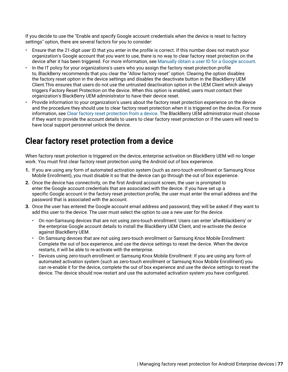If you decide to use the "Enable and specify Google account credentials when the device is reset to factory settings" option, there are several factors for you to consider:

- Ensure that the 21-digit user ID that you enter in the profile is correct. If this number does not match your organization's Google account that you want to use, there is no way to clear factory reset protection on the device after it has been triggered. For more information, see [Manually obtain a user ID for a Google account.](#page-75-0)
- In the IT policy for your organizations's users who you assign the factory reset protection profile to, BlackBerry recommends that you clear the "Allow factory reset" option. Clearing the option disables the factory reset option in the device settings and disables the deactivate button in the BlackBerry UEM Client.This ensures that users do not use the untrusted deactivation option in the UEM Client which always triggers Factory Reset Protection on the device. When this option is enabled, users must contact their organization's BlackBerry UEM administrator to have their device reset.
- Provide information to your organization's users about the factory reset protection experience on the device and the procedure they should use to clear factory reset protection when it is triggered on the device. For more information, see [Clear factory reset protection from a device.](#page-76-0) The BlackBerry UEM administrator must choose if they want to provide the account details to users to clear factory reset protection or if the users will need to have local support personnel unlock the device.

## <span id="page-76-0"></span>**Clear factory reset protection from a device**

When factory reset protection is triggered on the device, enterprise activation on BlackBerry UEM will no longer work. You must first clear factory reset protection using the Android out of box experience.

- **1.** If you are using any form of automated activation system (such as zero-touch enrollment or Samsung Knox Mobile Enrollment), you must disable it so that the device can go through the out of box experience.
- **2.** Once the device has connectivity, on the first Android account screen, the user is prompted to enter the Google account credentials that are associated with the device. If you have set up a specific Google account in the factory reset protection profile, the user must enter the email address and the password that is associated with the account.
- **3.** Once the user has entered the Google account email address and password, they will be asked if they want to add this user to the device. The user must select the option to use a new user for the device.
	- On non-Samsung devices that are not using zero-touch enrollment: Users can enter 'afw#blackberry' or the enterprise Google account details to install the BlackBerry UEM Client, and re-activate the device against BlackBerry UEM.
	- On Samsung devices that are not using zero-touch enrollment or Samsung Knox Mobile Enrollment: Complete the out of box experience, and use the device settings to reset the device. When the device restarts, it will be able to re-activate with the enterprise.
	- Devices using zero-touch enrollment or Samsung Knox Mobile Enrollment: If you are using any form of automated activation system (such as zero-touch enrollment or Samsung Knox Mobile Enrollment) you can re-enable it for the device, complete the out of box experience and use the device settings to reset the device. The device should now restart and use the automated activation system you have configured.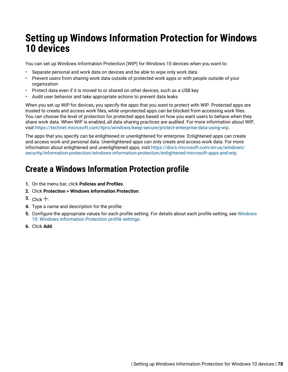# **Setting up Windows Information Protection for Windows 10 devices**

You can set up Windows Information Protection (WIP) for Windows 10 devices when you want to:

- Separate personal and work data on devices and be able to wipe only work data
- Prevent users from sharing work data outside of protected work apps or with people outside of your organization
- Protect data even if it is moved to or shared on other devices, such as a USB key
- Audit user behavior and take appropriate actions to prevent data leaks

When you set up WIP for devices, you specify the apps that you want to protect with WIP. Protected apps are trusted to create and access work files, while unprotected apps can be blocked from accessing work files. You can choose the level of protection for protected apps based on how you want users to behave when they share work data. When WIP is enabled, all data sharing practices are audited. For more information about WIP, visit <https://technet.microsoft.com/itpro/windows/keep-secure/protect-enterprise-data-using-wip>.

The apps that you specify can be enlightened or unenlightened for enterprise. Enlightened apps can create and access work and personal data. Unenlightened apps can only create and access work data. For more information about enlightened and unenlightened apps, visit [https://docs.microsoft.com/en-us/windows/](https://docs.microsoft.com/en-us/windows/security/information-protection/windows-information-protection/enlightened-microsoft-apps-and-wip) [security/information-protection/windows-information-protection/enlightened-microsoft-apps-and-wip.](https://docs.microsoft.com/en-us/windows/security/information-protection/windows-information-protection/enlightened-microsoft-apps-and-wip)

# **Create a Windows Information Protection profile**

- **1.** On the menu bar, click **Policies and Profiles**.
- **2.** Click **Protection > Windows Information Protection**.
- $3.$  Click  $+$ .
- **4.** Type a name and description for the profile.
- **5.** Configure the appropriate values for each profile setting. For details about each profile setting, see [Windows](#page-78-0) [10: Windows Information Protection profile settings.](#page-78-0)
- **6.** Click **Add**.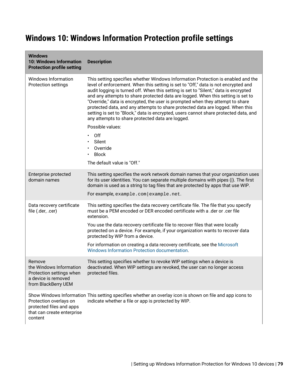# <span id="page-78-0"></span>**Windows 10: Windows Information Protection profile settings**

| <b>Windows</b><br><b>10: Windows Information</b><br><b>Protection profile setting</b>                       | <b>Description</b>                                                                                                                                                                                                                                                                                                                                                                                                                                                                                                                                                                                                                                                 |
|-------------------------------------------------------------------------------------------------------------|--------------------------------------------------------------------------------------------------------------------------------------------------------------------------------------------------------------------------------------------------------------------------------------------------------------------------------------------------------------------------------------------------------------------------------------------------------------------------------------------------------------------------------------------------------------------------------------------------------------------------------------------------------------------|
| Windows Information<br>Protection settings                                                                  | This setting specifies whether Windows Information Protection is enabled and the<br>level of enforcement. When this setting is set to "Off," data is not encrypted and<br>audit logging is turned off. When this setting is set to "Silent," data is encrypted<br>and any attempts to share protected data are logged. When this setting is set to<br>"Override," data is encrypted, the user is prompted when they attempt to share<br>protected data, and any attempts to share protected data are logged. When this<br>setting is set to "Block," data is encrypted, users cannot share protected data, and<br>any attempts to share protected data are logged. |
|                                                                                                             | Possible values:                                                                                                                                                                                                                                                                                                                                                                                                                                                                                                                                                                                                                                                   |
|                                                                                                             | Off<br>Silent<br>$\bullet$                                                                                                                                                                                                                                                                                                                                                                                                                                                                                                                                                                                                                                         |
|                                                                                                             | Override<br><b>Block</b>                                                                                                                                                                                                                                                                                                                                                                                                                                                                                                                                                                                                                                           |
|                                                                                                             | The default value is "Off."                                                                                                                                                                                                                                                                                                                                                                                                                                                                                                                                                                                                                                        |
| Enterprise protected<br>domain names                                                                        | This setting specifies the work network domain names that your organization uses<br>for its user identities. You can separate multiple domains with pipes (I). The first<br>domain is used as a string to tag files that are protected by apps that use WIP.                                                                                                                                                                                                                                                                                                                                                                                                       |
|                                                                                                             | For example, example.com   example.net.                                                                                                                                                                                                                                                                                                                                                                                                                                                                                                                                                                                                                            |
| Data recovery certificate<br>file (.der, .cer)                                                              | This setting specifies the data recovery certificate file. The file that you specify<br>must be a PEM encoded or DER encoded certificate with a .der or .cer file<br>extension.                                                                                                                                                                                                                                                                                                                                                                                                                                                                                    |
|                                                                                                             | You use the data recovery certificate file to recover files that were locally<br>protected on a device. For example, if your organization wants to recover data<br>protected by WIP from a device.                                                                                                                                                                                                                                                                                                                                                                                                                                                                 |
|                                                                                                             | For information on creating a data recovery certificate, see the Microsoft<br>Windows Information Protection documentation.                                                                                                                                                                                                                                                                                                                                                                                                                                                                                                                                        |
| Remove<br>the Windows Information<br>Protection settings when<br>a device is removed<br>from BlackBerry UEM | This setting specifies whether to revoke WIP settings when a device is<br>deactivated. When WIP settings are revoked, the user can no longer access<br>protected files.                                                                                                                                                                                                                                                                                                                                                                                                                                                                                            |
| Protection overlays on<br>protected files and apps<br>that can create enterprise<br>content                 | Show Windows Information This setting specifies whether an overlay icon is shown on file and app icons to<br>indicate whether a file or app is protected by WIP.                                                                                                                                                                                                                                                                                                                                                                                                                                                                                                   |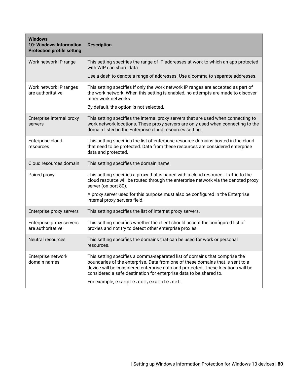| <b>Windows</b><br>10: Windows Information<br><b>Protection profile setting</b> | <b>Description</b>                                                                                                                                                                                                                                                                                                                                               |
|--------------------------------------------------------------------------------|------------------------------------------------------------------------------------------------------------------------------------------------------------------------------------------------------------------------------------------------------------------------------------------------------------------------------------------------------------------|
| Work network IP range                                                          | This setting specifies the range of IP addresses at work to which an app protected<br>with WIP can share data.                                                                                                                                                                                                                                                   |
|                                                                                | Use a dash to denote a range of addresses. Use a comma to separate addresses.                                                                                                                                                                                                                                                                                    |
| Work network IP ranges<br>are authoritative                                    | This setting specifies if only the work network IP ranges are accepted as part of<br>the work network. When this setting is enabled, no attempts are made to discover<br>other work networks.                                                                                                                                                                    |
|                                                                                | By default, the option is not selected.                                                                                                                                                                                                                                                                                                                          |
| Enterprise internal proxy<br>servers                                           | This setting specifies the internal proxy servers that are used when connecting to<br>work network locations. These proxy servers are only used when connecting to the<br>domain listed in the Enterprise cloud resources setting.                                                                                                                               |
| Enterprise cloud<br>resources                                                  | This setting specifies the list of enterprise resource domains hosted in the cloud<br>that need to be protected. Data from these resources are considered enterprise<br>data and protected.                                                                                                                                                                      |
| Cloud resources domain                                                         | This setting specifies the domain name.                                                                                                                                                                                                                                                                                                                          |
| Paired proxy                                                                   | This setting specifies a proxy that is paired with a cloud resource. Traffic to the<br>cloud resource will be routed through the enterprise network via the denoted proxy<br>server (on port 80).                                                                                                                                                                |
|                                                                                | A proxy server used for this purpose must also be configured in the Enterprise<br>internal proxy servers field.                                                                                                                                                                                                                                                  |
| Enterprise proxy servers                                                       | This setting specifies the list of internet proxy servers.                                                                                                                                                                                                                                                                                                       |
| Enterprise proxy servers<br>are authoritative                                  | This setting specifies whether the client should accept the configured list of<br>proxies and not try to detect other enterprise proxies.                                                                                                                                                                                                                        |
| Neutral resources                                                              | This setting specifies the domains that can be used for work or personal<br>resources.                                                                                                                                                                                                                                                                           |
| Enterprise network<br>domain names                                             | This setting specifies a comma-separated list of domains that comprise the<br>boundaries of the enterprise. Data from one of these domains that is sent to a<br>device will be considered enterprise data and protected. These locations will be<br>considered a safe destination for enterprise data to be shared to.<br>For example, example.com, example.net. |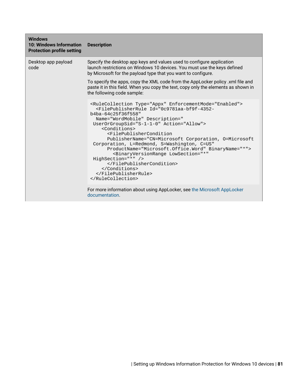| <b>Windows</b><br>10: Windows Information<br><b>Protection profile setting</b> | <b>Description</b>                                                                                                                                                                                                                                                                                                                                                                                                                                                                                                                                                                                                                  |
|--------------------------------------------------------------------------------|-------------------------------------------------------------------------------------------------------------------------------------------------------------------------------------------------------------------------------------------------------------------------------------------------------------------------------------------------------------------------------------------------------------------------------------------------------------------------------------------------------------------------------------------------------------------------------------------------------------------------------------|
| Desktop app payload<br>code                                                    | Specify the desktop app keys and values used to configure application<br>launch restrictions on Windows 10 devices. You must use the keys defined<br>by Microsoft for the payload type that you want to configure.                                                                                                                                                                                                                                                                                                                                                                                                                  |
|                                                                                | To specify the apps, copy the XML code from the AppLocker policy .xml file and<br>paste it in this field. When you copy the text, copy only the elements as shown in<br>the following code sample:                                                                                                                                                                                                                                                                                                                                                                                                                                  |
|                                                                                | <rulecollection enforcementmode="Enabled" type="Appx"><br/><filepublisherrule <br="" id="0c9781aa-bf9f-4352-&lt;br&gt;b4ba-64c25f36f558">Name="WordMobile" Description="<br/>UserOrGroupSid="S-1-1-0" Action="Allow"&gt;<br/><conditions><br/><filepublishercondition<br>PublisherName="CN=Microsoft Corporation, O=Microsoft<br/>Corporation, L=Redmond, S=Washington, C=US"<br/>ProductName="Microsoft.Office.Word" BinaryName="*"&gt;<br/><binaryversionrange <br="" lowsection="*">HighSection="*" /&gt;<br/><br/></binaryversionrange></filepublishercondition<br></conditions><br/></filepublisherrule><br/></rulecollection> |
|                                                                                | For more information about using AppLocker, see the Microsoft AppLocker<br>documentation.                                                                                                                                                                                                                                                                                                                                                                                                                                                                                                                                           |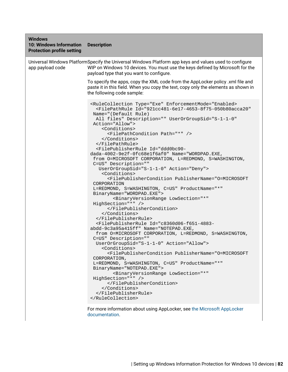| <b>Windows</b><br><b>10: Windows Information</b><br><b>Protection profile setting</b> | <b>Description</b>                                                                                                                                                                                                                                                                                                                                                                                                                                                                                                                                                                                                                                                                                                                                                                                                                                                                                                                                                                                                                                                                                                                                                                                                                                                                                                                                                                                                                                                                                                                                                           |
|---------------------------------------------------------------------------------------|------------------------------------------------------------------------------------------------------------------------------------------------------------------------------------------------------------------------------------------------------------------------------------------------------------------------------------------------------------------------------------------------------------------------------------------------------------------------------------------------------------------------------------------------------------------------------------------------------------------------------------------------------------------------------------------------------------------------------------------------------------------------------------------------------------------------------------------------------------------------------------------------------------------------------------------------------------------------------------------------------------------------------------------------------------------------------------------------------------------------------------------------------------------------------------------------------------------------------------------------------------------------------------------------------------------------------------------------------------------------------------------------------------------------------------------------------------------------------------------------------------------------------------------------------------------------------|
| app payload code                                                                      | Universal Windows PlatformSpecify the Universal Windows Platform app keys and values used to configure<br>WIP on Windows 10 devices. You must use the keys defined by Microsoft for the<br>payload type that you want to configure.                                                                                                                                                                                                                                                                                                                                                                                                                                                                                                                                                                                                                                                                                                                                                                                                                                                                                                                                                                                                                                                                                                                                                                                                                                                                                                                                          |
|                                                                                       | To specify the apps, copy the XML code from the AppLocker policy .xml file and<br>paste it in this field. When you copy the text, copy only the elements as shown in<br>the following code sample:                                                                                                                                                                                                                                                                                                                                                                                                                                                                                                                                                                                                                                                                                                                                                                                                                                                                                                                                                                                                                                                                                                                                                                                                                                                                                                                                                                           |
|                                                                                       | <rulecollection 921cc481-6e17-4653-8f75-050b80acca20"<br="" enforcementmode="Enabled&gt;&lt;br&gt;&lt;FilePathRule Id=" type="Exe">Name="(Default Rule)<br/>All files" Description="" UserOrGroupSid="S-1-1-0"<br/>Action="Allow"&gt;<br/><conditions><br/><filepathcondition path="*"></filepathcondition><br/></conditions><br/><br/><filepublisherrule <br="" description="" id="ddd0bc90-&lt;br&gt;dada-4002-9e2f-0fc68elf6af0" name="WORDPAD.EXE,&lt;br&gt;from O=MICROSOFT CORPORATION, L=REDMOND, S=WASHINGTON,&lt;br&gt;C=US">UserOrGroupSid="S-1-1-0" Action="Deny"&gt;<br/><conditions><br/><filepublishercondition <br="" productname="*" publishername="O=MICROSOFT&lt;br&gt;CORPORATION&lt;br&gt;L=REDMOND, S=WASHINGTON, C=US">BinaryName="WORDPAD.EXE"&gt;<br/><binaryversionrange <br="" lowsection="*">HighSection="*" /&gt;<br/></binaryversionrange></filepublishercondition><br/></conditions><br/></filepublisherrule><br/><filepublisherrule <br="" description="" id="c8360d06-f651-4883-&lt;br&gt;abdd-9c3a95a415ff" name="NOTEPAD.EXE,&lt;br&gt;from O=MICROSOFT CORPORATION, L=REDMOND, S=WASHINGTON,&lt;br&gt;C=US">UserOrGroupSid="S-1-1-0" Action="Allow"&gt;<br/><conditions><br/><filepublishercondition <br="" productname="*" publishername="O=MICROSOFT&lt;br&gt;CORPORATION,&lt;br&gt;L=REDMOND, S=WASHINGTON, C=US">BinaryName="NOTEPAD.EXE"&gt;<br/><binaryversionrange <br="" lowsection="*">HighSection="*" /&gt;<br/></binaryversionrange></filepublishercondition><br/></conditions><br/></filepublisherrule><br/></rulecollection> |

For more information about using AppLocker, see [the Microsoft AppLocker](https://technet.microsoft.com/en-us/itpro/windows/keep-secure/administer-applocker) [documentation](https://technet.microsoft.com/en-us/itpro/windows/keep-secure/administer-applocker).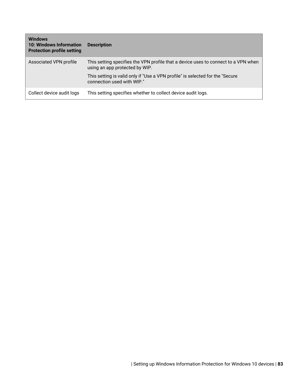| <b>Windows</b><br><b>10: Windows Information</b><br><b>Protection profile setting</b> | <b>Description</b>                                                                                                   |
|---------------------------------------------------------------------------------------|----------------------------------------------------------------------------------------------------------------------|
| Associated VPN profile                                                                | This setting specifies the VPN profile that a device uses to connect to a VPN when<br>using an app protected by WIP. |
|                                                                                       | This setting is valid only if "Use a VPN profile" is selected for the "Secure"<br>connection used with WIP."         |
| Collect device audit logs                                                             | This setting specifies whether to collect device audit logs.                                                         |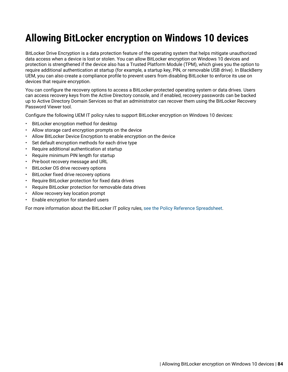# **Allowing BitLocker encryption on Windows 10 devices**

BitLocker Drive Encryption is a data protection feature of the operating system that helps mitigate unauthorized data access when a device is lost or stolen. You can allow BitLocker encryption on Windows 10 devices and protection is strengthened if the device also has a Trusted Platform Module (TPM), which gives you the option to require additional authentication at startup (for example, a startup key, PIN, or removable USB drive). In BlackBerry UEM, you can also create a compliance profile to prevent users from disabling BitLocker to enforce its use on devices that require encryption.

You can configure the recovery options to access a BitLocker-protected operating system or data drives. Users can access recovery keys from the Active Directory console, and if enabled, recovery passwords can be backed up to Active Directory Domain Services so that an administrator can recover them using the BitLocker Recovery Password Viewer tool.

Configure the following UEM IT policy rules to support BitLocker encryption on Windows 10 devices:

- BitLocker encryption method for desktop
- Allow storage card encryption prompts on the device
- Allow BitLocker Device Encryption to enable encryption on the device
- Set default encryption methods for each drive type
- Require additional authentication at startup
- Require minimum PIN length for startup
- Pre-boot recovery message and URL
- BitLocker OS drive recovery options
- BitLocker fixed drive recovery options
- Require BitLocker protection for fixed data drives
- Require BitLocker protection for removable data drives
- Allow recovery key location prompt
- Enable encryption for standard users

For more information about the BitLocker IT policy rules, [see the Policy Reference Spreadsheet.](https://docs.blackberry.com/content/dam/docs-blackberry-com/release-pdfs/en/blackberry-uem/current/administration/Policy-Reference-Spreadsheet-BlackBerry-UEM.zip)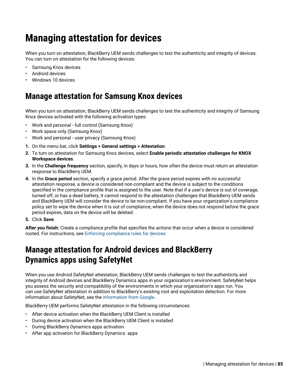# **Managing attestation for devices**

When you turn on attestation, BlackBerry UEM sends challenges to test the authenticity and integrity of devices. You can turn on attestation for the following devices:

- Samsung Knox devices
- Android devices
- Windows 10 devices

## **Manage attestation for Samsung Knox devices**

When you turn on attestation, BlackBerry UEM sends challenges to test the authenticity and integrity of Samsung Knox devices activated with the following activation types:

- Work and personal full control (Samsung Knox)
- Work space only (Samsung Knox)
- Work and personal user privacy (Samsung Knox)
- **1.** On the menu bar, click **Settings > General settings > Attestation**.
- **2.** To turn on attestation for Samsung Knox devices, select **Enable periodic attestation challenges for KNOX Workspace devices**.
- **3.** In the **Challenge frequency** section, specify, in days or hours, how often the device must return an attestation response to BlackBerry UEM.
- **4.** In the **Grace period** section, specify a grace period. After the grace period expires with no successful attestation response, a device is considered non-compliant and the device is subject to the conditions specified in the compliance profile that is assigned to the user. Note that if a user's device is out of coverage, turned off, or has a dead battery, it cannot respond to the attestation challenges that BlackBerry UEM sends and BlackBerry UEM will consider the device to be non-compliant. If you have your organization's compliance policy set to wipe the device when it is out of compliance, when the device does not respond before the grace period expires, data on the device will be deleted.
- **5.** Click **Save**.

**After you finish:** Create a compliance profile that specifies the actions that occur when a device is considered rooted. For instructions, see [Enforcing compliance rules for devices](#page-25-0)

# **Manage attestation for Android devices and BlackBerry Dynamics apps using SafetyNet**

When you use Android SafetyNet attestation, BlackBerry UEM sends challenges to test the authenticity and integrity of Android devices and BlackBerry Dynamics apps in your organization's environment. SafetyNet helps you assess the security and compatibility of the environments in which your organization's apps run. You can use SafetyNet attestation in addition to BlackBerry's existing root and exploitation detection. For more information about SafetyNet, see the [information from Google](https://developers.google.com/android/reference/com/google/android/gms/safetynet/SafetyNet).

BlackBerry UEM performs SafetyNet attestation in the following circumstances:

- After device activation when the BlackBerry UEM Client is installed
- During device activation when the BlackBerry UEM Client is installed
- During BlackBerry Dynamics apps activation
- After app activation for BlackBerry Dynamics apps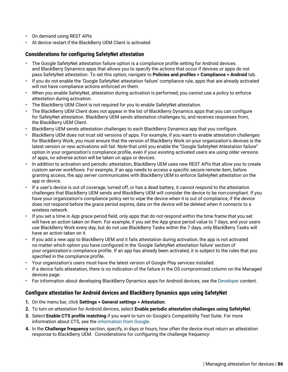- On demand using REST APIs
- At device restart if the BlackBerry UEM Client is activated

#### **Considerations for configuring SafetyNet attestation**

- The Google SafetyNet attestation failure option is a compliance profile setting for Android devices and BlackBerry Dynamics apps that allows you to specify the actions that occur if devices or apps do not pass SafetyNet attestation. To set this option, navigate to **Policies and profiles > Compliance > Android** tab.
- If you do not enable the 'Google SafetyNet attestation failure' compliance rule, apps that are already activated will not have compliance actions enforced on them.
- When you enable SafetyNet, attestation during activation is performed; you cannot use a policy to enforce attestation during activation.
- The BlackBerry UEM Client is not required for you to enable SafetyNet attestation.
- The BlackBerry UEM Client does not appear in the list of BlackBerry Dynamics apps that you can configure for SafetyNet attestation. BlackBerry UEM sends attestation challenges to, and receives responses from, the BlackBerry UEM Client.
- BlackBerry UEM sends attestation challenges to each BlackBerry Dynamics app that you configure.
- BlackBerry UEM does not trust old versions of apps. For example, if you want to enable attestation challenges for BlackBerry Work, you must ensure that the version of BlackBerry Work on your organization's devices is the latest version or new activations will fail. Note that until you enable the "Google SafetyNet Attestation failure" option in your organization's compliance profile, even if your existing activated users are using older versions of apps, no adverse action will be taken on apps or devices.
- In addition to activation and periodic attestation, BlackBerry UEM uses new REST APIs that allow you to create custom server workflows. For example, if an app needs to access a specific secure remote item, before granting access, the app server communicates with BlackBerry UEM to enforce SafetyNet attestation on the app or device.
- If a user's device is out of coverage, turned off, or has a dead battery, it cannot respond to the attestation challenges that BlackBerry UEM sends and BlackBerry UEM will consider the device to be non-compliant. If you have your organization's compliance policy set to wipe the device when it is out of compliance, if the device does not respond before the grace period expires, data on the device will be deleted when it connects to a wireless network.
- If you set a time in App grace period field, only apps that do not respond within the time frame that you set will have an action taken on them. For example, if you set the App grace period value to 7 days, and your users use BlackBerry Work every day, but do not use BlackBerry Tasks within the 7 days, only BlackBerry Tasks will have an action taken on it.
- If you add a new app to BlackBerry UEM and it fails attestation during activation, the app is not activated no matter which option you have configured in the 'Google SafetyNet attestation failure' section of your organization's compliance profile. If an app has already been activated, it is subject to the rules that you specified in the compliance profile.
- Your organization's users must have the latest version of Google Play services installed.
- If a device fails attestation, there is no indication of the failure in the OS compromised column on the Managed devices page.
- For information about developing BlackBerry Dynamics apps for Android devices, see the [Developer](https://docs.blackberry.com/en/development-tools/blackberry-dynamics-sdk-android/) content.

#### **Configure attestation for Android devices and BlackBerry Dynamics apps using SafetyNet**

- **1.** On the menu bar, click **Settings > General settings > Attestation**.
- **2.** To turn on attestation for Android devices, select **Enable periodic attestation challenges using SafetyNet**.
- **3.** Select **Enable CTS profile matching** if you want to turn on Google's Compatibility Test Suite. For more information about CTS, see the [information from Google](https://source.android.com/compatibility/cts/).
- **4.** In the **Challenge frequency** section, specify, in days or hours, how often the device must return an attestation response to BlackBerry UEM. Considerations for configuring the challenge frequency: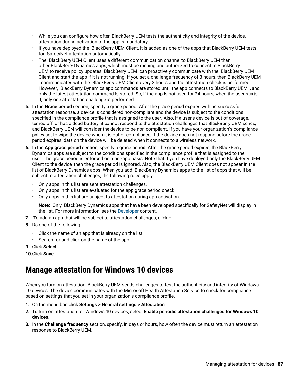- While you can configure how often BlackBerry UEM tests the authenticity and integrity of the device, attestation during activation of the app is mandatory.
- If you have deployed the BlackBerry UEM Client, it is added as one of the apps that BlackBerry UEM tests for SafetyNet attestation automatically.
- The BlackBerry UEM Client uses a different communication channel to BlackBerry UEM than other BlackBerry Dynamics apps, which must be running and authorized to connect to BlackBerry UEM to receive policy updates. BlackBerry UEM can proactively communicate with the BlackBerry UEM Client and start the app if it is not running. If you set a challenge frequency of 3 hours, then BlackBerry UEM communicates with the BlackBerry UEM Client every 3 hours and the attestation check is performed. However, BlackBerry Dynamics app commands are stored until the app connects to BlackBerry UEM , and only the latest attestation command is stored. So, if the app is not used for 24 hours, when the user starts it, only one attestation challenge is performed.
- **5.** In the **Grace period** section, specify a grace period. After the grace period expires with no successful attestation response, a device is considered non-compliant and the device is subject to the conditions specified in the compliance profile that is assigned to the user. Also, if a user's device is out of coverage, turned off, or has a dead battery, it cannot respond to the attestation challenges that BlackBerry UEM sends, and BlackBerry UEM will consider the device to be non-compliant. If you have your organization's compliance policy set to wipe the device when it is out of compliance, if the device does not respond before the grace period expires, data on the device will be deleted when it connects to a wireless network.
- **6.** In the **App grace period** section, specify a grace period. After the grace period expires, the BlackBerry Dynamics apps are subject to the conditions specified in the compliance profile that is assigned to the user. The grace period is enforced on a per-app basis. Note that if you have deployed only the BlackBerry UEM Client to the device, then the grace period is ignored. Also, the BlackBerry UEM Client does not appear in the list of BlackBerry Dynamics apps. When you add BlackBerry Dynamics apps to the list of apps that will be subject to attestation challenges, the following rules apply:
	- Only apps in this list are sent attestation challenges.
	- Only apps in this list are evaluated for the app grace period check.
	- Only apps in this list are subject to attestation during app activation.

**Note:** Only BlackBerry Dynamics apps that have been developed specifically for SafetyNet will display in the list. For more information, see the [Developer](https://docs.blackberry.com/en/development-tools/blackberry-dynamics-sdk-android/current/blackberry-dynamics-sdk-android-devguide/Implementing-SafetyNet-attestation-for-BlackBerry-Dynamics-apps) content.

- **7.** To add an app that will be subject to attestation challenges, click +.
- **8.** Do one of the following:
	- Click the name of an app that is already on the list.
	- Search for and click on the name of the app.
- **9.** Click **Select**.

**10.**Click **Save**.

## **Manage attestation for Windows 10 devices**

When you turn on attestation, BlackBerry UEM sends challenges to test the authenticity and integrity of Windows 10 devices. The device communicates with the Microsoft Health Attestation Service to check for compliance based on settings that you set in your organization's compliance profile.

**1.** On the menu bar, click **Settings > General settings > Attestation**.

- **2.** To turn on attestation for Windows 10 devices, select **Enable periodic attestation challenges for Windows 10 devices**.
- **3.** In the **Challenge frequency** section, specify, in days or hours, how often the device must return an attestation response to BlackBerry UEM.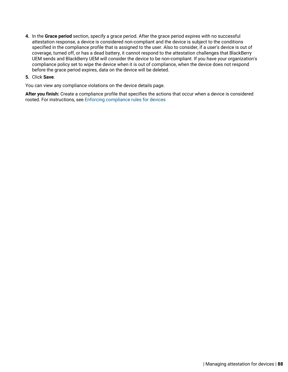**4.** In the **Grace period** section, specify a grace period. After the grace period expires with no successful attestation response, a device is considered non-compliant and the device is subject to the conditions specified in the compliance profile that is assigned to the user. Also to consider, if a user's device is out of coverage, turned off, or has a dead battery, it cannot respond to the attestation challenges that BlackBerry UEM sends and BlackBerry UEM will consider the device to be non-compliant. If you have your organization's compliance policy set to wipe the device when it is out of compliance, when the device does not respond before the grace period expires, data on the device will be deleted.

#### **5.** Click **Save**.

You can view any compliance violations on the device details page.

**After you finish:** Create a compliance profile that specifies the actions that occur when a device is considered rooted. For instructions, see [Enforcing compliance rules for devices](#page-25-0)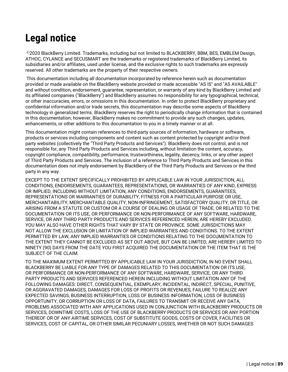# **Legal notice**

©2020 BlackBerry Limited. Trademarks, including but not limited to BLACKBERRY, BBM, BES, EMBLEM Design, ATHOC, CYLANCE and SECUSMART are the trademarks or registered trademarks of BlackBerry Limited, its subsidiaries and/or affiliates, used under license, and the exclusive rights to such trademarks are expressly reserved. All other trademarks are the property of their respective owners.

This documentation including all documentation incorporated by reference herein such as documentation provided or made available on the BlackBerry website provided or made accessible "AS IS" and "AS AVAILABLE" and without condition, endorsement, guarantee, representation, or warranty of any kind by BlackBerry Limited and its affiliated companies ("BlackBerry") and BlackBerry assumes no responsibility for any typographical, technical, or other inaccuracies, errors, or omissions in this documentation. In order to protect BlackBerry proprietary and confidential information and/or trade secrets, this documentation may describe some aspects of BlackBerry technology in generalized terms. BlackBerry reserves the right to periodically change information that is contained in this documentation; however, BlackBerry makes no commitment to provide any such changes, updates, enhancements, or other additions to this documentation to you in a timely manner or at all.

This documentation might contain references to third-party sources of information, hardware or software, products or services including components and content such as content protected by copyright and/or thirdparty websites (collectively the "Third Party Products and Services"). BlackBerry does not control, and is not responsible for, any Third Party Products and Services including, without limitation the content, accuracy, copyright compliance, compatibility, performance, trustworthiness, legality, decency, links, or any other aspect of Third Party Products and Services. The inclusion of a reference to Third Party Products and Services in this documentation does not imply endorsement by BlackBerry of the Third Party Products and Services or the third party in any way.

EXCEPT TO THE EXTENT SPECIFICALLY PROHIBITED BY APPLICABLE LAW IN YOUR JURISDICTION, ALL CONDITIONS, ENDORSEMENTS, GUARANTEES, REPRESENTATIONS, OR WARRANTIES OF ANY KIND, EXPRESS OR IMPLIED, INCLUDING WITHOUT LIMITATION, ANY CONDITIONS, ENDORSEMENTS, GUARANTEES, REPRESENTATIONS OR WARRANTIES OF DURABILITY, FITNESS FOR A PARTICULAR PURPOSE OR USE, MERCHANTABILITY, MERCHANTABLE QUALITY, NON-INFRINGEMENT, SATISFACTORY QUALITY, OR TITLE, OR ARISING FROM A STATUTE OR CUSTOM OR A COURSE OF DEALING OR USAGE OF TRADE, OR RELATED TO THE DOCUMENTATION OR ITS USE, OR PERFORMANCE OR NON-PERFORMANCE OF ANY SOFTWARE, HARDWARE, SERVICE, OR ANY THIRD PARTY PRODUCTS AND SERVICES REFERENCED HEREIN, ARE HEREBY EXCLUDED. YOU MAY ALSO HAVE OTHER RIGHTS THAT VARY BY STATE OR PROVINCE. SOME JURISDICTIONS MAY NOT ALLOW THE EXCLUSION OR LIMITATION OF IMPLIED WARRANTIES AND CONDITIONS. TO THE EXTENT PERMITTED BY LAW, ANY IMPLIED WARRANTIES OR CONDITIONS RELATING TO THE DOCUMENTATION TO THE EXTENT THEY CANNOT BE EXCLUDED AS SET OUT ABOVE, BUT CAN BE LIMITED, ARE HEREBY LIMITED TO NINETY (90) DAYS FROM THE DATE YOU FIRST ACQUIRED THE DOCUMENTATION OR THE ITEM THAT IS THE SUBJECT OF THE CLAIM.

TO THE MAXIMUM EXTENT PERMITTED BY APPLICABLE LAW IN YOUR JURISDICTION, IN NO EVENT SHALL BLACKBERRY BE LIABLE FOR ANY TYPE OF DAMAGES RELATED TO THIS DOCUMENTATION OR ITS USE, OR PERFORMANCE OR NON-PERFORMANCE OF ANY SOFTWARE, HARDWARE, SERVICE, OR ANY THIRD PARTY PRODUCTS AND SERVICES REFERENCED HEREIN INCLUDING WITHOUT LIMITATION ANY OF THE FOLLOWING DAMAGES: DIRECT, CONSEQUENTIAL, EXEMPLARY, INCIDENTAL, INDIRECT, SPECIAL, PUNITIVE, OR AGGRAVATED DAMAGES, DAMAGES FOR LOSS OF PROFITS OR REVENUES, FAILURE TO REALIZE ANY EXPECTED SAVINGS, BUSINESS INTERRUPTION, LOSS OF BUSINESS INFORMATION, LOSS OF BUSINESS OPPORTUNITY, OR CORRUPTION OR LOSS OF DATA, FAILURES TO TRANSMIT OR RECEIVE ANY DATA, PROBLEMS ASSOCIATED WITH ANY APPLICATIONS USED IN CONJUNCTION WITH BLACKBERRY PRODUCTS OR SERVICES, DOWNTIME COSTS, LOSS OF THE USE OF BLACKBERRY PRODUCTS OR SERVICES OR ANY PORTION THEREOF OR OF ANY AIRTIME SERVICES, COST OF SUBSTITUTE GOODS, COSTS OF COVER, FACILITIES OR SERVICES, COST OF CAPITAL, OR OTHER SIMILAR PECUNIARY LOSSES, WHETHER OR NOT SUCH DAMAGES